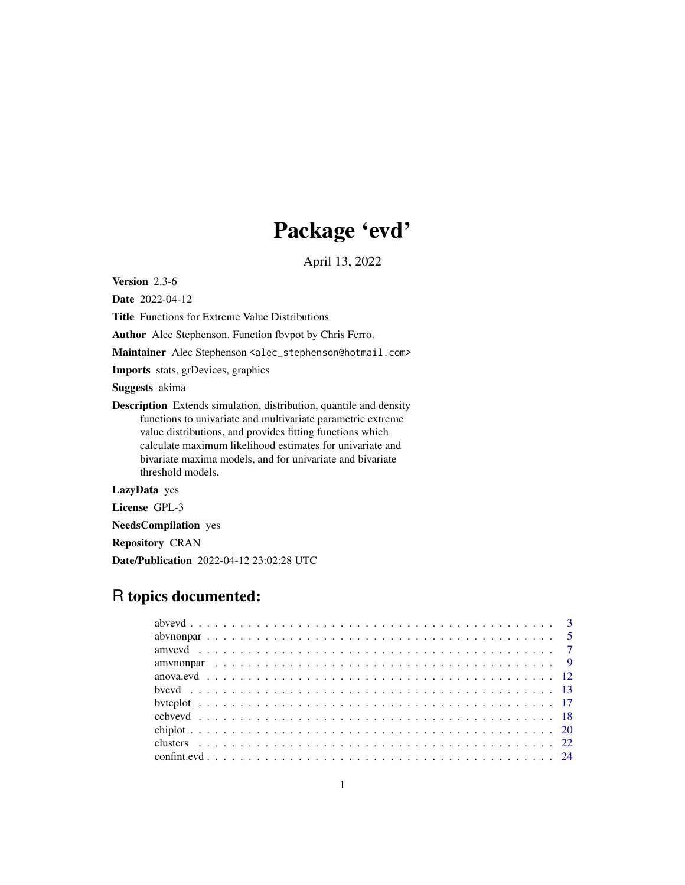# Package 'evd'

April 13, 2022

<span id="page-0-0"></span>Version 2.3-6

Date 2022-04-12

Title Functions for Extreme Value Distributions

Author Alec Stephenson. Function fbvpot by Chris Ferro.

Maintainer Alec Stephenson <alec\_stephenson@hotmail.com>

Imports stats, grDevices, graphics

Suggests akima

Description Extends simulation, distribution, quantile and density functions to univariate and multivariate parametric extreme value distributions, and provides fitting functions which calculate maximum likelihood estimates for univariate and bivariate maxima models, and for univariate and bivariate threshold models.

LazyData yes

License GPL-3

NeedsCompilation yes

Repository CRAN

Date/Publication 2022-04-12 23:02:28 UTC

## R topics documented: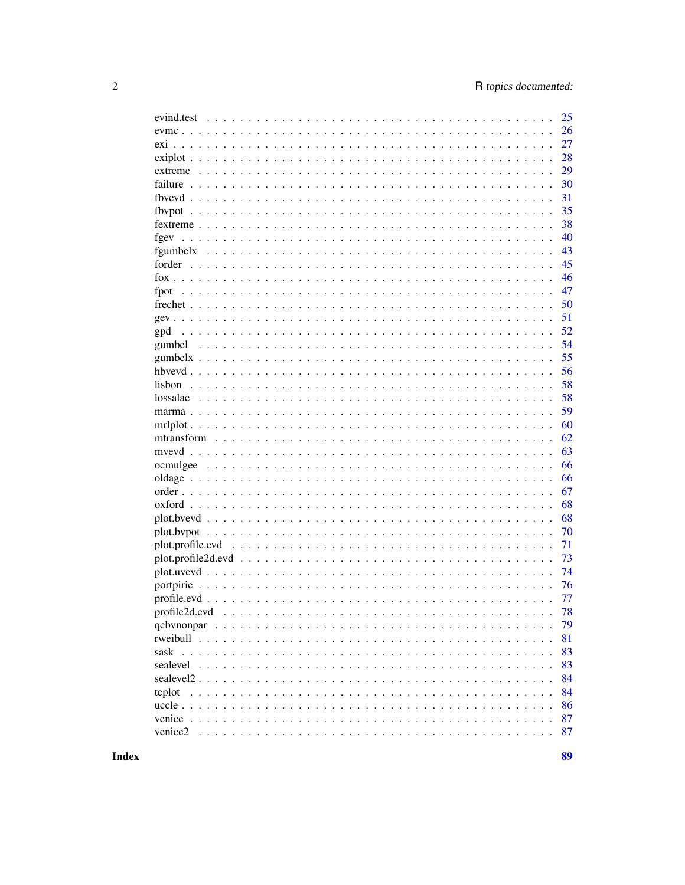|                                                                                                          | 25       |
|----------------------------------------------------------------------------------------------------------|----------|
|                                                                                                          | 26       |
|                                                                                                          | 27       |
|                                                                                                          | 28       |
|                                                                                                          | 29       |
|                                                                                                          | 30       |
|                                                                                                          | 31       |
|                                                                                                          | 35       |
|                                                                                                          | 38       |
| fgev                                                                                                     | 40       |
|                                                                                                          | 43       |
|                                                                                                          | 45       |
|                                                                                                          | 46       |
| fpot                                                                                                     | 47       |
|                                                                                                          | 50       |
|                                                                                                          | 51       |
| gpd                                                                                                      | 52       |
| gumbel                                                                                                   | 54       |
|                                                                                                          | 55       |
|                                                                                                          | 56       |
|                                                                                                          | 58       |
| lossalae                                                                                                 | 58       |
|                                                                                                          | 59<br>60 |
|                                                                                                          | 62       |
|                                                                                                          | 63       |
|                                                                                                          | 66       |
|                                                                                                          | 66       |
|                                                                                                          | 67       |
|                                                                                                          | 68       |
|                                                                                                          | 68       |
|                                                                                                          | 70       |
| plot.profile.evd                                                                                         | 71       |
| $plot.profile2d.edu \dots \dots \dots \dots \dots \dots \dots \dots \dots \dots \dots \dots \dots \dots$ | 73       |
| $plot.uvevd$                                                                                             | 74       |
|                                                                                                          | 76       |
|                                                                                                          | 77       |
|                                                                                                          | 78       |
|                                                                                                          | 79       |
|                                                                                                          | 81       |
|                                                                                                          | 83       |
|                                                                                                          | 83       |
|                                                                                                          | 84       |
| tcplot                                                                                                   | 84       |
|                                                                                                          | 86       |
|                                                                                                          | 87       |
|                                                                                                          | 87       |
|                                                                                                          |          |

**Index**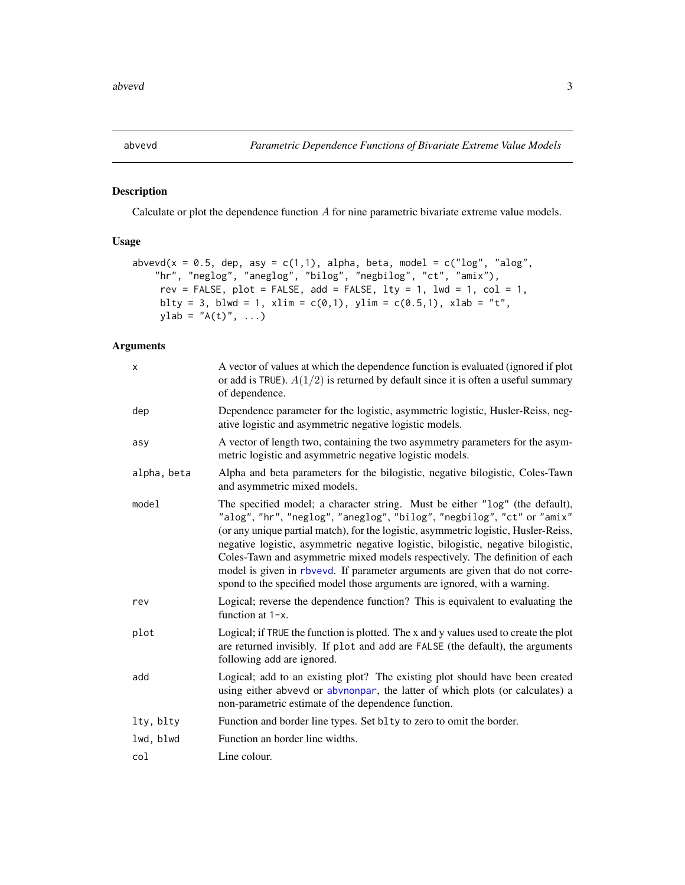<span id="page-2-1"></span><span id="page-2-0"></span>

## Description

Calculate or plot the dependence function A for nine parametric bivariate extreme value models.

## Usage

```
abvevd(x = 0.5, dep, asy = c(1,1), alpha, beta, model = c("log", "alog",
    "hr", "neglog", "aneglog", "bilog", "negbilog", "ct", "amix"),
     rev = FALSE, plot = FALSE, add = FALSE, lty = 1, lwd = 1, col = 1,
    blty = 3, blwd = 1, xlim = c(0,1), ylim = c(0.5,1), xlab = "t",
    ylab = "A(t)", ..., )
```

| X           | A vector of values at which the dependence function is evaluated (ignored if plot<br>or add is TRUE). $A(1/2)$ is returned by default since it is often a useful summary<br>of dependence.                                                                                                                                                                                                                                                                                                                                                                                      |
|-------------|---------------------------------------------------------------------------------------------------------------------------------------------------------------------------------------------------------------------------------------------------------------------------------------------------------------------------------------------------------------------------------------------------------------------------------------------------------------------------------------------------------------------------------------------------------------------------------|
| dep         | Dependence parameter for the logistic, asymmetric logistic, Husler-Reiss, neg-<br>ative logistic and asymmetric negative logistic models.                                                                                                                                                                                                                                                                                                                                                                                                                                       |
| asy         | A vector of length two, containing the two asymmetry parameters for the asym-<br>metric logistic and asymmetric negative logistic models.                                                                                                                                                                                                                                                                                                                                                                                                                                       |
| alpha, beta | Alpha and beta parameters for the bilogistic, negative bilogistic, Coles-Tawn<br>and asymmetric mixed models.                                                                                                                                                                                                                                                                                                                                                                                                                                                                   |
| model       | The specified model; a character string. Must be either "log" (the default),<br>"alog", "hr", "neglog", "aneglog", "bilog", "negbilog", "ct" or "amix"<br>(or any unique partial match), for the logistic, asymmetric logistic, Husler-Reiss,<br>negative logistic, asymmetric negative logistic, bilogistic, negative bilogistic,<br>Coles-Tawn and asymmetric mixed models respectively. The definition of each<br>model is given in rbvevd. If parameter arguments are given that do not corre-<br>spond to the specified model those arguments are ignored, with a warning. |
| rev         | Logical; reverse the dependence function? This is equivalent to evaluating the<br>function at $1-x$ .                                                                                                                                                                                                                                                                                                                                                                                                                                                                           |
| plot        | Logical; if TRUE the function is plotted. The x and y values used to create the plot<br>are returned invisibly. If plot and add are FALSE (the default), the arguments<br>following add are ignored.                                                                                                                                                                                                                                                                                                                                                                            |
| add         | Logical; add to an existing plot? The existing plot should have been created<br>using either abvevd or abvnonpar, the latter of which plots (or calculates) a<br>non-parametric estimate of the dependence function.                                                                                                                                                                                                                                                                                                                                                            |
| lty, blty   | Function and border line types. Set bl ty to zero to omit the border.                                                                                                                                                                                                                                                                                                                                                                                                                                                                                                           |
| lwd, blwd   | Function an border line widths.                                                                                                                                                                                                                                                                                                                                                                                                                                                                                                                                                 |
| col         | Line colour.                                                                                                                                                                                                                                                                                                                                                                                                                                                                                                                                                                    |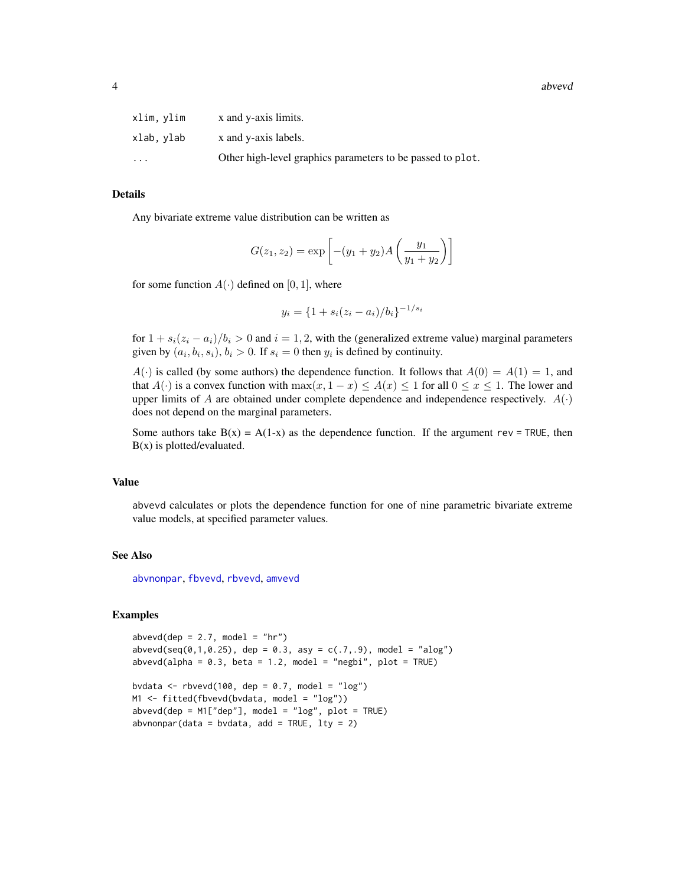4 abvevd abvevd as a structure of the structure of the structure of the structure of the structure of the structure of the structure of the structure of the structure of the structure of the structure of the structure of t

| xlim, ylim | x and y-axis limits.                                       |
|------------|------------------------------------------------------------|
| xlab.vlab  | x and y-axis labels.                                       |
| .          | Other high-level graphics parameters to be passed to plot. |

## Details

Any bivariate extreme value distribution can be written as

$$
G(z_1, z_2) = \exp \left[ -(y_1 + y_2) A \left( \frac{y_1}{y_1 + y_2} \right) \right]
$$

for some function  $A(\cdot)$  defined on [0, 1], where

$$
y_i = \{1 + s_i(z_i - a_i)/b_i\}^{-1/s_i}
$$

for  $1 + s_i(z_i - a_i)/b_i > 0$  and  $i = 1, 2$ , with the (generalized extreme value) marginal parameters given by  $(a_i, b_i, s_i)$ ,  $b_i > 0$ . If  $s_i = 0$  then  $y_i$  is defined by continuity.

 $A(\cdot)$  is called (by some authors) the dependence function. It follows that  $A(0) = A(1) = 1$ , and that  $A(\cdot)$  is a convex function with  $\max(x, 1-x) \leq A(x) \leq 1$  for all  $0 \leq x \leq 1$ . The lower and upper limits of A are obtained under complete dependence and independence respectively.  $A(\cdot)$ does not depend on the marginal parameters.

Some authors take  $B(x) = A(1-x)$  as the dependence function. If the argument rev = TRUE, then  $B(x)$  is plotted/evaluated.

#### Value

abvevd calculates or plots the dependence function for one of nine parametric bivariate extreme value models, at specified parameter values.

#### See Also

[abvnonpar](#page-4-1), [fbvevd](#page-30-1), [rbvevd](#page-12-1), [amvevd](#page-6-1)

## Examples

```
abvevd(dep = 2.7, model = "hr")abvevd(seq(0, 1, 0.25), dep = 0.3, asy = c(.7, .9), model = "alog")abvevd(alpha = 0.3, beta = 1.2, model = "negbi", plot = TRUE)bvdata <- rbvevd(100, dep = 0.7, model = "log")
M1 <- fitted(fbvevd(bvdata, model = "log"))
abvevd(dep = M1["dep"], model = "log", plot = TRUE)
abronopar(data = bvdata, add = TRUE, lty = 2)
```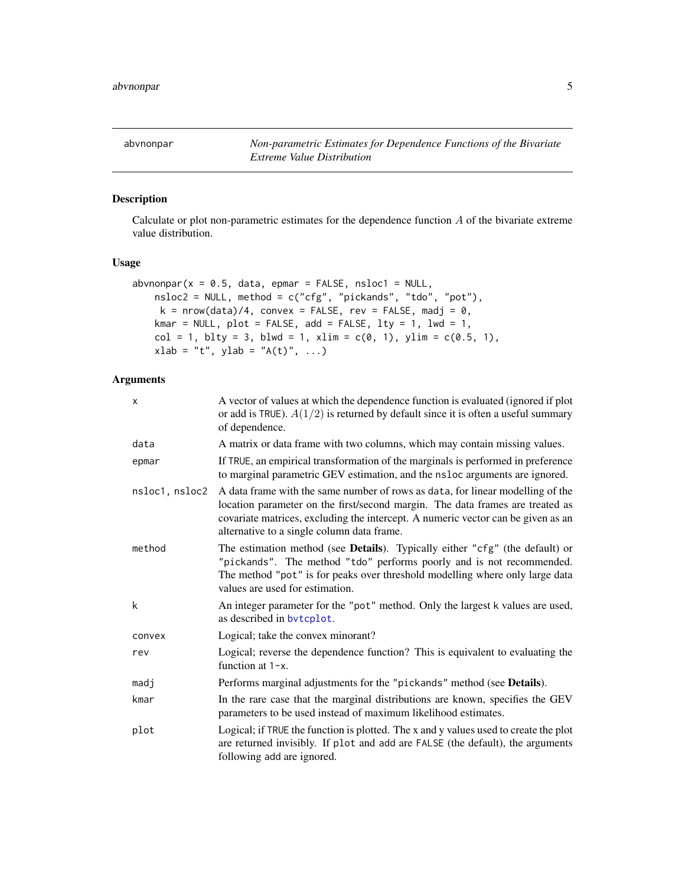<span id="page-4-1"></span><span id="page-4-0"></span>abvnonpar *Non-parametric Estimates for Dependence Functions of the Bivariate Extreme Value Distribution*

## Description

Calculate or plot non-parametric estimates for the dependence function A of the bivariate extreme value distribution.

## Usage

```
abronopar(x = 0.5, data, epmar = FALSE, nsloc1 = NULL,nsloc2 = NULL, method = c("cfg", "pickands", "tdo", "pot"),
    k = nrow(data)/4, convex = FALSE, rev = FALSE, madj = 0,
   kmar = NULL, plot = FALSE, add = FALSE, lty = 1, lwd = 1,
   col = 1, blty = 3, blwd = 1, xlim = c(0, 1), ylim = c(0.5, 1),
   xlab = "t", ylab = "A(t)", ...)
```

| X              | A vector of values at which the dependence function is evaluated (ignored if plot<br>or add is TRUE). $A(1/2)$ is returned by default since it is often a useful summary<br>of dependence.                                                                                                        |
|----------------|---------------------------------------------------------------------------------------------------------------------------------------------------------------------------------------------------------------------------------------------------------------------------------------------------|
| data           | A matrix or data frame with two columns, which may contain missing values.                                                                                                                                                                                                                        |
| epmar          | If TRUE, an empirical transformation of the marginals is performed in preference<br>to marginal parametric GEV estimation, and the nsloc arguments are ignored.                                                                                                                                   |
| nsloc1, nsloc2 | A data frame with the same number of rows as data, for linear modelling of the<br>location parameter on the first/second margin. The data frames are treated as<br>covariate matrices, excluding the intercept. A numeric vector can be given as an<br>alternative to a single column data frame. |
| method         | The estimation method (see Details). Typically either "cfg" (the default) or<br>"pickands". The method "tdo" performs poorly and is not recommended.<br>The method "pot" is for peaks over threshold modelling where only large data<br>values are used for estimation.                           |
| k              | An integer parameter for the "pot" method. Only the largest k values are used,<br>as described in bytcplot.                                                                                                                                                                                       |
| convex         | Logical; take the convex minorant?                                                                                                                                                                                                                                                                |
| rev            | Logical; reverse the dependence function? This is equivalent to evaluating the<br>function at $1-x$ .                                                                                                                                                                                             |
| madj           | Performs marginal adjustments for the "pickands" method (see <b>Details</b> ).                                                                                                                                                                                                                    |
| kmar           | In the rare case that the marginal distributions are known, specifies the GEV<br>parameters to be used instead of maximum likelihood estimates.                                                                                                                                                   |
| plot           | Logical; if TRUE the function is plotted. The x and y values used to create the plot<br>are returned invisibly. If plot and add are FALSE (the default), the arguments<br>following add are ignored.                                                                                              |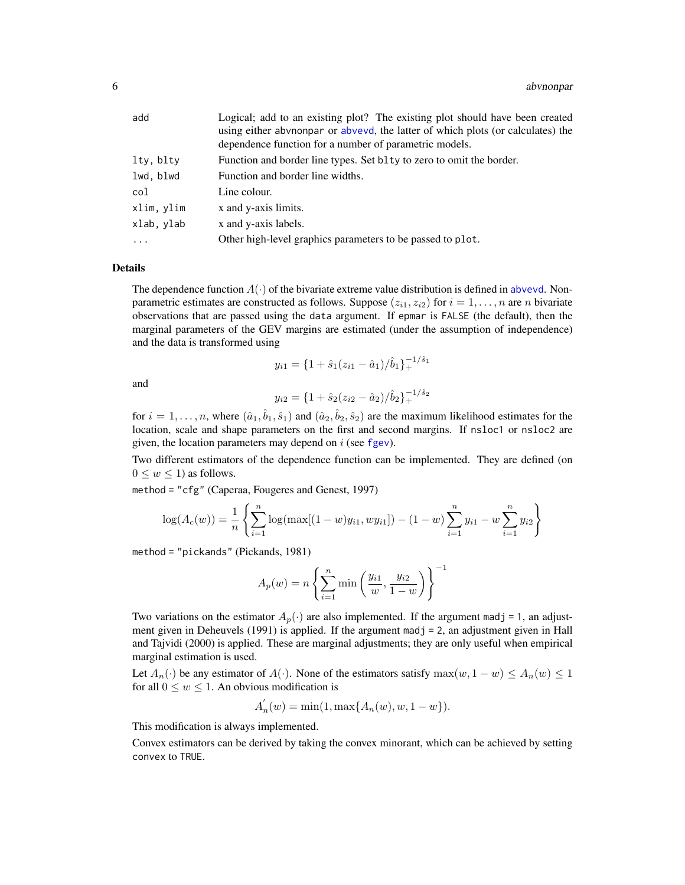| add        | Logical; add to an existing plot? The existing plot should have been created<br>using either abvnonpar or abvevd, the latter of which plots (or calculates) the<br>dependence function for a number of parametric models. |
|------------|---------------------------------------------------------------------------------------------------------------------------------------------------------------------------------------------------------------------------|
| lty, blty  | Function and border line types. Set blty to zero to omit the border.                                                                                                                                                      |
| lwd, blwd  | Function and border line widths.                                                                                                                                                                                          |
| col        | Line colour.                                                                                                                                                                                                              |
| xlim, ylim | x and y-axis limits.                                                                                                                                                                                                      |
| xlab, ylab | x and y-axis labels.                                                                                                                                                                                                      |
| $\cdots$   | Other high-level graphics parameters to be passed to plot.                                                                                                                                                                |

#### Details

The dependence function  $A(\cdot)$  of the bivariate extreme value distribution is defined in [abvevd](#page-2-1). Nonparametric estimates are constructed as follows. Suppose  $(z_{i1}, z_{i2})$  for  $i = 1, \ldots, n$  are n bivariate observations that are passed using the data argument. If epmar is FALSE (the default), then the marginal parameters of the GEV margins are estimated (under the assumption of independence) and the data is transformed using

$$
y_{i1} = \{1 + \hat{s}_1(z_{i1} - \hat{a}_1)/\hat{b}_1\}_+^{-1/\hat{s}_1}
$$

and

$$
y_{i2} = \{1 + \hat{s}_2(z_{i2} - \hat{a}_2)/\hat{b}_2\}^{-1/\hat{s}_2}_+
$$

for  $i = 1, \ldots, n$ , where  $(\hat{a}_1, \hat{b}_1, \hat{s}_1)$  and  $(\hat{a}_2, \hat{b}_2, \hat{s}_2)$  are the maximum likelihood estimates for the location, scale and shape parameters on the first and second margins. If nsloc1 or nsloc2 are given, the location parameters may depend on  $i$  (see [fgev](#page-39-1)).

Two different estimators of the dependence function can be implemented. They are defined (on  $0 \leq w \leq 1$ ) as follows.

method = "cfg" (Caperaa, Fougeres and Genest, 1997)

$$
\log(A_c(w)) = \frac{1}{n} \left\{ \sum_{i=1}^n \log(\max[(1-w)y_{i1}, wy_{i1}]) - (1-w)\sum_{i=1}^n y_{i1} - w\sum_{i=1}^n y_{i2} \right\}
$$

method = "pickands" (Pickands, 1981)

$$
A_p(w) = n \left\{ \sum_{i=1}^n \min \left( \frac{y_{i1}}{w}, \frac{y_{i2}}{1-w} \right) \right\}^{-1}
$$

Two variations on the estimator  $A_p(\cdot)$  are also implemented. If the argument madj = 1, an adjustment given in Deheuvels  $(1991)$  is applied. If the argument mad $j = 2$ , an adjustment given in Hall and Tajvidi (2000) is applied. These are marginal adjustments; they are only useful when empirical marginal estimation is used.

Let  $A_n(\cdot)$  be any estimator of  $A(\cdot)$ . None of the estimators satisfy  $\max(w, 1 - w) \le A_n(w) \le 1$ for all  $0 \le w \le 1$ . An obvious modification is

$$
A'_n(w) = \min(1, \max\{A_n(w), w, 1 - w\}).
$$

This modification is always implemented.

Convex estimators can be derived by taking the convex minorant, which can be achieved by setting convex to TRUE.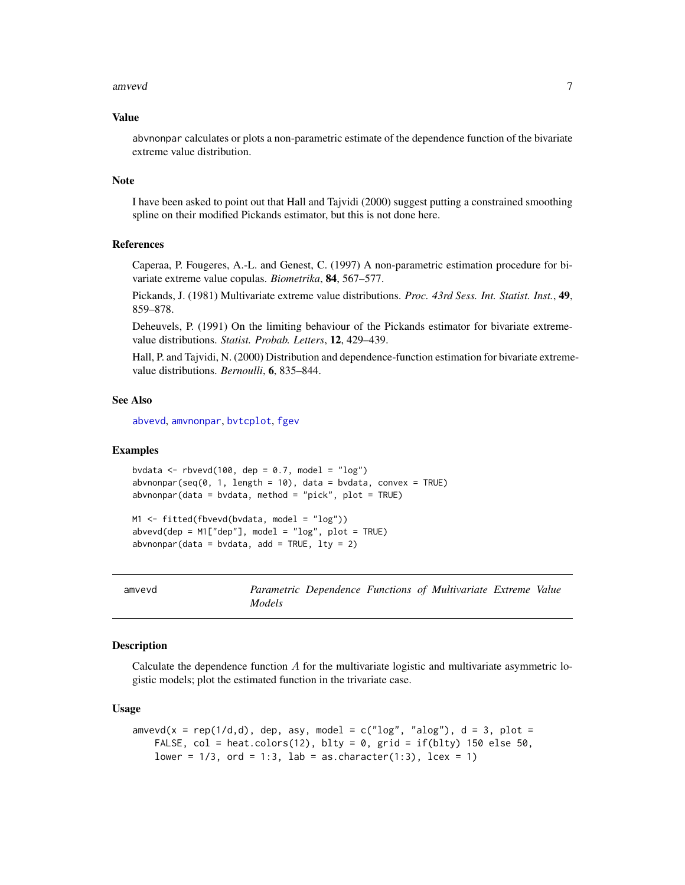#### <span id="page-6-0"></span>amvevd 7

#### Value

abvnonpar calculates or plots a non-parametric estimate of the dependence function of the bivariate extreme value distribution.

#### **Note**

I have been asked to point out that Hall and Tajvidi (2000) suggest putting a constrained smoothing spline on their modified Pickands estimator, but this is not done here.

## References

Caperaa, P. Fougeres, A.-L. and Genest, C. (1997) A non-parametric estimation procedure for bivariate extreme value copulas. *Biometrika*, 84, 567–577.

Pickands, J. (1981) Multivariate extreme value distributions. *Proc. 43rd Sess. Int. Statist. Inst.*, 49, 859–878.

Deheuvels, P. (1991) On the limiting behaviour of the Pickands estimator for bivariate extremevalue distributions. *Statist. Probab. Letters*, 12, 429–439.

Hall, P. and Tajvidi, N. (2000) Distribution and dependence-function estimation for bivariate extremevalue distributions. *Bernoulli*, 6, 835–844.

## See Also

[abvevd](#page-2-1), [amvnonpar](#page-8-1), [bvtcplot](#page-16-1), [fgev](#page-39-1)

## Examples

bvdata <- rbvevd(100, dep =  $0.7$ , model = "log")  $abronopar(seq(0, 1, length = 10)$ , data = bvdata, convex = TRUE) abvnonpar(data = bvdata, method = "pick", plot = TRUE)

M1 <- fitted(fbvevd(bvdata, model = "log"))  $abvevd(dep = M1['dep'']$ , model = " $log"$ , plot = TRUE)  $abronpar(data = bvdata, add = TRUE, lty = 2)$ 

<span id="page-6-1"></span>

| amvevd |               |  | Parametric Dependence Functions of Multivariate Extreme Value |  |
|--------|---------------|--|---------------------------------------------------------------|--|
|        | <i>Models</i> |  |                                                               |  |

#### Description

Calculate the dependence function  $A$  for the multivariate logistic and multivariate asymmetric logistic models; plot the estimated function in the trivariate case.

#### Usage

```
amvevd(x = rep(1/d,d), dep, asy, model = c("log", "alog"), d = 3, plot =
   FALSE, col = heat.colors(12), blty = 0, grid = if(blty) 150 else 50,
   lower = 1/3, ord = 1:3, lab = as.character(1:3), lcex = 1)
```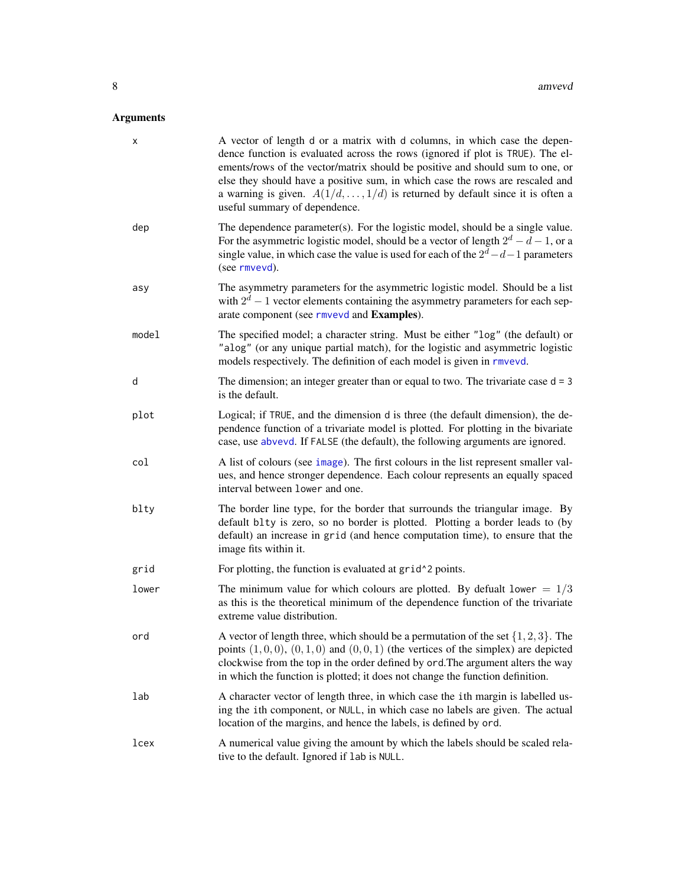| х     | A vector of length d or a matrix with d columns, in which case the depen-<br>dence function is evaluated across the rows (ignored if plot is TRUE). The el-<br>ements/rows of the vector/matrix should be positive and should sum to one, or<br>else they should have a positive sum, in which case the rows are rescaled and<br>a warning is given. $A(1/d, \ldots, 1/d)$ is returned by default since it is often a<br>useful summary of dependence. |
|-------|--------------------------------------------------------------------------------------------------------------------------------------------------------------------------------------------------------------------------------------------------------------------------------------------------------------------------------------------------------------------------------------------------------------------------------------------------------|
| dep   | The dependence parameter(s). For the logistic model, should be a single value.<br>For the asymmetric logistic model, should be a vector of length $2^d - d - 1$ , or a<br>single value, in which case the value is used for each of the $2^d - d - 1$ parameters<br>(see rmvevd).                                                                                                                                                                      |
| asy   | The asymmetry parameters for the asymmetric logistic model. Should be a list<br>with $2^d - 1$ vector elements containing the asymmetry parameters for each sep-<br>arate component (see rmvevd and Examples).                                                                                                                                                                                                                                         |
| model | The specified model; a character string. Must be either "log" (the default) or<br>"alog" (or any unique partial match), for the logistic and asymmetric logistic<br>models respectively. The definition of each model is given in rmvevd.                                                                                                                                                                                                              |
| d     | The dimension; an integer greater than or equal to two. The trivariate case $d = 3$<br>is the default.                                                                                                                                                                                                                                                                                                                                                 |
| plot  | Logical; if TRUE, and the dimension d is three (the default dimension), the de-<br>pendence function of a trivariate model is plotted. For plotting in the bivariate<br>case, use abvevd. If FALSE (the default), the following arguments are ignored.                                                                                                                                                                                                 |
| col   | A list of colours (see image). The first colours in the list represent smaller val-<br>ues, and hence stronger dependence. Each colour represents an equally spaced<br>interval between lower and one.                                                                                                                                                                                                                                                 |
| blty  | The border line type, for the border that surrounds the triangular image. By<br>default blty is zero, so no border is plotted. Plotting a border leads to (by<br>default) an increase in grid (and hence computation time), to ensure that the<br>image fits within it.                                                                                                                                                                                |
| grid  | For plotting, the function is evaluated at grid <sup>1</sup> 2 points.                                                                                                                                                                                                                                                                                                                                                                                 |
| lower | The minimum value for which colours are plotted. By defualt lower $= 1/3$<br>as this is the theoretical minimum of the dependence function of the trivariate<br>extreme value distribution.                                                                                                                                                                                                                                                            |
| ord   | A vector of length three, which should be a permutation of the set $\{1, 2, 3\}$ . The<br>points $(1,0,0)$ , $(0,1,0)$ and $(0,0,1)$ (the vertices of the simplex) are depicted<br>clockwise from the top in the order defined by ord. The argument alters the way<br>in which the function is plotted; it does not change the function definition.                                                                                                    |
| lab   | A character vector of length three, in which case the ith margin is labelled us-<br>ing the ith component, or NULL, in which case no labels are given. The actual<br>location of the margins, and hence the labels, is defined by ord.                                                                                                                                                                                                                 |
| lcex  | A numerical value giving the amount by which the labels should be scaled rela-<br>tive to the default. Ignored if lab is NULL.                                                                                                                                                                                                                                                                                                                         |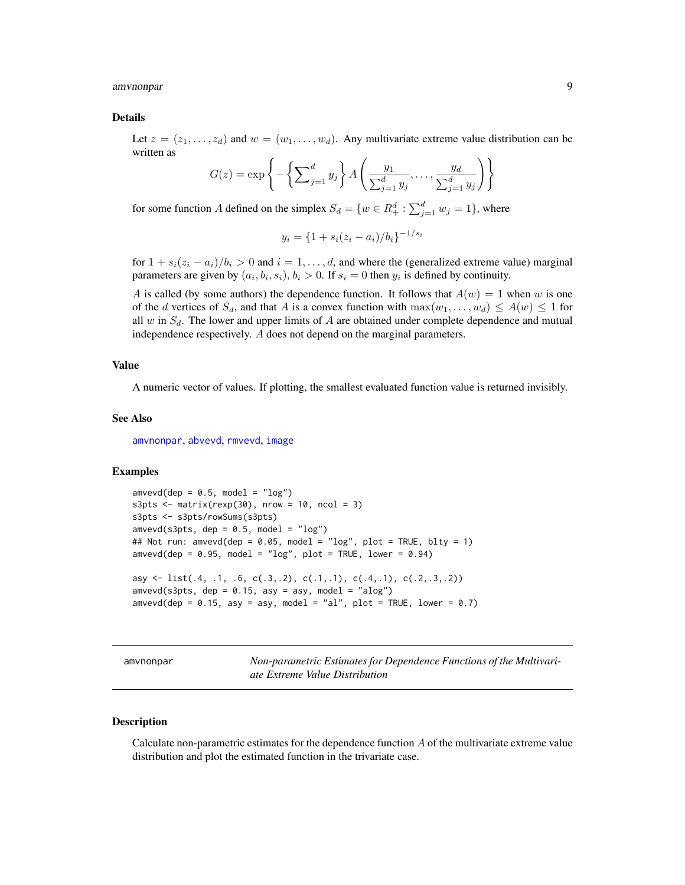<span id="page-8-0"></span>amvnonpar 9

#### Details

Let  $z = (z_1, \ldots, z_d)$  and  $w = (w_1, \ldots, w_d)$ . Any multivariate extreme value distribution can be written as

$$
G(z) = \exp\left\{-\left\{\sum_{j=1}^d y_j\right\} A\left(\frac{y_1}{\sum_{j=1}^d y_j}, \dots, \frac{y_d}{\sum_{j=1}^d y_j}\right)\right\}
$$

for some function A defined on the simplex  $S_d = \{w \in R_+^d : \sum_{j=1}^d w_j = 1\}$ , where

$$
y_i = \{1 + s_i(z_i - a_i)/b_i\}^{-1/s_i}
$$

for  $1 + s_i(z_i - a_i)/b_i > 0$  and  $i = 1, ..., d$ , and where the (generalized extreme value) marginal parameters are given by  $(a_i, b_i, s_i)$ ,  $b_i > 0$ . If  $s_i = 0$  then  $y_i$  is defined by continuity.

A is called (by some authors) the dependence function. It follows that  $A(w) = 1$  when w is one of the d vertices of  $S_d$ , and that A is a convex function with  $\max(w_1, \ldots, w_d) \leq A(w) \leq 1$  for all w in  $S_d$ . The lower and upper limits of A are obtained under complete dependence and mutual independence respectively. A does not depend on the marginal parameters.

#### Value

A numeric vector of values. If plotting, the smallest evaluated function value is returned invisibly.

#### See Also

[amvnonpar](#page-8-1), [abvevd](#page-2-1), [rmvevd](#page-62-1), [image](#page-0-0)

## Examples

```
amvevd(dep = 0.5, model = "log")s3pts \le matrix(rexp(30), nrow = 10, ncol = 3)
s3pts <- s3pts/rowSums(s3pts)
amvevd(s3pts, dep = 0.5, model = "log")## Not run: amvevd(dep = 0.05, model = "log", plot = TRUE, blty = 1)
amvevd(dep = 0.95, model = "log", plot = TRUE, lower = 0.94)asy \le list(.4, .1, .6, c(.3,.2), c(.1,.1), c(.4,.1), c(.2,.3,.2))
amvevd(s3pts, dep = 0.15, asy = asy, model = "alog")amvevd(dep = 0.15, asy = asy, model = "al", plot = TRUE, lower = 0.7)
```
<span id="page-8-1"></span>amvnonpar *Non-parametric Estimates for Dependence Functions of the Multivariate Extreme Value Distribution*

## Description

Calculate non-parametric estimates for the dependence function  $A$  of the multivariate extreme value distribution and plot the estimated function in the trivariate case.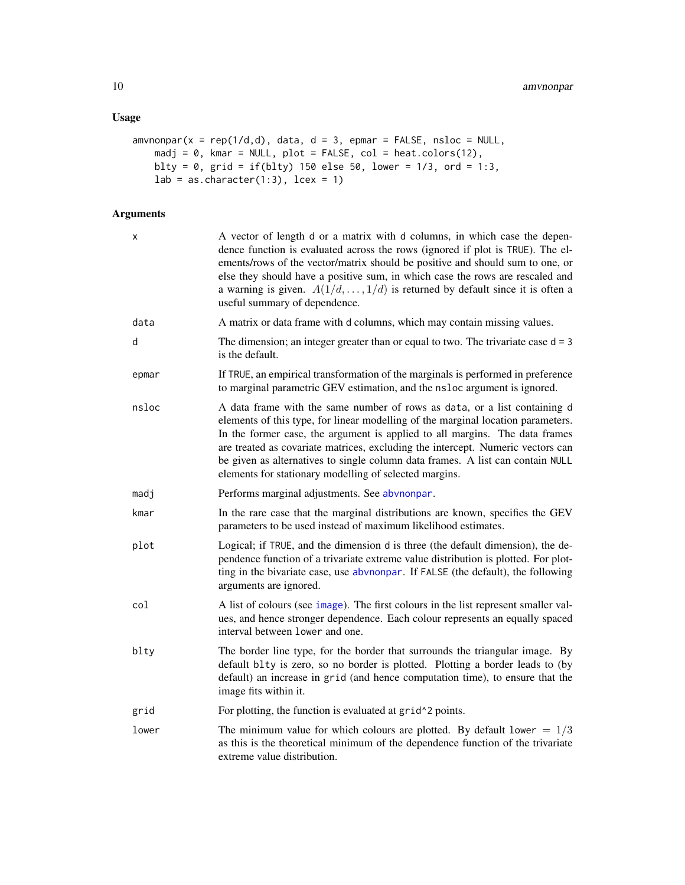## Usage

```
amvnonpar(x = rep(1/d,d), data, d = 3, epman = FALSE, nshoc = NULL,madj = \theta, kmar = NULL, plot = FALSE, col = heat.colors(12),
   blty = 0, grid = if(blty) 150 else 50, lower = 1/3, ord = 1:3,
    lab = as.charAtacter(1:3), leex = 1)
```

| Χ     | A vector of length d or a matrix with d columns, in which case the depen-<br>dence function is evaluated across the rows (ignored if plot is TRUE). The el-<br>ements/rows of the vector/matrix should be positive and should sum to one, or<br>else they should have a positive sum, in which case the rows are rescaled and<br>a warning is given. $A(1/d, \ldots, 1/d)$ is returned by default since it is often a<br>useful summary of dependence.                      |
|-------|-----------------------------------------------------------------------------------------------------------------------------------------------------------------------------------------------------------------------------------------------------------------------------------------------------------------------------------------------------------------------------------------------------------------------------------------------------------------------------|
| data  | A matrix or data frame with d columns, which may contain missing values.                                                                                                                                                                                                                                                                                                                                                                                                    |
| d     | The dimension; an integer greater than or equal to two. The trivariate case $d = 3$<br>is the default.                                                                                                                                                                                                                                                                                                                                                                      |
| epmar | If TRUE, an empirical transformation of the marginals is performed in preference<br>to marginal parametric GEV estimation, and the nsloc argument is ignored.                                                                                                                                                                                                                                                                                                               |
| nsloc | A data frame with the same number of rows as data, or a list containing d<br>elements of this type, for linear modelling of the marginal location parameters.<br>In the former case, the argument is applied to all margins. The data frames<br>are treated as covariate matrices, excluding the intercept. Numeric vectors can<br>be given as alternatives to single column data frames. A list can contain NULL<br>elements for stationary modelling of selected margins. |
| madj  | Performs marginal adjustments. See abvnonpar.                                                                                                                                                                                                                                                                                                                                                                                                                               |
| kmar  | In the rare case that the marginal distributions are known, specifies the GEV<br>parameters to be used instead of maximum likelihood estimates.                                                                                                                                                                                                                                                                                                                             |
| plot  | Logical; if TRUE, and the dimension d is three (the default dimension), the de-<br>pendence function of a trivariate extreme value distribution is plotted. For plot-<br>ting in the bivariate case, use abvnonpar. If FALSE (the default), the following<br>arguments are ignored.                                                                                                                                                                                         |
| col   | A list of colours (see image). The first colours in the list represent smaller val-<br>ues, and hence stronger dependence. Each colour represents an equally spaced<br>interval between lower and one.                                                                                                                                                                                                                                                                      |
| blty  | The border line type, for the border that surrounds the triangular image. By<br>default blty is zero, so no border is plotted. Plotting a border leads to (by<br>default) an increase in grid (and hence computation time), to ensure that the<br>image fits within it.                                                                                                                                                                                                     |
| grid  | For plotting, the function is evaluated at grid <sup>^2</sup> points.                                                                                                                                                                                                                                                                                                                                                                                                       |
| lower | The minimum value for which colours are plotted. By default lower = $1/3$<br>as this is the theoretical minimum of the dependence function of the trivariate<br>extreme value distribution.                                                                                                                                                                                                                                                                                 |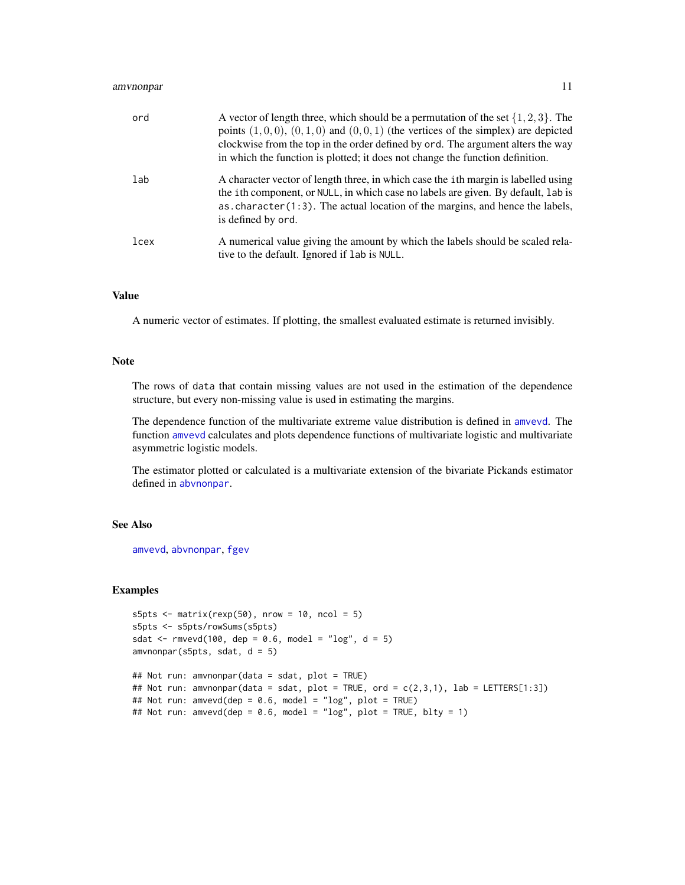| ord  | A vector of length three, which should be a permutation of the set $\{1, 2, 3\}$ . The<br>points $(1,0,0)$ , $(0,1,0)$ and $(0,0,1)$ (the vertices of the simplex) are depicted<br>clockwise from the top in the order defined by ord. The argument alters the way<br>in which the function is plotted; it does not change the function definition. |
|------|-----------------------------------------------------------------------------------------------------------------------------------------------------------------------------------------------------------------------------------------------------------------------------------------------------------------------------------------------------|
| lab  | A character vector of length three, in which case the <i>i</i> th margin is labelled using<br>the ith component, or NULL, in which case no labels are given. By default, lab is<br>as. character $(1:3)$ . The actual location of the margins, and hence the labels,<br>is defined by ord.                                                          |
| lcex | A numerical value giving the amount by which the labels should be scaled rela-<br>tive to the default. Ignored if lab is NULL.                                                                                                                                                                                                                      |

## Value

A numeric vector of estimates. If plotting, the smallest evaluated estimate is returned invisibly.

## Note

The rows of data that contain missing values are not used in the estimation of the dependence structure, but every non-missing value is used in estimating the margins.

The dependence function of the multivariate extreme value distribution is defined in [amvevd](#page-6-1). The function [amvevd](#page-6-1) calculates and plots dependence functions of multivariate logistic and multivariate asymmetric logistic models.

The estimator plotted or calculated is a multivariate extension of the bivariate Pickands estimator defined in [abvnonpar](#page-4-1).

## See Also

[amvevd](#page-6-1), [abvnonpar](#page-4-1), [fgev](#page-39-1)

## Examples

```
s5pts \le matrix(rexp(50), nrow = 10, ncol = 5)
s5pts <- s5pts/rowSums(s5pts)
sdat <- rmvevd(100, dep = 0.6, model = "log", d = 5)
amvnonpar(s5pts, sdat, d = 5)
```

```
## Not run: amvnonpar(data = sdat, plot = TRUE)
## Not run: amvnonpar(data = sdat, plot = TRUE, ord = c(2,3,1), lab = LETTERS[1:3])
## Not run: amvevd(dep = 0.6, model = "log", plot = TRUE)
## Not run: amvevd(dep = 0.6, model = "log", plot = TRUE, blty = 1)
```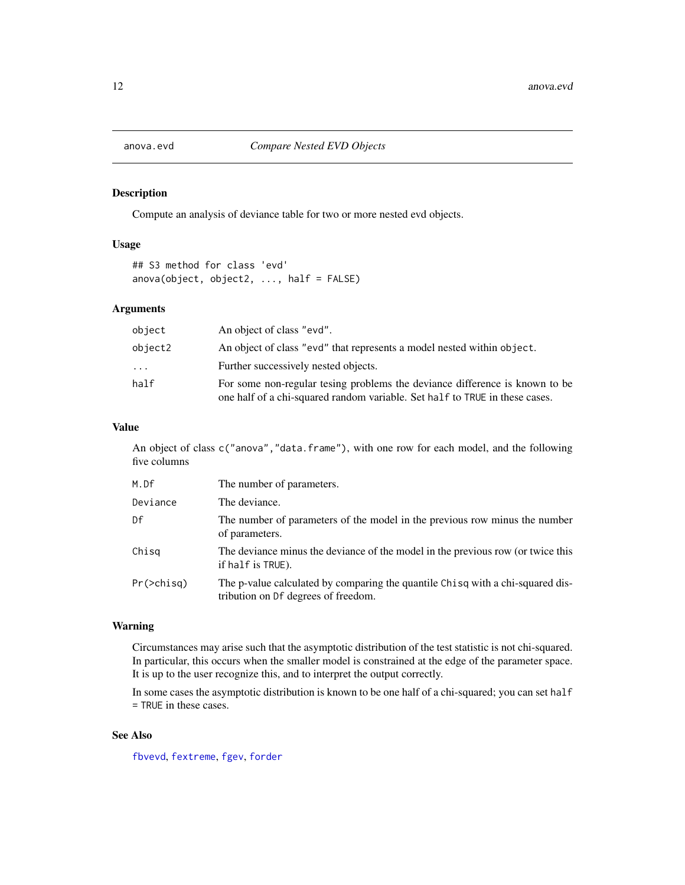<span id="page-11-1"></span><span id="page-11-0"></span>

## Description

Compute an analysis of deviance table for two or more nested evd objects.

## Usage

```
## S3 method for class 'evd'
anova(object, object2, ..., half = FALSE)
```
#### Arguments

| object   | An object of class "evd".                                                                                                                                  |
|----------|------------------------------------------------------------------------------------------------------------------------------------------------------------|
| object2  | An object of class "evd" that represents a model nested within object.                                                                                     |
| $\ddots$ | Further successively nested objects.                                                                                                                       |
| half     | For some non-regular tesing problems the deviance difference is known to be<br>one half of a chi-squared random variable. Set half to TRUE in these cases. |

## Value

An object of class c("anova", "data.frame"), with one row for each model, and the following five columns

| M.Df       | The number of parameters.                                                                                             |
|------------|-----------------------------------------------------------------------------------------------------------------------|
| Deviance   | The deviance.                                                                                                         |
| Df         | The number of parameters of the model in the previous row minus the number<br>of parameters.                          |
| Chisg      | The deviance minus the deviance of the model in the previous row (or twice this<br>if half is TRUE).                  |
| Pr(>chisg) | The p-value calculated by comparing the quantile Chisq with a chi-squared dis-<br>tribution on Df degrees of freedom. |

## Warning

Circumstances may arise such that the asymptotic distribution of the test statistic is not chi-squared. In particular, this occurs when the smaller model is constrained at the edge of the parameter space. It is up to the user recognize this, and to interpret the output correctly.

In some cases the asymptotic distribution is known to be one half of a chi-squared; you can set half = TRUE in these cases.

## See Also

[fbvevd](#page-30-1), [fextreme](#page-37-1), [fgev](#page-39-1), [forder](#page-44-1)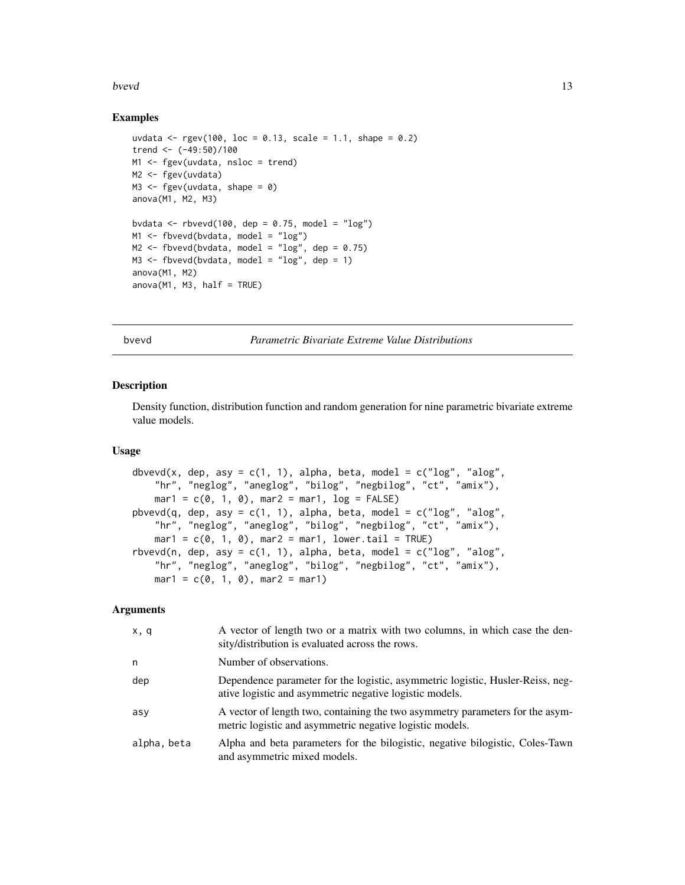#### <span id="page-12-0"></span>bvevd and the state of the state of the state of the state of the state of the state of the state of the state of the state of the state of the state of the state of the state of the state of the state of the state of the

## Examples

```
uvdata <- rgev(100, \text{loc} = 0.13, \text{scale} = 1.1, \text{shape} = 0.2)trend <- (-49:50)/100
M1 <- fgev(uvdata, nsloc = trend)
M2 <- fgev(uvdata)
M3 \leq fgev(uvdata, shape = 0)
anova(M1, M2, M3)
bvdata <- rbvevd(100, dep = 0.75, model = "log")
M1 <- fbvevd(bvdata, model = "log")
M2 \leq fbvevd(bvdata, model = "log", dep = 0.75)
M3 <- fbvevd(bvdata, model = "log", dep = 1)
anova(M1, M2)
anova(M1, M3, half = TRUE)
```
bvevd *Parametric Bivariate Extreme Value Distributions*

#### <span id="page-12-1"></span>Description

Density function, distribution function and random generation for nine parametric bivariate extreme value models.

#### Usage

```
dbvevd(x, dep, asy = c(1, 1), alpha, beta, model = c("log", "alog",
    "hr", "neglog", "aneglog", "bilog", "negbilog", "ct", "amix"),
   mar1 = c(0, 1, 0), mar2 = mar1, log = FALSE)pbvevd(q, dep, asy = c(1, 1), alpha, beta, model = c("log", "alog","hr", "neglog", "aneglog", "bilog", "negbilog", "ct", "amix"),
   mar1 = c(0, 1, 0), mar2 = mar1, lower.tail = TRUE)
rbvevd(n, dep, asy = c(1, 1), alpha, beta, model = c("log", "alog","hr", "neglog", "aneglog", "bilog", "negbilog", "ct", "amix"),
   mar1 = c(0, 1, 0), mar2 = mar1)
```

| x, q        | A vector of length two or a matrix with two columns, in which case the den-<br>sity/distribution is evaluated across the rows.            |
|-------------|-------------------------------------------------------------------------------------------------------------------------------------------|
| n           | Number of observations.                                                                                                                   |
| dep         | Dependence parameter for the logistic, asymmetric logistic, Husler-Reiss, neg-<br>ative logistic and asymmetric negative logistic models. |
| asy         | A vector of length two, containing the two asymmetry parameters for the asym-<br>metric logistic and asymmetric negative logistic models. |
| alpha, beta | Alpha and beta parameters for the bilogistic, negative bilogistic, Coles-Tawn<br>and asymmetric mixed models.                             |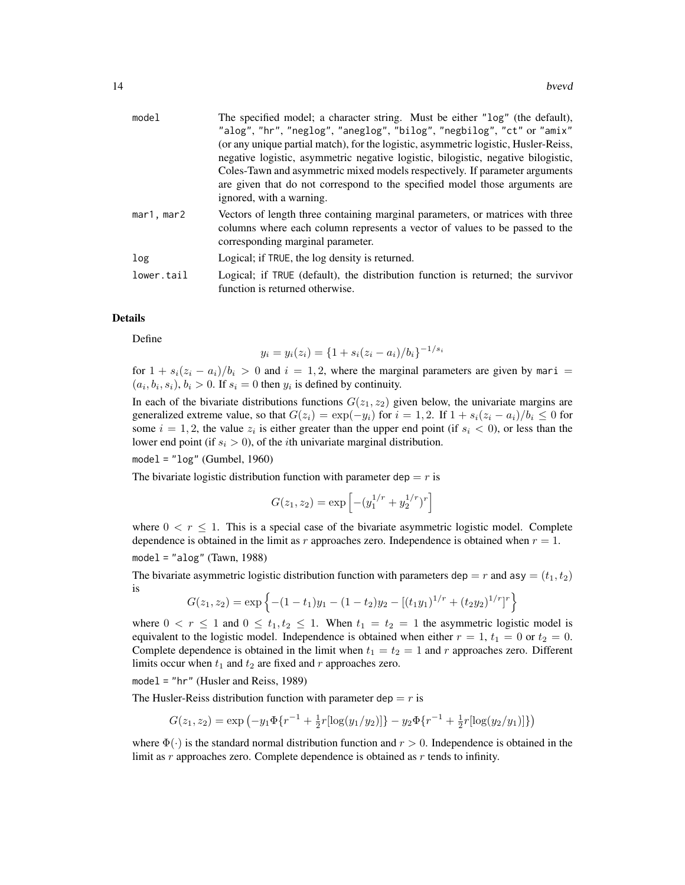| model      | The specified model; a character string. Must be either "log" (the default),<br>"alog", "hr", "neglog", "aneglog", "bilog", "negbilog", "ct" or "amix"<br>(or any unique partial match), for the logistic, asymmetric logistic, Husler-Reiss,<br>negative logistic, asymmetric negative logistic, bilogistic, negative bilogistic,<br>Coles-Tawn and asymmetric mixed models respectively. If parameter arguments<br>are given that do not correspond to the specified model those arguments are<br>ignored, with a warning. |
|------------|------------------------------------------------------------------------------------------------------------------------------------------------------------------------------------------------------------------------------------------------------------------------------------------------------------------------------------------------------------------------------------------------------------------------------------------------------------------------------------------------------------------------------|
| mar1, mar2 | Vectors of length three containing marginal parameters, or matrices with three<br>columns where each column represents a vector of values to be passed to the<br>corresponding marginal parameter.                                                                                                                                                                                                                                                                                                                           |
| log        | Logical; if TRUE, the log density is returned.                                                                                                                                                                                                                                                                                                                                                                                                                                                                               |
| lower.tail | Logical; if TRUE (default), the distribution function is returned; the survivor<br>function is returned otherwise.                                                                                                                                                                                                                                                                                                                                                                                                           |

## Details

Define

$$
y_i = y_i(z_i) = \{1 + s_i(z_i - a_i)/b_i\}^{-1/s_i}
$$

for  $1 + s_i(z_i - a_i)/b_i > 0$  and  $i = 1, 2$ , where the marginal parameters are given by mari =  $(a_i, b_i, s_i), b_i > 0$ . If  $s_i = 0$  then  $y_i$  is defined by continuity.

In each of the bivariate distributions functions  $G(z_1, z_2)$  given below, the univariate margins are generalized extreme value, so that  $G(z_i) = \exp(-y_i)$  for  $i = 1, 2$ . If  $1 + s_i(z_i - a_i)/b_i \leq 0$  for some  $i = 1, 2$ , the value  $z_i$  is either greater than the upper end point (if  $s_i < 0$ ), or less than the lower end point (if  $s_i > 0$ ), of the *i*th univariate marginal distribution.

## $model = "log" (Gumbel, 1960)$

The bivariate logistic distribution function with parameter dep  $= r$  is

$$
G(z_1, z_2) = \exp\left[ -(y_1^{1/r} + y_2^{1/r})^r \right]
$$

where  $0 < r \leq 1$ . This is a special case of the bivariate asymmetric logistic model. Complete dependence is obtained in the limit as r approaches zero. Independence is obtained when  $r = 1$ .

$$
model = "alog" (Tawn, 1988)
$$

The bivariate asymmetric logistic distribution function with parameters dep =  $r$  and asy =  $(t_1, t_2)$ is

$$
G(z_1, z_2) = \exp \left\{ -(1 - t_1)y_1 - (1 - t_2)y_2 - [(t_1y_1)^{1/r} + (t_2y_2)^{1/r}]^r \right\}
$$

where  $0 < r \le 1$  and  $0 \le t_1, t_2 \le 1$ . When  $t_1 = t_2 = 1$  the asymmetric logistic model is equivalent to the logistic model. Independence is obtained when either  $r = 1$ ,  $t_1 = 0$  or  $t_2 = 0$ . Complete dependence is obtained in the limit when  $t_1 = t_2 = 1$  and r approaches zero. Different limits occur when  $t_1$  and  $t_2$  are fixed and r approaches zero.

model = "hr" (Husler and Reiss, 1989)

The Husler-Reiss distribution function with parameter dep  $= r$  is

$$
G(z_1, z_2) = \exp\left(-y_1 \Phi\{r^{-1} + \frac{1}{2}r[\log(y_1/y_2)]\} - y_2 \Phi\{r^{-1} + \frac{1}{2}r[\log(y_2/y_1)]\}\right)
$$

where  $\Phi(\cdot)$  is the standard normal distribution function and  $r > 0$ . Independence is obtained in the limit as  $r$  approaches zero. Complete dependence is obtained as  $r$  tends to infinity.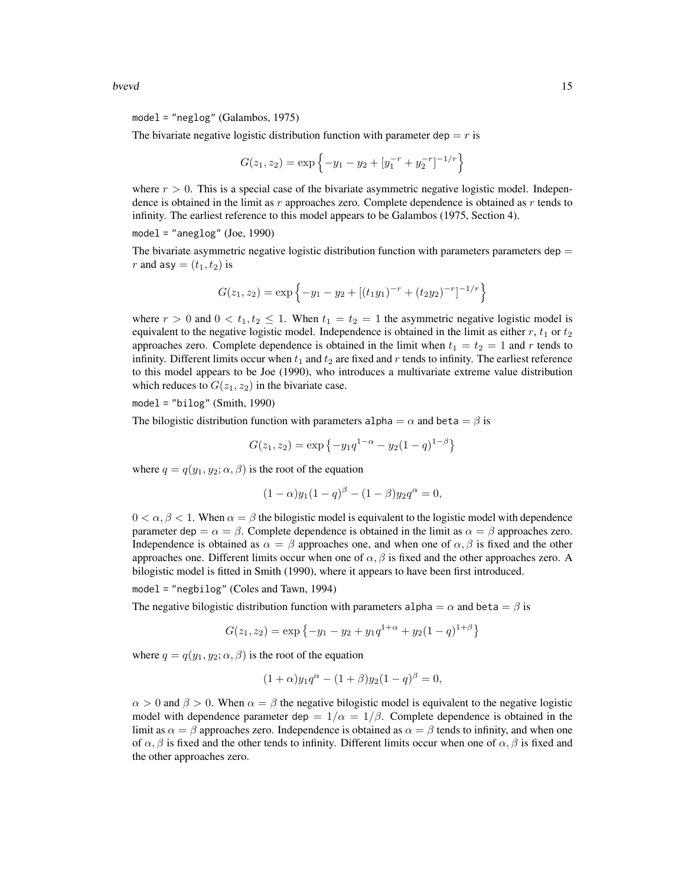bvevd and the state of the state of the state of the state of the state of the state of the state of the state of the state of the state of the state of the state of the state of the state of the state of the state of the

The bivariate negative logistic distribution function with parameter dep  $= r$  is

$$
G(z_1, z_2) = \exp \left\{-y_1 - y_2 + [y_1^{-r} + y_2^{-r}]^{-1/r}\right\}
$$

where  $r > 0$ . This is a special case of the bivariate asymmetric negative logistic model. Independence is obtained in the limit as  $r$  approaches zero. Complete dependence is obtained as  $r$  tends to infinity. The earliest reference to this model appears to be Galambos (1975, Section 4).

model = "aneg $log$ " (Joe, 1990)

The bivariate asymmetric negative logistic distribution function with parameters parameters dep  $=$ r and asy  $=(t_1, t_2)$  is

$$
G(z_1, z_2) = \exp \{-y_1 - y_2 + [(t_1y_1)^{-r} + (t_2y_2)^{-r}]^{-1/r}\}
$$

where  $r > 0$  and  $0 < t_1, t_2 \leq 1$ . When  $t_1 = t_2 = 1$  the asymmetric negative logistic model is equivalent to the negative logistic model. Independence is obtained in the limit as either  $r$ ,  $t_1$  or  $t_2$ approaches zero. Complete dependence is obtained in the limit when  $t_1 = t_2 = 1$  and r tends to infinity. Different limits occur when  $t_1$  and  $t_2$  are fixed and r tends to infinity. The earliest reference to this model appears to be Joe (1990), who introduces a multivariate extreme value distribution which reduces to  $G(z_1, z_2)$  in the bivariate case.

 $model = "bilog" (Smith, 1990)$ 

The bilogistic distribution function with parameters alpha  $=\alpha$  and beta  $=\beta$  is

$$
G(z_1, z_2) = \exp\{-y_1 q^{1-\alpha} - y_2 (1-q)^{1-\beta}\}
$$

where  $q = q(y_1, y_2; \alpha, \beta)$  is the root of the equation

$$
(1 - \alpha)y_1(1 - q)^{\beta} - (1 - \beta)y_2q^{\alpha} = 0,
$$

 $0 < \alpha, \beta < 1$ . When  $\alpha = \beta$  the bilogistic model is equivalent to the logistic model with dependence parameter dep =  $\alpha = \beta$ . Complete dependence is obtained in the limit as  $\alpha = \beta$  approaches zero. Independence is obtained as  $\alpha = \beta$  approaches one, and when one of  $\alpha, \beta$  is fixed and the other approaches one. Different limits occur when one of  $\alpha$ ,  $\beta$  is fixed and the other approaches zero. A bilogistic model is fitted in Smith (1990), where it appears to have been first introduced.

model = "negbilog" (Coles and Tawn, 1994)

The negative bilogistic distribution function with parameters alpha =  $\alpha$  and beta =  $\beta$  is

$$
G(z_1, z_2) = \exp \{-y_1 - y_2 + y_1 q^{1+\alpha} + y_2 (1-q)^{1+\beta} \}
$$

where  $q = q(y_1, y_2; \alpha, \beta)$  is the root of the equation

$$
(1+\alpha)y_1q^{\alpha} - (1+\beta)y_2(1-q)^{\beta} = 0,
$$

 $\alpha > 0$  and  $\beta > 0$ . When  $\alpha = \beta$  the negative bilogistic model is equivalent to the negative logistic model with dependence parameter dep  $= 1/\alpha = 1/\beta$ . Complete dependence is obtained in the limit as  $\alpha = \beta$  approaches zero. Independence is obtained as  $\alpha = \beta$  tends to infinity, and when one of  $\alpha$ ,  $\beta$  is fixed and the other tends to infinity. Different limits occur when one of  $\alpha$ ,  $\beta$  is fixed and the other approaches zero.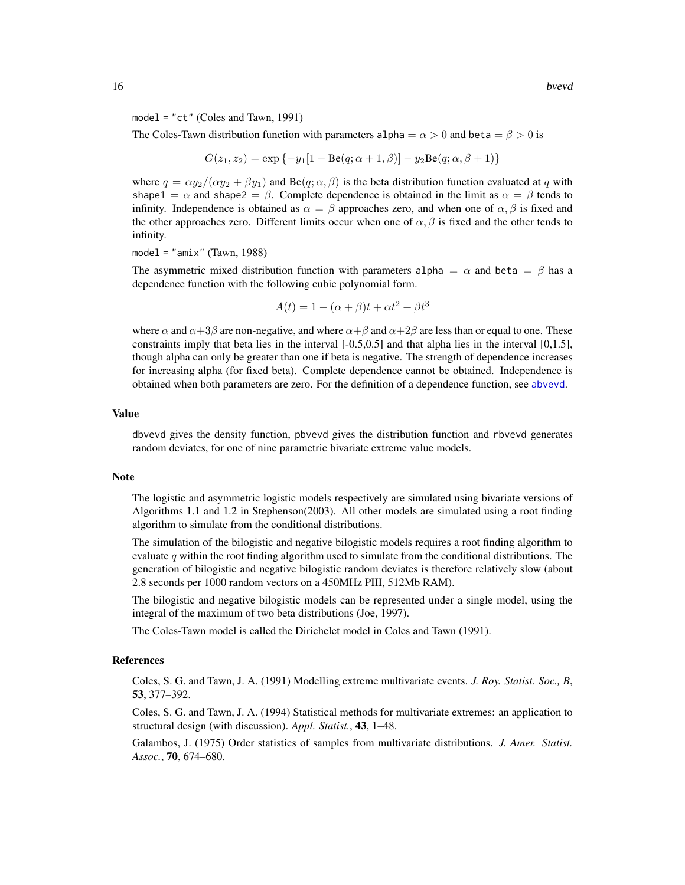model = "ct" (Coles and Tawn, 1991)

The Coles-Tawn distribution function with parameters alpha =  $\alpha > 0$  and beta =  $\beta > 0$  is

$$
G(z_1, z_2) = \exp\{-y_1[1 - \text{Be}(q; \alpha + 1, \beta)] - y_2 \text{Be}(q; \alpha, \beta + 1)\}\
$$

where  $q = \alpha y_2/(\alpha y_2 + \beta y_1)$  and Be(q;  $\alpha, \beta$ ) is the beta distribution function evaluated at q with shape1 =  $\alpha$  and shape2 =  $\beta$ . Complete dependence is obtained in the limit as  $\alpha = \beta$  tends to infinity. Independence is obtained as  $\alpha = \beta$  approaches zero, and when one of  $\alpha, \beta$  is fixed and the other approaches zero. Different limits occur when one of  $\alpha$ ,  $\beta$  is fixed and the other tends to infinity.

 $model = "amix" (Tawn, 1988)$ 

The asymmetric mixed distribution function with parameters alpha =  $\alpha$  and beta =  $\beta$  has a dependence function with the following cubic polynomial form.

$$
A(t) = 1 - (\alpha + \beta)t + \alpha t^2 + \beta t^3
$$

where  $\alpha$  and  $\alpha+3\beta$  are non-negative, and where  $\alpha+\beta$  and  $\alpha+2\beta$  are less than or equal to one. These constraints imply that beta lies in the interval  $[-0.5,0.5]$  and that alpha lies in the interval  $[0,1.5]$ , though alpha can only be greater than one if beta is negative. The strength of dependence increases for increasing alpha (for fixed beta). Complete dependence cannot be obtained. Independence is obtained when both parameters are zero. For the definition of a dependence function, see [abvevd](#page-2-1).

#### Value

dbvevd gives the density function, pbvevd gives the distribution function and rbvevd generates random deviates, for one of nine parametric bivariate extreme value models.

#### Note

The logistic and asymmetric logistic models respectively are simulated using bivariate versions of Algorithms 1.1 and 1.2 in Stephenson(2003). All other models are simulated using a root finding algorithm to simulate from the conditional distributions.

The simulation of the bilogistic and negative bilogistic models requires a root finding algorithm to evaluate q within the root finding algorithm used to simulate from the conditional distributions. The generation of bilogistic and negative bilogistic random deviates is therefore relatively slow (about 2.8 seconds per 1000 random vectors on a 450MHz PIII, 512Mb RAM).

The bilogistic and negative bilogistic models can be represented under a single model, using the integral of the maximum of two beta distributions (Joe, 1997).

The Coles-Tawn model is called the Dirichelet model in Coles and Tawn (1991).

#### **References**

Coles, S. G. and Tawn, J. A. (1991) Modelling extreme multivariate events. *J. Roy. Statist. Soc., B*, 53, 377–392.

Coles, S. G. and Tawn, J. A. (1994) Statistical methods for multivariate extremes: an application to structural design (with discussion). *Appl. Statist.*, 43, 1–48.

Galambos, J. (1975) Order statistics of samples from multivariate distributions. *J. Amer. Statist. Assoc.*, 70, 674–680.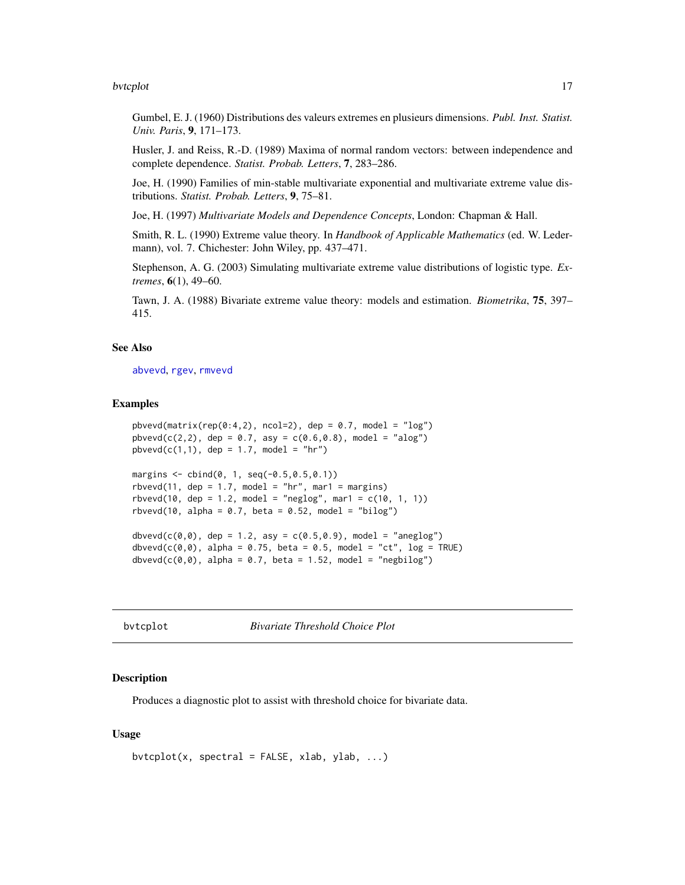#### <span id="page-16-0"></span>bvtcplot the state of the state of the state of the state of the state of the state of the state of the state of the state of the state of the state of the state of the state of the state of the state of the state of the s

Gumbel, E. J. (1960) Distributions des valeurs extremes en plusieurs dimensions. *Publ. Inst. Statist. Univ. Paris*, 9, 171–173.

Husler, J. and Reiss, R.-D. (1989) Maxima of normal random vectors: between independence and complete dependence. *Statist. Probab. Letters*, 7, 283–286.

Joe, H. (1990) Families of min-stable multivariate exponential and multivariate extreme value distributions. *Statist. Probab. Letters*, 9, 75–81.

Joe, H. (1997) *Multivariate Models and Dependence Concepts*, London: Chapman & Hall.

Smith, R. L. (1990) Extreme value theory. In *Handbook of Applicable Mathematics* (ed. W. Ledermann), vol. 7. Chichester: John Wiley, pp. 437–471.

Stephenson, A. G. (2003) Simulating multivariate extreme value distributions of logistic type. *Extremes*, 6(1), 49–60.

Tawn, J. A. (1988) Bivariate extreme value theory: models and estimation. *Biometrika*, 75, 397– 415.

## See Also

[abvevd](#page-2-1), [rgev](#page-50-1), [rmvevd](#page-62-1)

#### Examples

```
pbvevd(matrix(rep(0:4,2), ncol=2), dep = 0.7, model = "log")pbved(c(2,2), dep = 0.7, asy = c(0.6,0.8), model = "alog")pbved(c(1,1), dep = 1.7, model = "hr")margins \leq cbind(0, 1, seq(-0.5, 0.5, 0.1))
rbvevd(11, dep = 1.7, model = "hr", mar1 = margins)
rbvevd(10, dep = 1.2, model = "neglog", mar1 = c(10, 1, 1))
rbvevd(10, alpha = 0.7, beta = 0.52, model = "bilog")
dbvevd(c(0,0), dep = 1.2, asy = c(0.5,0.9), model = "aneglog")dbvevd(c(\emptyset, \emptyset), alpha = 0.75, beta = 0.5, model = "ct", log = TRUE)
dbvevd(c(\theta, \theta)), alpha = \theta.7, beta = 1.52, model = "negbilog")
```
<span id="page-16-1"></span>bvtcplot *Bivariate Threshold Choice Plot*

#### **Description**

Produces a diagnostic plot to assist with threshold choice for bivariate data.

## Usage

```
bvtcplot(x, spectral = FALSE, xlab, ylab, \ldots)
```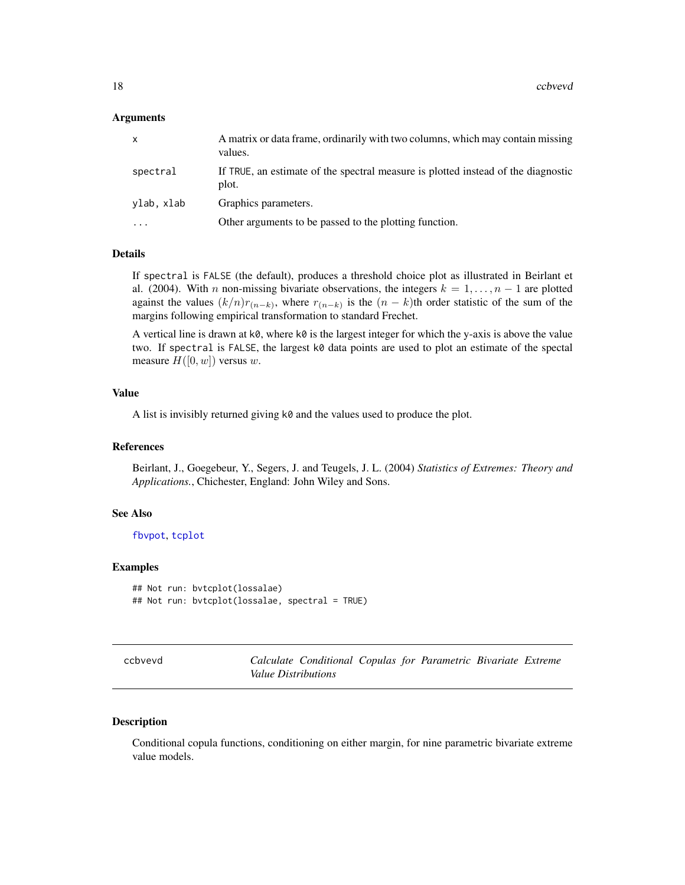## <span id="page-17-0"></span>Arguments

| $\mathsf{x}$ | A matrix or data frame, ordinarily with two columns, which may contain missing<br>values.  |
|--------------|--------------------------------------------------------------------------------------------|
| spectral     | If TRUE, an estimate of the spectral measure is plotted instead of the diagnostic<br>plot. |
| ylab, xlab   | Graphics parameters.                                                                       |
| $\cdots$     | Other arguments to be passed to the plotting function.                                     |

## Details

If spectral is FALSE (the default), produces a threshold choice plot as illustrated in Beirlant et al. (2004). With n non-missing bivariate observations, the integers  $k = 1, \ldots, n - 1$  are plotted against the values  $(k/n)r_{(n-k)}$ , where  $r_{(n-k)}$  is the  $(n-k)$ th order statistic of the sum of the margins following empirical transformation to standard Frechet.

A vertical line is drawn at  $k\emptyset$ , where  $k\emptyset$  is the largest integer for which the y-axis is above the value two. If spectral is FALSE, the largest k0 data points are used to plot an estimate of the spectal measure  $H([0, w])$  versus w.

## Value

A list is invisibly returned giving k0 and the values used to produce the plot.

## References

Beirlant, J., Goegebeur, Y., Segers, J. and Teugels, J. L. (2004) *Statistics of Extremes: Theory and Applications.*, Chichester, England: John Wiley and Sons.

## See Also

[fbvpot](#page-34-1), [tcplot](#page-83-1)

#### Examples

```
## Not run: bvtcplot(lossalae)
## Not run: bvtcplot(lossalae, spectral = TRUE)
```
Calculate Conditional Copulas for Parametric Bivariate Extreme *Value Distributions*

#### Description

Conditional copula functions, conditioning on either margin, for nine parametric bivariate extreme value models.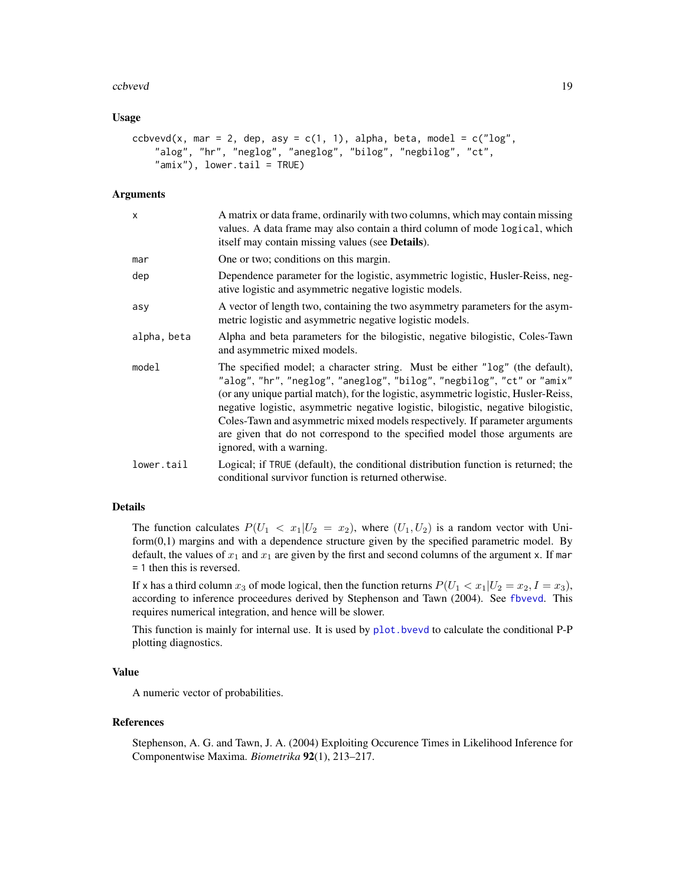#### ccbvevd and the contract of the contract of the contract of the contract of the contract of the contract of the contract of the contract of the contract of the contract of the contract of the contract of the contract of th

## Usage

```
ccbvevd(x, mar = 2, dep, asy = c(1, 1), alpha, beta, model = c("log","alog", "hr", "neglog", "aneglog", "bilog", "negbilog", "ct",
    "amix"), lower.tail = TRUE)
```
#### Arguments

| X           | A matrix or data frame, ordinarily with two columns, which may contain missing<br>values. A data frame may also contain a third column of mode logical, which<br>itself may contain missing values (see <b>Details</b> ).                                                                                                                                                                                                                                                                                                    |
|-------------|------------------------------------------------------------------------------------------------------------------------------------------------------------------------------------------------------------------------------------------------------------------------------------------------------------------------------------------------------------------------------------------------------------------------------------------------------------------------------------------------------------------------------|
| mar         | One or two; conditions on this margin.                                                                                                                                                                                                                                                                                                                                                                                                                                                                                       |
| dep         | Dependence parameter for the logistic, asymmetric logistic, Husler-Reiss, neg-<br>ative logistic and asymmetric negative logistic models.                                                                                                                                                                                                                                                                                                                                                                                    |
| asy         | A vector of length two, containing the two asymmetry parameters for the asym-<br>metric logistic and asymmetric negative logistic models.                                                                                                                                                                                                                                                                                                                                                                                    |
| alpha, beta | Alpha and beta parameters for the bilogistic, negative bilogistic, Coles-Tawn<br>and asymmetric mixed models.                                                                                                                                                                                                                                                                                                                                                                                                                |
| model       | The specified model; a character string. Must be either "log" (the default),<br>"alog", "hr", "neglog", "aneglog", "bilog", "negbilog", "ct" or "amix"<br>(or any unique partial match), for the logistic, asymmetric logistic, Husler-Reiss,<br>negative logistic, asymmetric negative logistic, bilogistic, negative bilogistic,<br>Coles-Tawn and asymmetric mixed models respectively. If parameter arguments<br>are given that do not correspond to the specified model those arguments are<br>ignored, with a warning. |
| lower.tail  | Logical; if TRUE (default), the conditional distribution function is returned; the<br>conditional survivor function is returned otherwise.                                                                                                                                                                                                                                                                                                                                                                                   |

## Details

The function calculates  $P(U_1 \lt x_1 | U_2 = x_2)$ , where  $(U_1, U_2)$  is a random vector with Uni $form(0,1)$  margins and with a dependence structure given by the specified parametric model. By default, the values of  $x_1$  and  $x_1$  are given by the first and second columns of the argument x. If mar = 1 then this is reversed.

If x has a third column  $x_3$  of mode logical, then the function returns  $P(U_1 < x_1 | U_2 = x_2, I = x_3)$ , according to inference proceedures derived by Stephenson and Tawn (2004). See [fbvevd](#page-30-1). This requires numerical integration, and hence will be slower.

This function is mainly for internal use. It is used by  $plot$ , bvevd to calculate the conditional P-P plotting diagnostics.

#### Value

A numeric vector of probabilities.

#### References

Stephenson, A. G. and Tawn, J. A. (2004) Exploiting Occurence Times in Likelihood Inference for Componentwise Maxima. *Biometrika* 92(1), 213–217.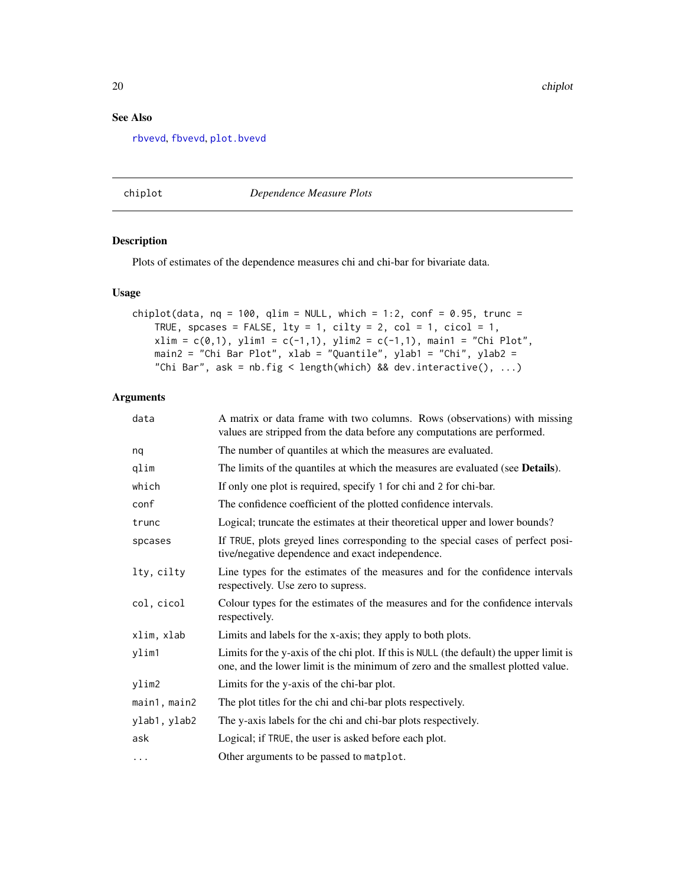20 chiplot

## See Also

[rbvevd](#page-12-1), [fbvevd](#page-30-1), [plot.bvevd](#page-67-1)

#### <span id="page-19-1"></span>chiplot *Dependence Measure Plots*

## Description

Plots of estimates of the dependence measures chi and chi-bar for bivariate data.

## Usage

```
chiplot(data, nq = 100, qlim = NULL, which = 1:2, conf = 0.95, trunc =
    TRUE, spcases = FALSE, lty = 1, cilty = 2, col = 1, cicol = 1,
    xlim = c(0,1), ylim1 = c(-1,1), ylim2 = c(-1,1), main1 = "Chi Plot",
   main2 = "Chi Bar Plot", xlab = "Quantile", ylab1 = "Chi", ylab2 =
    "Chi Bar", ask = nb.fig < length(which) && dev.interactive(), ...)
```

| data         | A matrix or data frame with two columns. Rows (observations) with missing<br>values are stripped from the data before any computations are performed.                      |
|--------------|----------------------------------------------------------------------------------------------------------------------------------------------------------------------------|
| nq           | The number of quantiles at which the measures are evaluated.                                                                                                               |
| qlim         | The limits of the quantiles at which the measures are evaluated (see <b>Details</b> ).                                                                                     |
| which        | If only one plot is required, specify 1 for chi and 2 for chi-bar.                                                                                                         |
| conf         | The confidence coefficient of the plotted confidence intervals.                                                                                                            |
| trunc        | Logical; truncate the estimates at their theoretical upper and lower bounds?                                                                                               |
| spcases      | If TRUE, plots greyed lines corresponding to the special cases of perfect posi-<br>tive/negative dependence and exact independence.                                        |
| lty, cilty   | Line types for the estimates of the measures and for the confidence intervals<br>respectively. Use zero to supress.                                                        |
| col, cicol   | Colour types for the estimates of the measures and for the confidence intervals<br>respectively.                                                                           |
| xlim, xlab   | Limits and labels for the x-axis; they apply to both plots.                                                                                                                |
| ylim1        | Limits for the y-axis of the chi plot. If this is NULL (the default) the upper limit is<br>one, and the lower limit is the minimum of zero and the smallest plotted value. |
| ylim2        | Limits for the y-axis of the chi-bar plot.                                                                                                                                 |
| main1, main2 | The plot titles for the chi and chi-bar plots respectively.                                                                                                                |
| ylab1, ylab2 | The y-axis labels for the chi and chi-bar plots respectively.                                                                                                              |
| ask          | Logical; if TRUE, the user is asked before each plot.                                                                                                                      |
| $\cdots$     | Other arguments to be passed to matplot.                                                                                                                                   |

<span id="page-19-0"></span>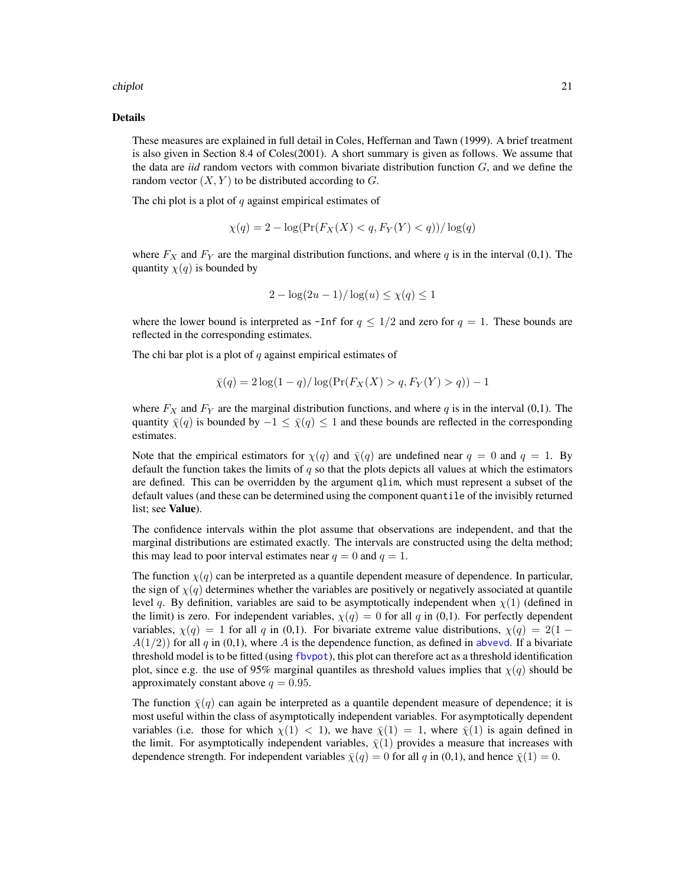#### chiplot 21

## Details

These measures are explained in full detail in Coles, Heffernan and Tawn (1999). A brief treatment is also given in Section 8.4 of Coles(2001). A short summary is given as follows. We assume that the data are *iid* random vectors with common bivariate distribution function  $G$ , and we define the random vector  $(X, Y)$  to be distributed according to G.

The chi plot is a plot of  $q$  against empirical estimates of

$$
\chi(q) = 2 - \log(\Pr(F_X(X) < q, F_Y(Y) < q)) / \log(q)
$$

where  $F_X$  and  $F_Y$  are the marginal distribution functions, and where q is in the interval (0,1). The quantity  $\chi(q)$  is bounded by

$$
2 - \log(2u - 1) / \log(u) \le \chi(q) \le 1
$$

where the lower bound is interpreted as -Inf for  $q \leq 1/2$  and zero for  $q = 1$ . These bounds are reflected in the corresponding estimates.

The chi bar plot is a plot of  $q$  against empirical estimates of

$$
\bar{\chi}(q) = 2\log(1-q)/\log(\Pr(F_X(X) > q, F_Y(Y) > q)) - 1
$$

where  $F_X$  and  $F_Y$  are the marginal distribution functions, and where q is in the interval (0,1). The quantity  $\bar{\chi}(q)$  is bounded by  $-1 \leq \bar{\chi}(q) \leq 1$  and these bounds are reflected in the corresponding estimates.

Note that the empirical estimators for  $\chi(q)$  and  $\bar{\chi}(q)$  are undefined near  $q = 0$  and  $q = 1$ . By default the function takes the limits of  $q$  so that the plots depicts all values at which the estimators are defined. This can be overridden by the argument qlim, which must represent a subset of the default values (and these can be determined using the component quantile of the invisibly returned list; see Value).

The confidence intervals within the plot assume that observations are independent, and that the marginal distributions are estimated exactly. The intervals are constructed using the delta method; this may lead to poor interval estimates near  $q = 0$  and  $q = 1$ .

The function  $\chi(q)$  can be interpreted as a quantile dependent measure of dependence. In particular, the sign of  $\chi(q)$  determines whether the variables are positively or negatively associated at quantile level q. By definition, variables are said to be asymptotically independent when  $\chi(1)$  (defined in the limit) is zero. For independent variables,  $\chi(q) = 0$  for all q in (0,1). For perfectly dependent variables,  $\chi(q) = 1$  for all q in (0,1). For bivariate extreme value distributions,  $\chi(q) = 2(1 A(1/2)$ ) for all q in (0,1), where A is the dependence function, as defined in [abvevd](#page-2-1). If a bivariate threshold model is to be fitted (using [fbvpot](#page-34-1)), this plot can therefore act as a threshold identification plot, since e.g. the use of 95% marginal quantiles as threshold values implies that  $\chi(q)$  should be approximately constant above  $q = 0.95$ .

The function  $\bar{\chi}(q)$  can again be interpreted as a quantile dependent measure of dependence; it is most useful within the class of asymptotically independent variables. For asymptotically dependent variables (i.e. those for which  $\chi(1) < 1$ ), we have  $\bar{\chi}(1) = 1$ , where  $\bar{\chi}(1)$  is again defined in the limit. For asymptotically independent variables,  $\bar{\chi}(1)$  provides a measure that increases with dependence strength. For independent variables  $\bar{\chi}(q) = 0$  for all q in (0,1), and hence  $\bar{\chi}(1) = 0$ .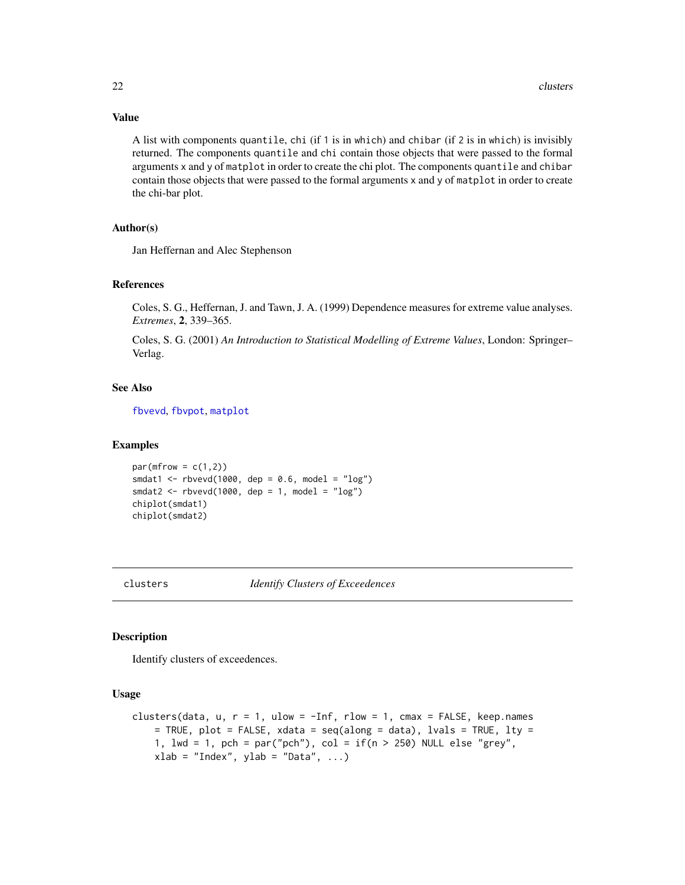## Value

A list with components quantile, chi (if 1 is in which) and chibar (if 2 is in which) is invisibly returned. The components quantile and chi contain those objects that were passed to the formal arguments x and y of matplot in order to create the chi plot. The components quantile and chibar contain those objects that were passed to the formal arguments x and y of matplot in order to create the chi-bar plot.

## Author(s)

Jan Heffernan and Alec Stephenson

## References

Coles, S. G., Heffernan, J. and Tawn, J. A. (1999) Dependence measures for extreme value analyses. *Extremes*, 2, 339–365.

Coles, S. G. (2001) *An Introduction to Statistical Modelling of Extreme Values*, London: Springer– Verlag.

## See Also

[fbvevd](#page-30-1), [fbvpot](#page-34-1), [matplot](#page-0-0)

#### Examples

 $par(mfrow = c(1,2))$ smdat1 <- rbvevd(1000, dep = 0.6, model = "log") smdat2 <-  $r$ bvevd(1000, dep = 1, model = " $log$ ") chiplot(smdat1) chiplot(smdat2)

<span id="page-21-1"></span>

clusters *Identify Clusters of Exceedences*

## Description

Identify clusters of exceedences.

## Usage

```
clusters(data, u, r = 1, ulow = -Inf, rlow = 1, cmax = FALSE, keep.namees= TRUE, plot = FALSE, xdata = seq(along = data), lvals = TRUE, lty =
   1, lwd = 1, pch = par("pch"), col = if(n > 250) NULL else "grey",
   xlab = "Index", ylab = "Data", ...)
```
<span id="page-21-0"></span>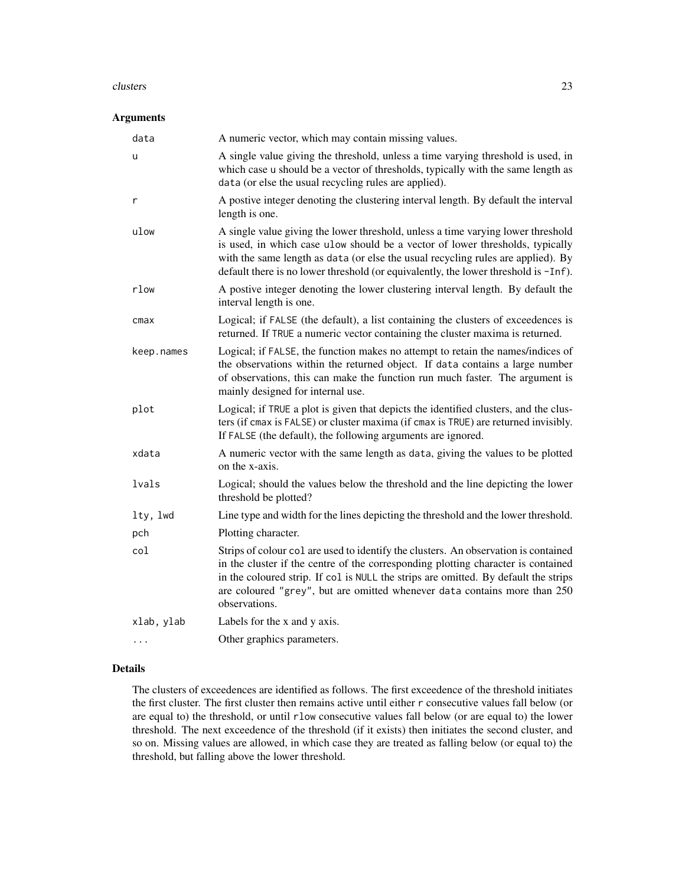#### clusters 23

## Arguments

| data       | A numeric vector, which may contain missing values.                                                                                                                                                                                                                                                                                                           |
|------------|---------------------------------------------------------------------------------------------------------------------------------------------------------------------------------------------------------------------------------------------------------------------------------------------------------------------------------------------------------------|
| u          | A single value giving the threshold, unless a time varying threshold is used, in<br>which case u should be a vector of thresholds, typically with the same length as<br>data (or else the usual recycling rules are applied).                                                                                                                                 |
| r          | A postive integer denoting the clustering interval length. By default the interval<br>length is one.                                                                                                                                                                                                                                                          |
| ulow       | A single value giving the lower threshold, unless a time varying lower threshold<br>is used, in which case ulow should be a vector of lower thresholds, typically<br>with the same length as data (or else the usual recycling rules are applied). By<br>default there is no lower threshold (or equivalently, the lower threshold is -Inf).                  |
| rlow       | A postive integer denoting the lower clustering interval length. By default the<br>interval length is one.                                                                                                                                                                                                                                                    |
| cmax       | Logical; if FALSE (the default), a list containing the clusters of exceedences is<br>returned. If TRUE a numeric vector containing the cluster maxima is returned.                                                                                                                                                                                            |
| keep.names | Logical; if FALSE, the function makes no attempt to retain the names/indices of<br>the observations within the returned object. If data contains a large number<br>of observations, this can make the function run much faster. The argument is<br>mainly designed for internal use.                                                                          |
| plot       | Logical; if TRUE a plot is given that depicts the identified clusters, and the clus-<br>ters (if cmax is FALSE) or cluster maxima (if cmax is TRUE) are returned invisibly.<br>If FALSE (the default), the following arguments are ignored.                                                                                                                   |
| xdata      | A numeric vector with the same length as data, giving the values to be plotted<br>on the x-axis.                                                                                                                                                                                                                                                              |
| lvals      | Logical; should the values below the threshold and the line depicting the lower<br>threshold be plotted?                                                                                                                                                                                                                                                      |
| lty, lwd   | Line type and width for the lines depicting the threshold and the lower threshold.                                                                                                                                                                                                                                                                            |
| pch        | Plotting character.                                                                                                                                                                                                                                                                                                                                           |
| col        | Strips of colour col are used to identify the clusters. An observation is contained<br>in the cluster if the centre of the corresponding plotting character is contained<br>in the coloured strip. If col is NULL the strips are omitted. By default the strips<br>are coloured "grey", but are omitted whenever data contains more than 250<br>observations. |
| xlab, ylab | Labels for the x and y axis.                                                                                                                                                                                                                                                                                                                                  |
|            | Other graphics parameters.                                                                                                                                                                                                                                                                                                                                    |

## Details

The clusters of exceedences are identified as follows. The first exceedence of the threshold initiates the first cluster. The first cluster then remains active until either r consecutive values fall below (or are equal to) the threshold, or until rlow consecutive values fall below (or are equal to) the lower threshold. The next exceedence of the threshold (if it exists) then initiates the second cluster, and so on. Missing values are allowed, in which case they are treated as falling below (or equal to) the threshold, but falling above the lower threshold.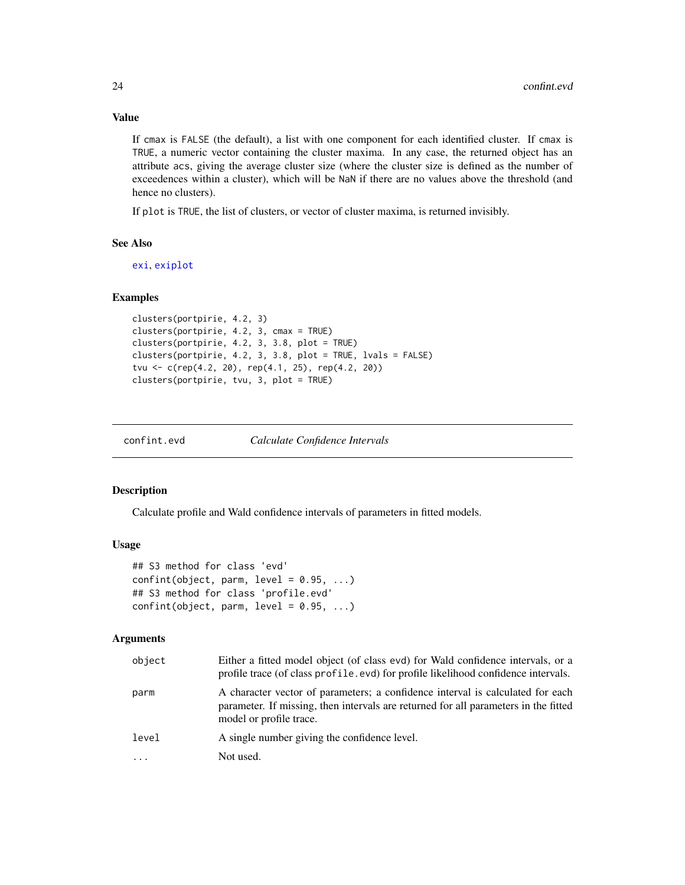## Value

If cmax is FALSE (the default), a list with one component for each identified cluster. If cmax is TRUE, a numeric vector containing the cluster maxima. In any case, the returned object has an attribute acs, giving the average cluster size (where the cluster size is defined as the number of exceedences within a cluster), which will be NaN if there are no values above the threshold (and hence no clusters).

If plot is TRUE, the list of clusters, or vector of cluster maxima, is returned invisibly.

## See Also

[exi](#page-26-1), [exiplot](#page-27-1)

#### Examples

```
clusters(portpirie, 4.2, 3)
clusters(portpirie, 4.2, 3, cmax = TRUE)
clusters(portpirie, 4.2, 3, 3.8, plot = TRUE)
clusters(portpirie, 4.2, 3, 3.8, plot = TRUE, lvals = FALSE)
tvu <- c(rep(4.2, 20), rep(4.1, 25), rep(4.2, 20))
clusters(portpirie, tvu, 3, plot = TRUE)
```
confint.evd *Calculate Confidence Intervals*

## Description

Calculate profile and Wald confidence intervals of parameters in fitted models.

## Usage

```
## S3 method for class 'evd'
confint(object, parm, level = 0.95, ...)## S3 method for class 'profile.evd'
confint(object, parm, level = 0.95, ...)
```

| object | Either a fitted model object (of class evd) for Wald confidence intervals, or a<br>profile trace (of class profile .evd) for profile likelihood confidence intervals.                            |
|--------|--------------------------------------------------------------------------------------------------------------------------------------------------------------------------------------------------|
| parm   | A character vector of parameters; a confidence interval is calculated for each<br>parameter. If missing, then intervals are returned for all parameters in the fitted<br>model or profile trace. |
| level  | A single number giving the confidence level.                                                                                                                                                     |
|        | Not used.                                                                                                                                                                                        |

<span id="page-23-0"></span>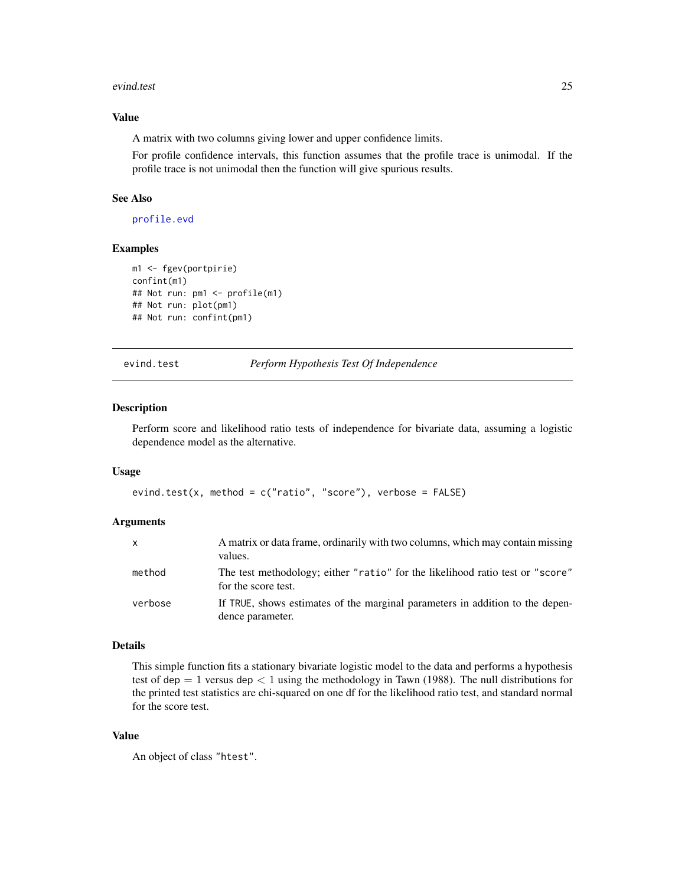#### <span id="page-24-0"></span>evind.test 25

## Value

A matrix with two columns giving lower and upper confidence limits.

For profile confidence intervals, this function assumes that the profile trace is unimodal. If the profile trace is not unimodal then the function will give spurious results.

## See Also

[profile.evd](#page-76-1)

## Examples

```
m1 <- fgev(portpirie)
confint(m1)
## Not run: pm1 <- profile(m1)
## Not run: plot(pm1)
## Not run: confint(pm1)
```
evind.test *Perform Hypothesis Test Of Independence*

## Description

Perform score and likelihood ratio tests of independence for bivariate data, assuming a logistic dependence model as the alternative.

## Usage

```
evind.test(x, method = c("ratio", "score"), verbose = FALSE)
```
## Arguments

| $\mathsf{x}$ | A matrix or data frame, ordinarily with two columns, which may contain missing<br>values.            |
|--------------|------------------------------------------------------------------------------------------------------|
| method       | The test methodology; either "ratio" for the likelihood ratio test or "score"<br>for the score test. |
| verbose      | If TRUE, shows estimates of the marginal parameters in addition to the depen-<br>dence parameter.    |

## Details

This simple function fits a stationary bivariate logistic model to the data and performs a hypothesis test of dep  $= 1$  versus dep  $< 1$  using the methodology in Tawn (1988). The null distributions for the printed test statistics are chi-squared on one df for the likelihood ratio test, and standard normal for the score test.

## Value

An object of class "htest".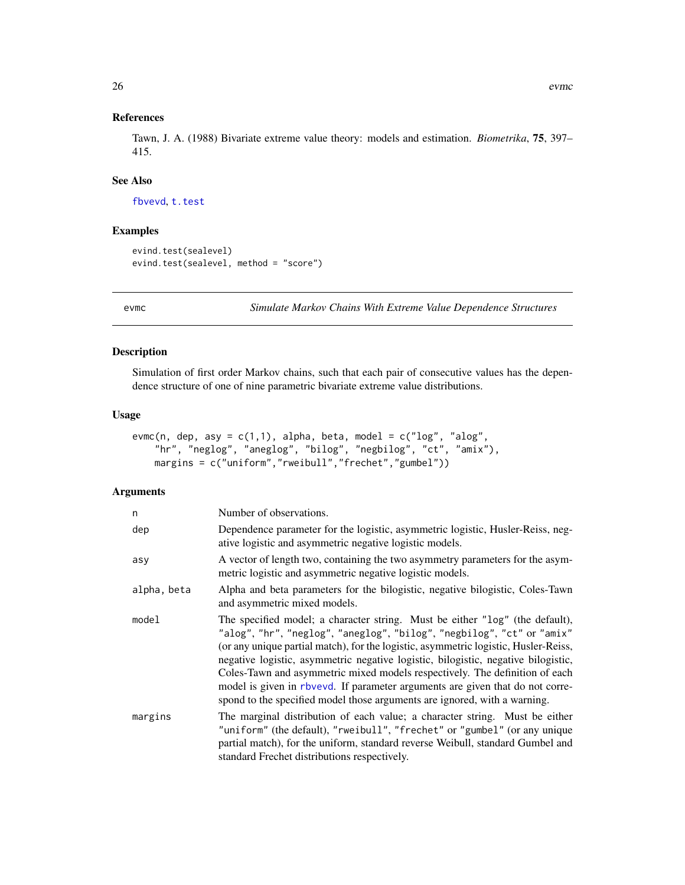<span id="page-25-0"></span>Tawn, J. A. (1988) Bivariate extreme value theory: models and estimation. *Biometrika*, 75, 397– 415.

## See Also

[fbvevd](#page-30-1), [t.test](#page-0-0)

## Examples

```
evind.test(sealevel)
evind.test(sealevel, method = "score")
```
evmc *Simulate Markov Chains With Extreme Value Dependence Structures*

## Description

Simulation of first order Markov chains, such that each pair of consecutive values has the dependence structure of one of nine parametric bivariate extreme value distributions.

#### Usage

```
evmc(n, dep, asy = c(1,1), alpha, beta, model = c("log", "alog","hr", "neglog", "aneglog", "bilog", "negbilog", "ct", "amix"),
   margins = c("uniform","rweibull","frechet","gumbel"))
```

| n           | Number of observations.                                                                                                                                                                                                                                                                                                                                                                                                                                                                                                                                                         |
|-------------|---------------------------------------------------------------------------------------------------------------------------------------------------------------------------------------------------------------------------------------------------------------------------------------------------------------------------------------------------------------------------------------------------------------------------------------------------------------------------------------------------------------------------------------------------------------------------------|
| dep         | Dependence parameter for the logistic, asymmetric logistic, Husler-Reiss, neg-<br>ative logistic and asymmetric negative logistic models.                                                                                                                                                                                                                                                                                                                                                                                                                                       |
| asy         | A vector of length two, containing the two asymmetry parameters for the asym-<br>metric logistic and asymmetric negative logistic models.                                                                                                                                                                                                                                                                                                                                                                                                                                       |
| alpha, beta | Alpha and beta parameters for the bilogistic, negative bilogistic, Coles-Tawn<br>and asymmetric mixed models.                                                                                                                                                                                                                                                                                                                                                                                                                                                                   |
| model       | The specified model; a character string. Must be either "log" (the default),<br>"alog", "hr", "neglog", "aneglog", "bilog", "negbilog", "ct" or "amix"<br>(or any unique partial match), for the logistic, asymmetric logistic, Husler-Reiss,<br>negative logistic, asymmetric negative logistic, bilogistic, negative bilogistic,<br>Coles-Tawn and asymmetric mixed models respectively. The definition of each<br>model is given in rbvevd. If parameter arguments are given that do not corre-<br>spond to the specified model those arguments are ignored, with a warning. |
| margins     | The marginal distribution of each value; a character string. Must be either<br>"uniform" (the default), "rweibull", "frechet" or "gumbel" (or any unique<br>partial match), for the uniform, standard reverse Weibull, standard Gumbel and<br>standard Frechet distributions respectively.                                                                                                                                                                                                                                                                                      |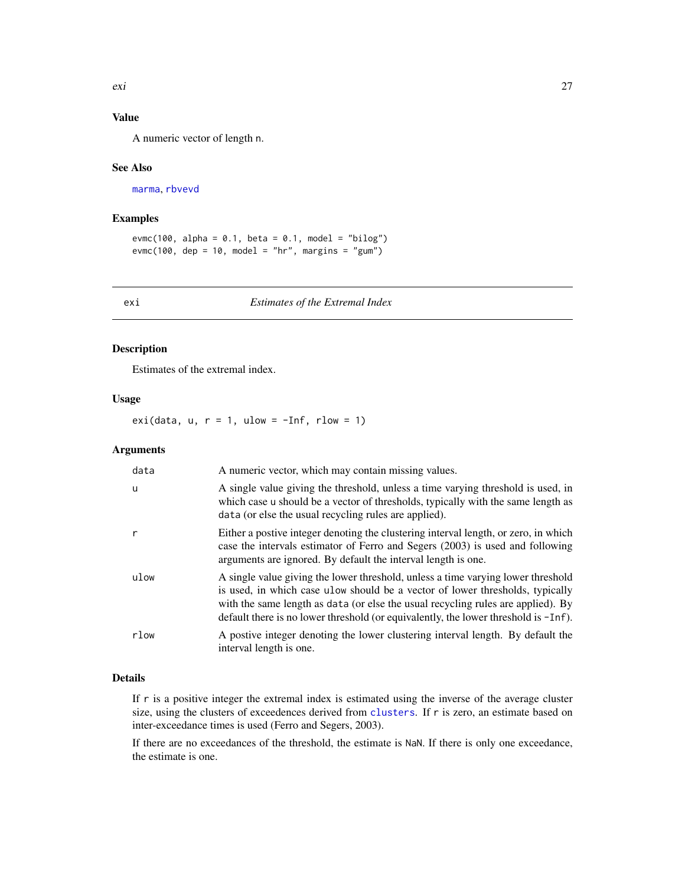## <span id="page-26-0"></span>Value

A numeric vector of length n.

#### See Also

[marma](#page-58-1), [rbvevd](#page-12-1)

## Examples

```
evmc(100, alpha = 0.1, beta = 0.1, model = "bilog")
evmc(100, dep = 10, model = "hr", margins = "gum")
```
<span id="page-26-1"></span>exi *Estimates of the Extremal Index*

## Description

Estimates of the extremal index.

## Usage

exi(data,  $u, r = 1$ ,  $ulow = -Inf, rlow = 1$ )

## Arguments

| data | A numeric vector, which may contain missing values.                                                                                                                                                                                                                                                                                             |
|------|-------------------------------------------------------------------------------------------------------------------------------------------------------------------------------------------------------------------------------------------------------------------------------------------------------------------------------------------------|
| u    | A single value giving the threshold, unless a time varying threshold is used, in<br>which case u should be a vector of thresholds, typically with the same length as<br>data (or else the usual recycling rules are applied).                                                                                                                   |
|      | Either a postive integer denoting the clustering interval length, or zero, in which<br>case the intervals estimator of Ferro and Segers (2003) is used and following<br>arguments are ignored. By default the interval length is one.                                                                                                           |
| ulow | A single value giving the lower threshold, unless a time varying lower threshold<br>is used, in which case ulow should be a vector of lower thresholds, typically<br>with the same length as data (or else the usual recycling rules are applied). By<br>default there is no lower threshold (or equivalently, the lower threshold is $-Inf$ ). |
| rlow | A postive integer denoting the lower clustering interval length. By default the<br>interval length is one.                                                                                                                                                                                                                                      |

## Details

If r is a positive integer the extremal index is estimated using the inverse of the average cluster size, using the clusters of exceedences derived from [clusters](#page-21-1). If r is zero, an estimate based on inter-exceedance times is used (Ferro and Segers, 2003).

If there are no exceedances of the threshold, the estimate is NaN. If there is only one exceedance, the estimate is one.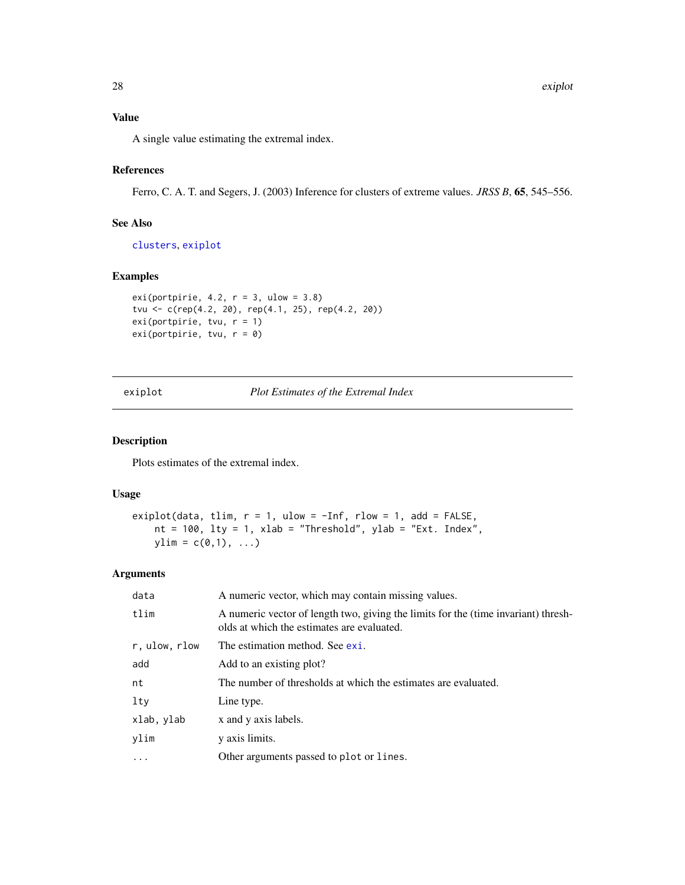## <span id="page-27-0"></span>Value

A single value estimating the extremal index.

## References

Ferro, C. A. T. and Segers, J. (2003) Inference for clusters of extreme values. *JRSS B*, 65, 545–556.

## See Also

[clusters](#page-21-1), [exiplot](#page-27-1)

## Examples

```
exi(portpirie, 4.2, r = 3, ulow = 3.8)
tvu <- c(rep(4.2, 20), rep(4.1, 25), rep(4.2, 20))
exi(portpirie, tvu, r = 1)
exi(portpirie, tvu, r = 0)
```
<span id="page-27-1"></span>exiplot *Plot Estimates of the Extremal Index*

## Description

Plots estimates of the extremal index.

## Usage

```
exiplot(data, tlim, r = 1, ulow = -Inf, rlow = 1, add = FALSE,
   nt = 100, lty = 1, xlab = "Threshold", ylab = "Ext. Index",ylim = c(0,1), \ldots)
```

| data          | A numeric vector, which may contain missing values.                                                                              |
|---------------|----------------------------------------------------------------------------------------------------------------------------------|
| tlim          | A numeric vector of length two, giving the limits for the (time invariant) thresh-<br>olds at which the estimates are evaluated. |
| r, ulow, rlow | The estimation method. See exi.                                                                                                  |
| add           | Add to an existing plot?                                                                                                         |
| nt            | The number of thresholds at which the estimates are evaluated.                                                                   |
| lty           | Line type.                                                                                                                       |
| xlab, ylab    | x and y axis labels.                                                                                                             |
| ylim          | y axis limits.                                                                                                                   |
| $\cdots$      | Other arguments passed to plot or lines.                                                                                         |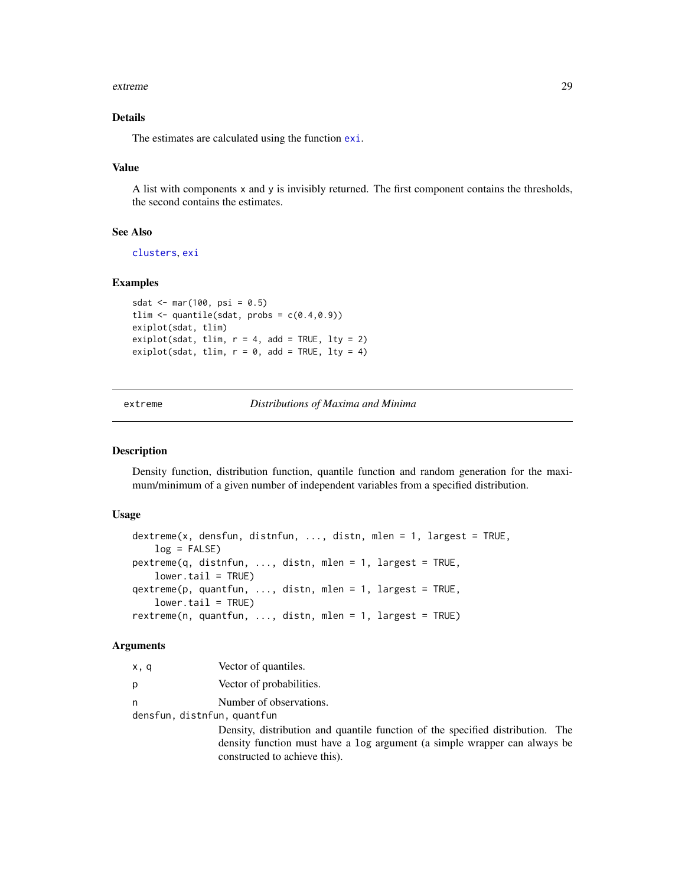#### <span id="page-28-0"></span>extreme 29

## Details

The estimates are calculated using the function [exi](#page-26-1).

#### Value

A list with components x and y is invisibly returned. The first component contains the thresholds, the second contains the estimates.

## See Also

[clusters](#page-21-1), [exi](#page-26-1)

## Examples

```
sdat <- mar(100, \text{psi} = 0.5)tlim \leq quantile(sdat, probs = c(0.4, 0.9))
exiplot(sdat, tlim)
exiplot(sdat, tlim, r = 4, add = TRUE, lty = 2)
exiplot(sdat, tlim, r = 0, add = TRUE, lty = 4)
```
extreme *Distributions of Maxima and Minima*

## Description

Density function, distribution function, quantile function and random generation for the maximum/minimum of a given number of independent variables from a specified distribution.

## Usage

```
dextreme(x, densfun, distnfun, ..., distn, mlen = 1, largest = TRUE,
   log = FALSE)
pextreme(q, distnfun, ..., distn, mlen = 1, largest = TRUE,
   lower.tail = TRUE)
qextreme(p, quantfun, ..., distn, mlen = 1, largest = TRUE,
   lower.tail = TRUE)
rextreme(n, quantfun, ..., distn, mlen = 1, largest = TRUE)
```

| x, q | Vector of quantiles.                                                           |
|------|--------------------------------------------------------------------------------|
| p    | Vector of probabilities.                                                       |
| n    | Number of observations.                                                        |
|      | densfun, distnfun, quantfun                                                    |
|      | Density, distribution and quantile function of the specified distribution. The |
|      | density function must have a log argument (a simple wrapper can always be      |
|      | constructed to achieve this).                                                  |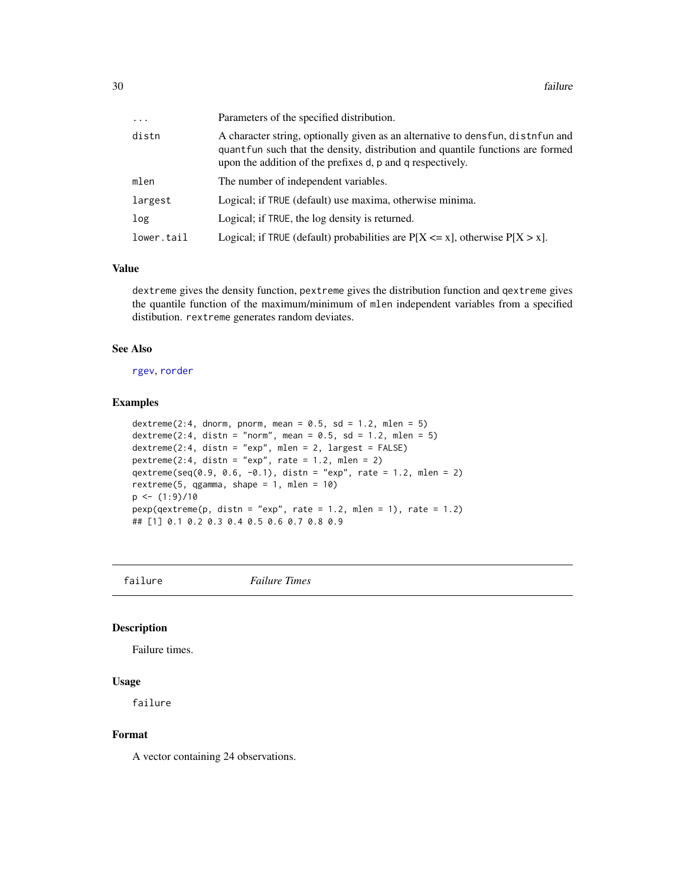<span id="page-29-0"></span>

| $\cdots$   | Parameters of the specified distribution.                                                                                                                                                                                        |
|------------|----------------------------------------------------------------------------------------------------------------------------------------------------------------------------------------------------------------------------------|
| distn      | A character string, optionally given as an alternative to densfun, distrifun and<br>quantfun such that the density, distribution and quantile functions are formed<br>upon the addition of the prefixes d, p and q respectively. |
| mlen       | The number of independent variables.                                                                                                                                                                                             |
| largest    | Logical; if TRUE (default) use maxima, otherwise minima.                                                                                                                                                                         |
| log        | Logical; if TRUE, the log density is returned.                                                                                                                                                                                   |
| lower.tail | Logical; if TRUE (default) probabilities are $P[X \le x]$ , otherwise $P[X > x]$ .                                                                                                                                               |

#### Value

dextreme gives the density function, pextreme gives the distribution function and qextreme gives the quantile function of the maximum/minimum of mlen independent variables from a specified distibution. rextreme generates random deviates.

## See Also

[rgev](#page-50-1), [rorder](#page-66-1)

#### Examples

```
dextreme(2:4, dnorm, pnorm, mean = 0.5, sd = 1.2, mlen = 5)
dextreme(2:4, distn = "norm", mean = 0.5, sd = 1.2, mlen = 5)
dextreme(2:4, distn = "exp", mlen = 2, largest = FALSE)
pextreme(2:4, distn = "exp", rate = 1.2, mlen = 2)
qextreme(seq(0.9, 0.6, -0.1), distn = "exp", rate = 1.2, mlen = 2)
rextreme(5, qgamma, shape = 1, mlen = 10)
p \leftarrow (1:9)/10pexp(qextreme(p, distn = "exp", rate = 1.2, mlen = 1), rate = 1.2)## [1] 0.1 0.2 0.3 0.4 0.5 0.6 0.7 0.8 0.9
```
failure *Failure Times*

## Description

Failure times.

## Usage

failure

#### Format

A vector containing 24 observations.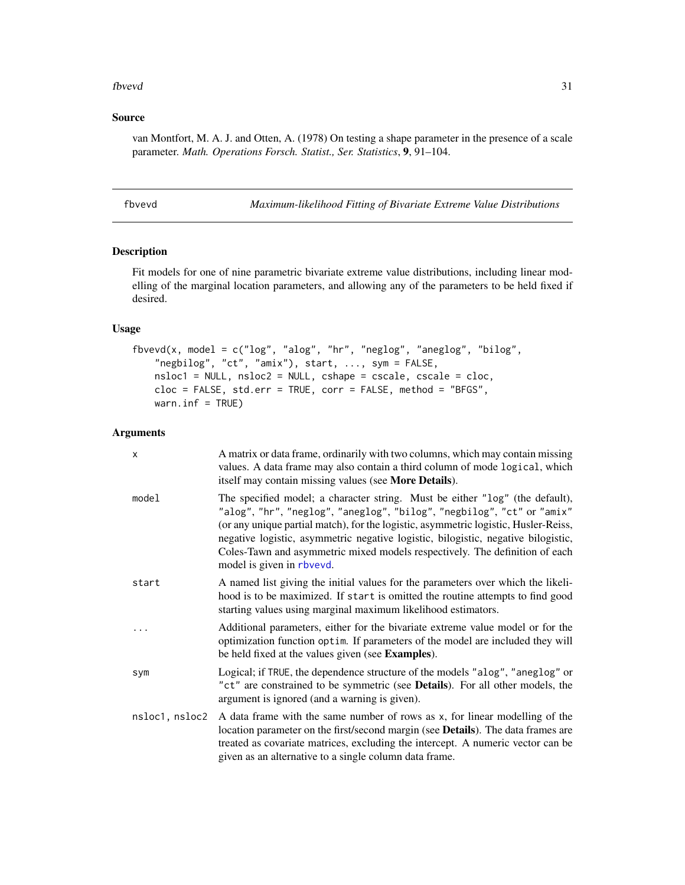#### <span id="page-30-0"></span>fbvevd 31

## Source

van Montfort, M. A. J. and Otten, A. (1978) On testing a shape parameter in the presence of a scale parameter. *Math. Operations Forsch. Statist., Ser. Statistics*, 9, 91–104.

<span id="page-30-1"></span>

| bvevd |
|-------|
|       |

*Maximum-likelihood Fitting of Bivariate Extreme Value Distributions* 

## Description

Fit models for one of nine parametric bivariate extreme value distributions, including linear modelling of the marginal location parameters, and allowing any of the parameters to be held fixed if desired.

## Usage

```
fbvevd(x, model = c("log", "alog", "hr", "neglog", "aneglog", "bilog",
    "negbilog", "ct", "amix"), start, ..., sym = FALSE,
   nsloc1 = NULL, nsloc2 = NULL, cshape = cscale, cscale = cloc,
   cloc = FALSE, std.err = TRUE, corr = FALSE, method = "BFGS",warn.inf = TRUE)
```

| x              | A matrix or data frame, ordinarily with two columns, which may contain missing<br>values. A data frame may also contain a third column of mode logical, which<br>itself may contain missing values (see More Details).                                                                                                                                                                                                                         |
|----------------|------------------------------------------------------------------------------------------------------------------------------------------------------------------------------------------------------------------------------------------------------------------------------------------------------------------------------------------------------------------------------------------------------------------------------------------------|
| model          | The specified model; a character string. Must be either "log" (the default),<br>"alog", "hr", "neglog", "aneglog", "bilog", "negbilog", "ct" or "amix"<br>(or any unique partial match), for the logistic, asymmetric logistic, Husler-Reiss,<br>negative logistic, asymmetric negative logistic, bilogistic, negative bilogistic,<br>Coles-Tawn and asymmetric mixed models respectively. The definition of each<br>model is given in rbvevd. |
| start          | A named list giving the initial values for the parameters over which the likeli-<br>hood is to be maximized. If start is omitted the routine attempts to find good<br>starting values using marginal maximum likelihood estimators.                                                                                                                                                                                                            |
| .              | Additional parameters, either for the bivariate extreme value model or for the<br>optimization function optim. If parameters of the model are included they will<br>be held fixed at the values given (see <b>Examples</b> ).                                                                                                                                                                                                                  |
| sym            | Logical; if TRUE, the dependence structure of the models "alog", "aneglog" or<br>"ct" are constrained to be symmetric (see Details). For all other models, the<br>argument is ignored (and a warning is given).                                                                                                                                                                                                                                |
| nsloc1, nsloc2 | A data frame with the same number of rows as x, for linear modelling of the<br>location parameter on the first/second margin (see <b>Details</b> ). The data frames are<br>treated as covariate matrices, excluding the intercept. A numeric vector can be<br>given as an alternative to a single column data frame.                                                                                                                           |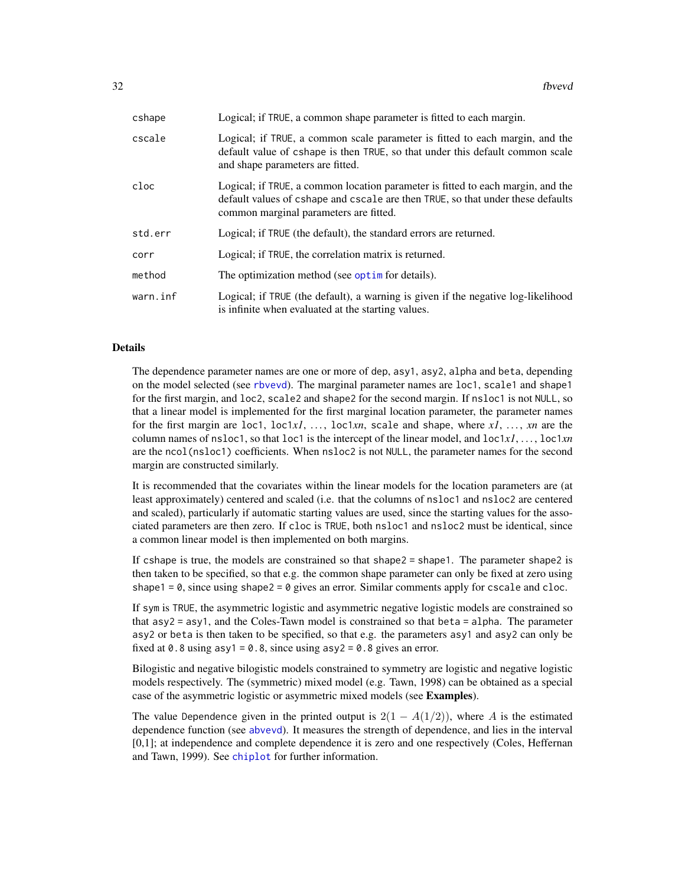| cshape   | Logical; if TRUE, a common shape parameter is fitted to each margin.                                                                                                                                         |
|----------|--------------------------------------------------------------------------------------------------------------------------------------------------------------------------------------------------------------|
| cscale   | Logical; if TRUE, a common scale parameter is fitted to each margin, and the<br>default value of cshape is then TRUE, so that under this default common scale<br>and shape parameters are fitted.            |
| cloc     | Logical; if TRUE, a common location parameter is fitted to each margin, and the<br>default values of cshape and cscale are then TRUE, so that under these defaults<br>common marginal parameters are fitted. |
| std.err  | Logical; if TRUE (the default), the standard errors are returned.                                                                                                                                            |
| corr     | Logical; if TRUE, the correlation matrix is returned.                                                                                                                                                        |
| method   | The optimization method (see optime for details).                                                                                                                                                            |
| warn.inf | Logical; if TRUE (the default), a warning is given if the negative log-likelihood<br>is infinite when evaluated at the starting values.                                                                      |

#### Details

The dependence parameter names are one or more of dep, asy1, asy2, alpha and beta, depending on the model selected (see [rbvevd](#page-12-1)). The marginal parameter names are loc1, scale1 and shape1 for the first margin, and loc2, scale2 and shape2 for the second margin. If nsloc1 is not NULL, so that a linear model is implemented for the first marginal location parameter, the parameter names for the first margin are loc1,  $loc1x1$ , ...,  $loc1xn$ , scale and shape, where  $x1$ , ...,  $xn$  are the column names of nsloc1, so that loc1 is the intercept of the linear model, and loc1*x1*, . . . , loc1*xn* are the ncol(nsloc1) coefficients. When nsloc2 is not NULL, the parameter names for the second margin are constructed similarly.

It is recommended that the covariates within the linear models for the location parameters are (at least approximately) centered and scaled (i.e. that the columns of nsloc1 and nsloc2 are centered and scaled), particularly if automatic starting values are used, since the starting values for the associated parameters are then zero. If cloc is TRUE, both nsloc1 and nsloc2 must be identical, since a common linear model is then implemented on both margins.

If cshape is true, the models are constrained so that shape2 = shape1. The parameter shape2 is then taken to be specified, so that e.g. the common shape parameter can only be fixed at zero using shape1 =  $\theta$ , since using shape2 =  $\theta$  gives an error. Similar comments apply for cscale and cloc.

If sym is TRUE, the asymmetric logistic and asymmetric negative logistic models are constrained so that asy2 = asy1, and the Coles-Tawn model is constrained so that beta = alpha. The parameter asy2 or beta is then taken to be specified, so that e.g. the parameters asy1 and asy2 can only be fixed at 0.8 using asy1 =  $0.8$ , since using asy2 =  $0.8$  gives an error.

Bilogistic and negative bilogistic models constrained to symmetry are logistic and negative logistic models respectively. The (symmetric) mixed model (e.g. Tawn, 1998) can be obtained as a special case of the asymmetric logistic or asymmetric mixed models (see Examples).

The value Dependence given in the printed output is  $2(1 - A(1/2))$ , where A is the estimated dependence function (see [abvevd](#page-2-1)). It measures the strength of dependence, and lies in the interval [0,1]; at independence and complete dependence it is zero and one respectively (Coles, Heffernan and Tawn, 1999). See [chiplot](#page-19-1) for further information.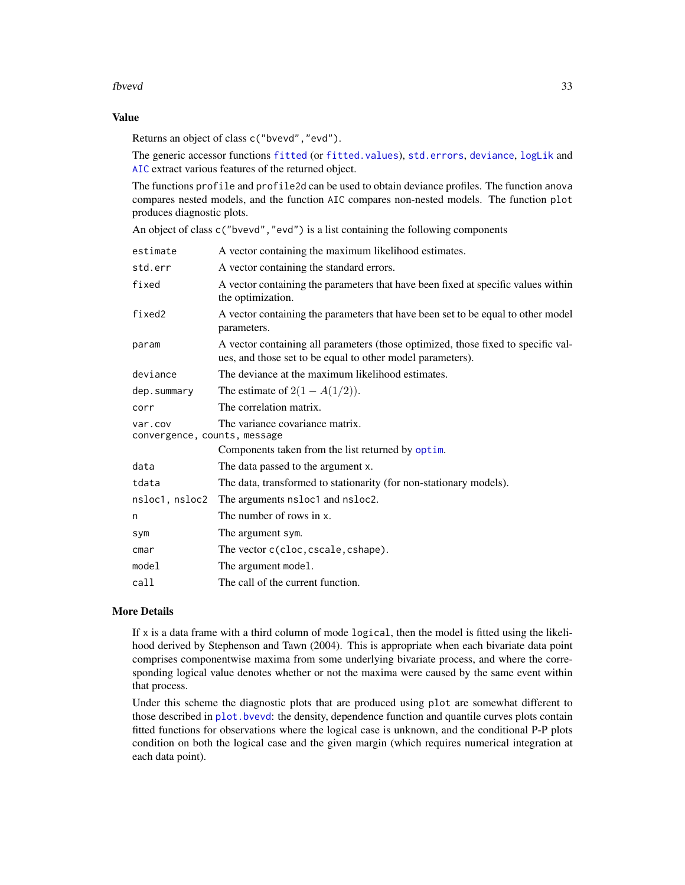## fbvevd 33

## Value

Returns an object of class c("bvevd","evd").

The generic accessor functions [fitted](#page-0-0) (or [fitted.values](#page-0-0)), [std.errors](#page-39-2), [deviance](#page-0-0), [logLik](#page-0-0) and [AIC](#page-0-0) extract various features of the returned object.

The functions profile and profile2d can be used to obtain deviance profiles. The function anova compares nested models, and the function AIC compares non-nested models. The function plot produces diagnostic plots.

An object of class c("bvevd","evd") is a list containing the following components

| estimate                                | A vector containing the maximum likelihood estimates.                                                                                           |
|-----------------------------------------|-------------------------------------------------------------------------------------------------------------------------------------------------|
| std.err                                 | A vector containing the standard errors.                                                                                                        |
| fixed                                   | A vector containing the parameters that have been fixed at specific values within<br>the optimization.                                          |
| fixed2                                  | A vector containing the parameters that have been set to be equal to other model<br>parameters.                                                 |
| param                                   | A vector containing all parameters (those optimized, those fixed to specific val-<br>ues, and those set to be equal to other model parameters). |
| deviance                                | The deviance at the maximum likelihood estimates.                                                                                               |
| dep.summary                             | The estimate of $2(1 - A(1/2))$ .                                                                                                               |
| corr                                    | The correlation matrix.                                                                                                                         |
| var.cov<br>convergence, counts, message | The variance covariance matrix.                                                                                                                 |
|                                         | Components taken from the list returned by optim.                                                                                               |
| data                                    | The data passed to the argument x.                                                                                                              |
| tdata                                   | The data, transformed to stationarity (for non-stationary models).                                                                              |
| nsloc1, nsloc2                          | The arguments nsloc1 and nsloc2.                                                                                                                |
| n                                       | The number of rows in x.                                                                                                                        |
| sym                                     | The argument sym.                                                                                                                               |
| cmar                                    | The vector c(cloc, cscale, cshape).                                                                                                             |
| model                                   | The argument model.                                                                                                                             |
| call                                    | The call of the current function.                                                                                                               |

#### More Details

If  $x$  is a data frame with a third column of mode logical, then the model is fitted using the likelihood derived by Stephenson and Tawn (2004). This is appropriate when each bivariate data point comprises componentwise maxima from some underlying bivariate process, and where the corresponding logical value denotes whether or not the maxima were caused by the same event within that process.

Under this scheme the diagnostic plots that are produced using plot are somewhat different to those described in [plot.bvevd](#page-67-1): the density, dependence function and quantile curves plots contain fitted functions for observations where the logical case is unknown, and the conditional P-P plots condition on both the logical case and the given margin (which requires numerical integration at each data point).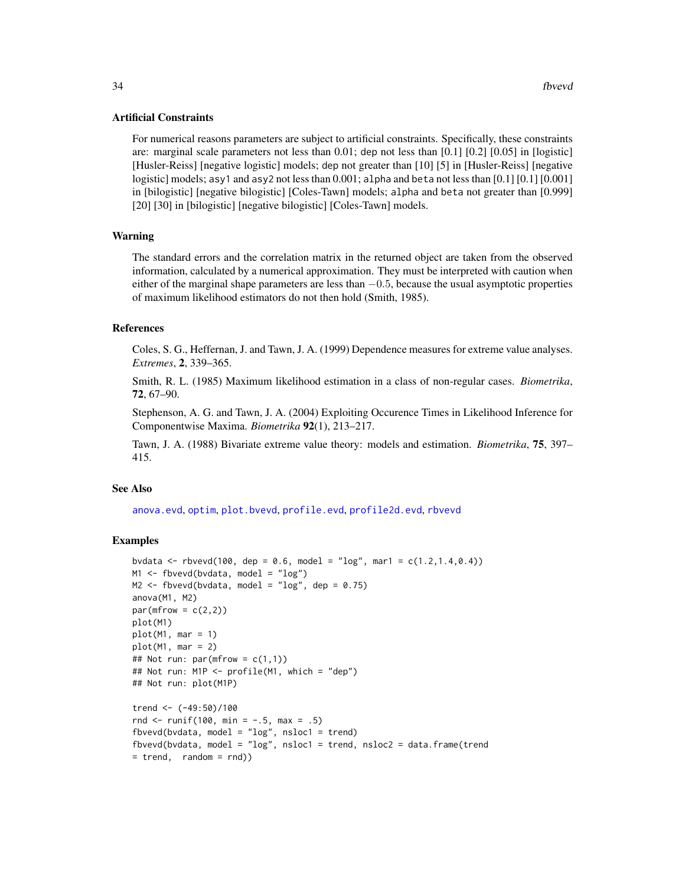## Artificial Constraints

For numerical reasons parameters are subject to artificial constraints. Specifically, these constraints are: marginal scale parameters not less than 0.01; dep not less than [0.1] [0.2] [0.05] in [logistic] [Husler-Reiss] [negative logistic] models; dep not greater than [10] [5] in [Husler-Reiss] [negative logistic] models; asy1 and asy2 not less than 0.001; alpha and beta not less than [0.1] [0.1] [0.001] in [bilogistic] [negative bilogistic] [Coles-Tawn] models; alpha and beta not greater than [0.999] [20] [30] in [bilogistic] [negative bilogistic] [Coles-Tawn] models.

## Warning

The standard errors and the correlation matrix in the returned object are taken from the observed information, calculated by a numerical approximation. They must be interpreted with caution when either of the marginal shape parameters are less than  $-0.5$ , because the usual asymptotic properties of maximum likelihood estimators do not then hold (Smith, 1985).

#### References

Coles, S. G., Heffernan, J. and Tawn, J. A. (1999) Dependence measures for extreme value analyses. *Extremes*, 2, 339–365.

Smith, R. L. (1985) Maximum likelihood estimation in a class of non-regular cases. *Biometrika*, 72, 67–90.

Stephenson, A. G. and Tawn, J. A. (2004) Exploiting Occurence Times in Likelihood Inference for Componentwise Maxima. *Biometrika* 92(1), 213–217.

Tawn, J. A. (1988) Bivariate extreme value theory: models and estimation. *Biometrika*, 75, 397– 415.

#### See Also

[anova.evd](#page-11-1), [optim](#page-0-0), [plot.bvevd](#page-67-1), [profile.evd](#page-76-1), [profile2d.evd](#page-77-1), [rbvevd](#page-12-1)

## Examples

```
bvdata <- rbvevd(100, dep = 0.6, model = "log", mar1 = c(1.2, 1.4, 0.4))
M1 <- fbvevd(bvdata, model = "log")
M2 \le fbvevd(bvdata, model = "log", dep = 0.75)
anova(M1, M2)
par(mfrow = c(2,2))plot(M1)
plot(M1, mar = 1)plot(M1, mar = 2)## Not run: par(mfrow = c(1,1))## Not run: M1P <- profile(M1, which = "dep")
## Not run: plot(M1P)
trend <- (-49:50)/100
rnd \le runif(100, min = -.5, max = .5)
fbvevd(bvdata, model = "log", nshol = trend)fbvevd(bvdata, model = "log", nsloc1 = trend, nsloc2 = data.frame(trend
= trend, random = rnd))
```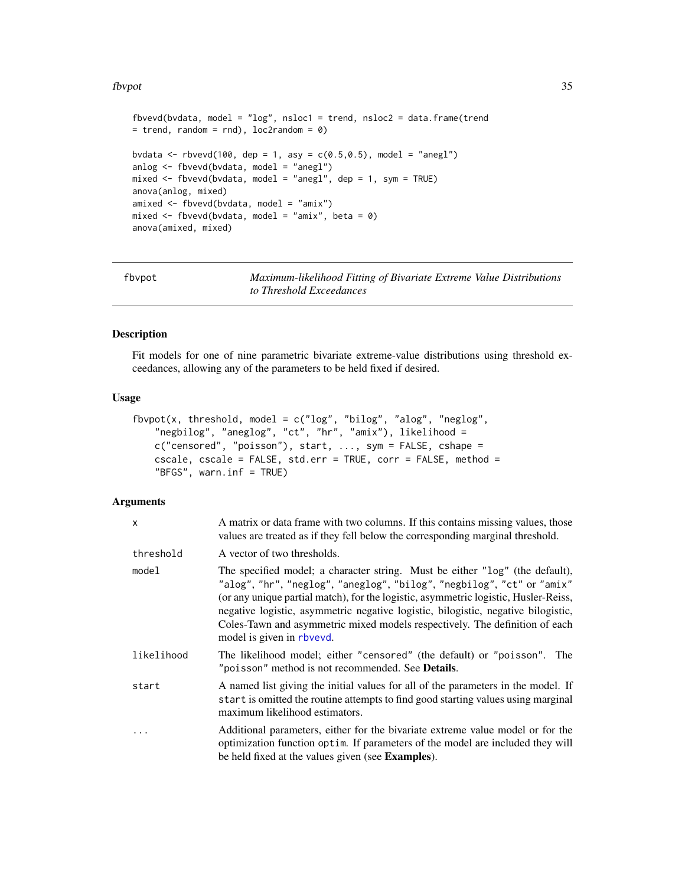#### <span id="page-34-0"></span>fbvpot 35

```
fbvevd(bvdata, model = "log", nsloc1 = trend, nsloc2 = data.frame(trend
= trend, random = rnd), loc2random = 0)
bvdata \leq rbvevd(100, dep = 1, asy = c(0.5, 0.5), model = "anegl")
anlog <- fbvevd(bvdata, model = "anegl")
mixed <- fbvevd(bvdata, model = "anegl", dep = 1, sym = TRUE)
anova(anlog, mixed)
amixed <- fbvevd(bvdata, model = "amix")
mixed \leq fbvevd(bvdata, model = "amix", beta = 0)
anova(amixed, mixed)
```
<span id="page-34-1"></span>fbvpot *Maximum-likelihood Fitting of Bivariate Extreme Value Distributions to Threshold Exceedances*

#### Description

Fit models for one of nine parametric bivariate extreme-value distributions using threshold exceedances, allowing any of the parameters to be held fixed if desired.

## Usage

```
fbvpot(x, threshold, model = c("log", "bilog", "alog", "neglog",
    "negbilog", "aneglog", "ct", "hr", "amix"), likelihood =
   c("censored", "poisson"), start, ..., sym = FALSE, cshape =
   cscale, cscale = FALSE, std.err = TRUE, corr = FALSE, method =
    "BFGS", warn.inf = TRUE)
```

| x          | A matrix or data frame with two columns. If this contains missing values, those<br>values are treated as if they fell below the corresponding marginal threshold.                                                                                                                                                                                                                                                                              |
|------------|------------------------------------------------------------------------------------------------------------------------------------------------------------------------------------------------------------------------------------------------------------------------------------------------------------------------------------------------------------------------------------------------------------------------------------------------|
| threshold  | A vector of two thresholds.                                                                                                                                                                                                                                                                                                                                                                                                                    |
| model      | The specified model; a character string. Must be either "log" (the default),<br>"alog", "hr", "neglog", "aneglog", "bilog", "negbilog", "ct" or "amix"<br>(or any unique partial match), for the logistic, asymmetric logistic, Husler-Reiss,<br>negative logistic, asymmetric negative logistic, bilogistic, negative bilogistic,<br>Coles-Tawn and asymmetric mixed models respectively. The definition of each<br>model is given in rbvevd. |
| likelihood | The likelihood model; either "censored" (the default) or "poisson". The<br>"poisson" method is not recommended. See <b>Details.</b>                                                                                                                                                                                                                                                                                                            |
| start      | A named list giving the initial values for all of the parameters in the model. If<br>start is omitted the routine attempts to find good starting values using marginal<br>maximum likelihood estimators.                                                                                                                                                                                                                                       |
| .          | Additional parameters, either for the bivariate extreme value model or for the<br>optimization function optim. If parameters of the model are included they will<br>be held fixed at the values given (see Examples).                                                                                                                                                                                                                          |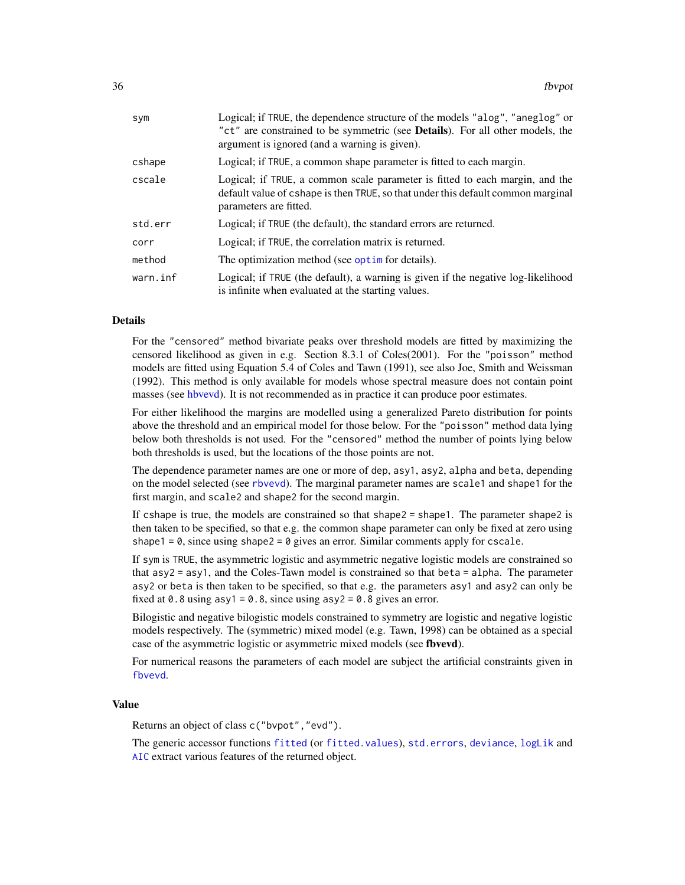| sym      | Logical; if TRUE, the dependence structure of the models "alog", "aneglog" or<br>"ct" are constrained to be symmetric (see <b>Details</b> ). For all other models, the<br>argument is ignored (and a warning is given). |
|----------|-------------------------------------------------------------------------------------------------------------------------------------------------------------------------------------------------------------------------|
| cshape   | Logical; if TRUE, a common shape parameter is fitted to each margin.                                                                                                                                                    |
| cscale   | Logical; if TRUE, a common scale parameter is fitted to each margin, and the<br>default value of cshape is then TRUE, so that under this default common marginal<br>parameters are fitted.                              |
| std.err  | Logical; if TRUE (the default), the standard errors are returned.                                                                                                                                                       |
| corr     | Logical; if TRUE, the correlation matrix is returned.                                                                                                                                                                   |
| method   | The optimization method (see optime for details).                                                                                                                                                                       |
| warn.inf | Logical; if TRUE (the default), a warning is given if the negative log-likelihood<br>is infinite when evaluated at the starting values.                                                                                 |

## Details

For the "censored" method bivariate peaks over threshold models are fitted by maximizing the censored likelihood as given in e.g. Section 8.3.1 of Coles(2001). For the "poisson" method models are fitted using Equation 5.4 of Coles and Tawn (1991), see also Joe, Smith and Weissman (1992). This method is only available for models whose spectral measure does not contain point masses (see [hbvevd\)](#page-55-1). It is not recommended as in practice it can produce poor estimates.

For either likelihood the margins are modelled using a generalized Pareto distribution for points above the threshold and an empirical model for those below. For the "poisson" method data lying below both thresholds is not used. For the "censored" method the number of points lying below both thresholds is used, but the locations of the those points are not.

The dependence parameter names are one or more of dep, asy1, asy2, alpha and beta, depending on the model selected (see [rbvevd](#page-12-1)). The marginal parameter names are scale1 and shape1 for the first margin, and scale2 and shape2 for the second margin.

If cshape is true, the models are constrained so that shape2 = shape1. The parameter shape2 is then taken to be specified, so that e.g. the common shape parameter can only be fixed at zero using shape1 =  $\theta$ , since using shape2 =  $\theta$  gives an error. Similar comments apply for cscale.

If sym is TRUE, the asymmetric logistic and asymmetric negative logistic models are constrained so that asy2 = asy1, and the Coles-Tawn model is constrained so that beta = alpha. The parameter asy2 or beta is then taken to be specified, so that e.g. the parameters asy1 and asy2 can only be fixed at 0.8 using  $asy1 = 0.8$ , since using  $asy2 = 0.8$  gives an error.

Bilogistic and negative bilogistic models constrained to symmetry are logistic and negative logistic models respectively. The (symmetric) mixed model (e.g. Tawn, 1998) can be obtained as a special case of the asymmetric logistic or asymmetric mixed models (see fbvevd).

For numerical reasons the parameters of each model are subject the artificial constraints given in [fbvevd](#page-30-1).

#### Value

Returns an object of class c("bvpot","evd").

The generic accessor functions [fitted](#page-0-0) (or [fitted.values](#page-0-0)), [std.errors](#page-39-2), [deviance](#page-0-0), [logLik](#page-0-0) and [AIC](#page-0-0) extract various features of the returned object.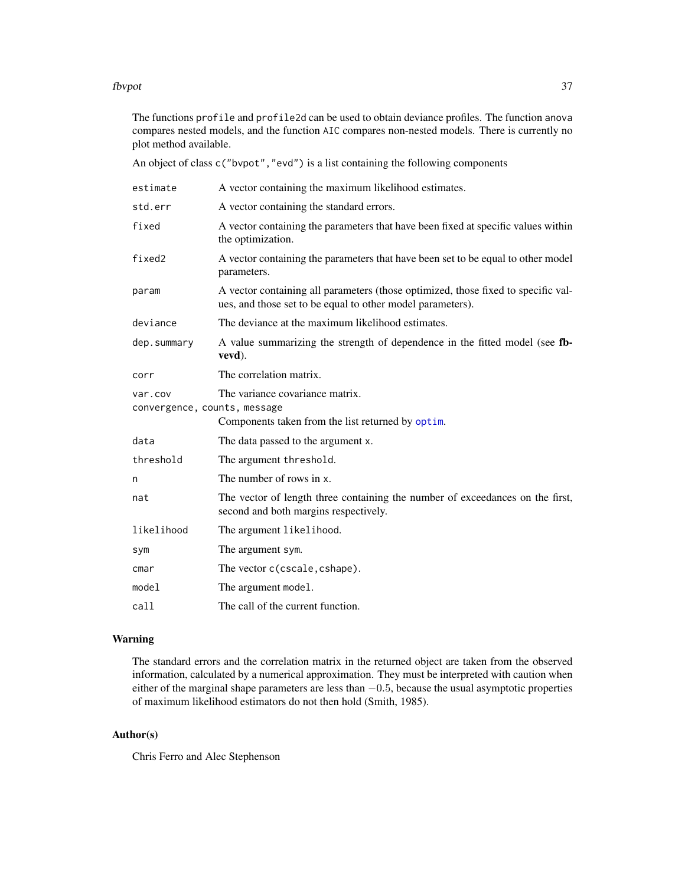#### fbvpot 37

The functions profile and profile2d can be used to obtain deviance profiles. The function anova compares nested models, and the function AIC compares non-nested models. There is currently no plot method available.

An object of class  $c("b$ vpot", "evd") is a list containing the following components

| estimate                                | A vector containing the maximum likelihood estimates.                                                                                           |
|-----------------------------------------|-------------------------------------------------------------------------------------------------------------------------------------------------|
| std.err                                 | A vector containing the standard errors.                                                                                                        |
| fixed                                   | A vector containing the parameters that have been fixed at specific values within<br>the optimization.                                          |
| fixed2                                  | A vector containing the parameters that have been set to be equal to other model<br>parameters.                                                 |
| param                                   | A vector containing all parameters (those optimized, those fixed to specific val-<br>ues, and those set to be equal to other model parameters). |
| deviance                                | The deviance at the maximum likelihood estimates.                                                                                               |
| dep.summary                             | A value summarizing the strength of dependence in the fitted model (see fb-<br>vevd).                                                           |
| corr                                    | The correlation matrix.                                                                                                                         |
| var.cov<br>convergence, counts, message | The variance covariance matrix.<br>Components taken from the list returned by optim.                                                            |
| data                                    | The data passed to the argument x.                                                                                                              |
| threshold                               | The argument threshold.                                                                                                                         |
| n                                       | The number of rows in x.                                                                                                                        |
| nat                                     | The vector of length three containing the number of exceedances on the first,<br>second and both margins respectively.                          |
| likelihood                              | The argument likelihood.                                                                                                                        |
| sym                                     | The argument sym.                                                                                                                               |
| cmar                                    | The vector c(cscale, cshape).                                                                                                                   |
| model                                   | The argument model.                                                                                                                             |
| call                                    | The call of the current function.                                                                                                               |

# Warning

The standard errors and the correlation matrix in the returned object are taken from the observed information, calculated by a numerical approximation. They must be interpreted with caution when either of the marginal shape parameters are less than  $-0.5$ , because the usual asymptotic properties of maximum likelihood estimators do not then hold (Smith, 1985).

# Author(s)

Chris Ferro and Alec Stephenson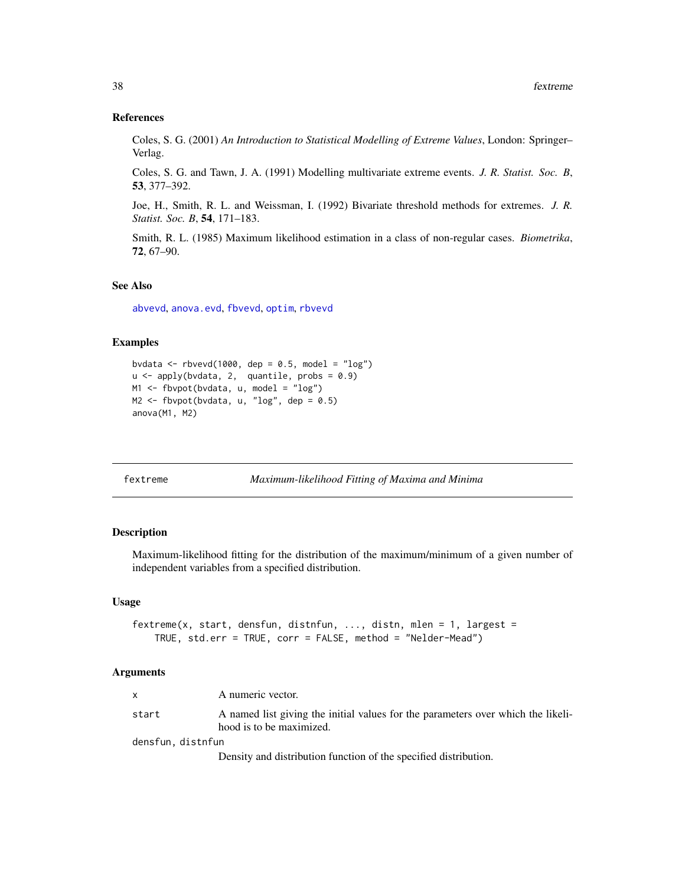### References

Coles, S. G. (2001) *An Introduction to Statistical Modelling of Extreme Values*, London: Springer– Verlag.

Coles, S. G. and Tawn, J. A. (1991) Modelling multivariate extreme events. *J. R. Statist. Soc. B*, 53, 377–392.

Joe, H., Smith, R. L. and Weissman, I. (1992) Bivariate threshold methods for extremes. *J. R. Statist. Soc. B*, 54, 171–183.

Smith, R. L. (1985) Maximum likelihood estimation in a class of non-regular cases. *Biometrika*, 72, 67–90.

#### See Also

[abvevd](#page-2-0), [anova.evd](#page-11-0), [fbvevd](#page-30-0), [optim](#page-0-0), [rbvevd](#page-12-0)

### Examples

```
bvdata <- rbvevd(1000, dep = 0.5, model = "log")
u \leftarrow apply(bvdata, 2, quantile, probs = 0.9)M1 <- fbvpot(bvdata, u, model = "log")
M2 \leq fbvpot(bvdata, u, "log", dep = 0.5)
anova(M1, M2)
```
<span id="page-37-0"></span>fextreme *Maximum-likelihood Fitting of Maxima and Minima*

### Description

Maximum-likelihood fitting for the distribution of the maximum/minimum of a given number of independent variables from a specified distribution.

#### Usage

```
fextreme(x, start, densfun, distnfun, ..., distn, mlen = 1, largest =
   TRUE, std.err = TRUE, corr = FALSE, method = "Nelder-Mead")
```
#### Arguments

| $\mathsf{x}$      | A numeric vector.                                                                                            |
|-------------------|--------------------------------------------------------------------------------------------------------------|
| start             | A named list giving the initial values for the parameters over which the likeli-<br>hood is to be maximized. |
| densfun, distnfun |                                                                                                              |
|                   | Density and distribution function of the specified distribution.                                             |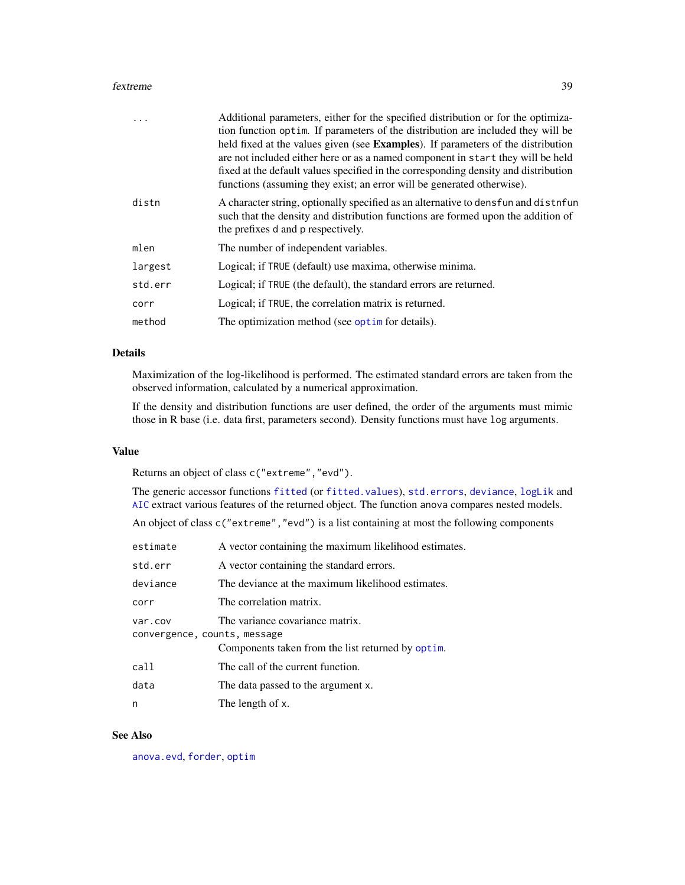#### fextreme 39

|         | Additional parameters, either for the specified distribution or for the optimiza-<br>tion function optim. If parameters of the distribution are included they will be                                                                                                                                                                |
|---------|--------------------------------------------------------------------------------------------------------------------------------------------------------------------------------------------------------------------------------------------------------------------------------------------------------------------------------------|
|         | held fixed at the values given (see Examples). If parameters of the distribution<br>are not included either here or as a named component in start they will be held<br>fixed at the default values specified in the corresponding density and distribution<br>functions (assuming they exist; an error will be generated otherwise). |
| distn   | A character string, optionally specified as an alternative to dens fun and distributed<br>such that the density and distribution functions are formed upon the addition of<br>the prefixes d and p respectively.                                                                                                                     |
| mlen    | The number of independent variables.                                                                                                                                                                                                                                                                                                 |
| largest | Logical; if TRUE (default) use maxima, otherwise minima.                                                                                                                                                                                                                                                                             |
| std.err | Logical; if TRUE (the default), the standard errors are returned.                                                                                                                                                                                                                                                                    |
| corr    | Logical; if TRUE, the correlation matrix is returned.                                                                                                                                                                                                                                                                                |
| method  | The optimization method (see optime for details).                                                                                                                                                                                                                                                                                    |

# Details

Maximization of the log-likelihood is performed. The estimated standard errors are taken from the observed information, calculated by a numerical approximation.

If the density and distribution functions are user defined, the order of the arguments must mimic those in R base (i.e. data first, parameters second). Density functions must have log arguments.

#### Value

Returns an object of class c("extreme","evd").

The generic accessor functions [fitted](#page-0-0) (or [fitted.values](#page-0-0)), [std.errors](#page-39-0), [deviance](#page-0-0), [logLik](#page-0-0) and [AIC](#page-0-0) extract various features of the returned object. The function anova compares nested models.

An object of class  $c("extreme", "evd")$  is a list containing at most the following components

| estimate                     | A vector containing the maximum likelihood estimates. |
|------------------------------|-------------------------------------------------------|
| std.err                      | A vector containing the standard errors.              |
| deviance                     | The deviance at the maximum likelihood estimates.     |
| corr                         | The correlation matrix.                               |
| var.cov                      | The variance covariance matrix.                       |
| convergence, counts, message |                                                       |
|                              | Components taken from the list returned by optim.     |
| call                         | The call of the current function.                     |
| data                         | The data passed to the argument x.                    |
| n                            | The length of x.                                      |

#### See Also

[anova.evd](#page-11-0), [forder](#page-44-0), [optim](#page-0-0)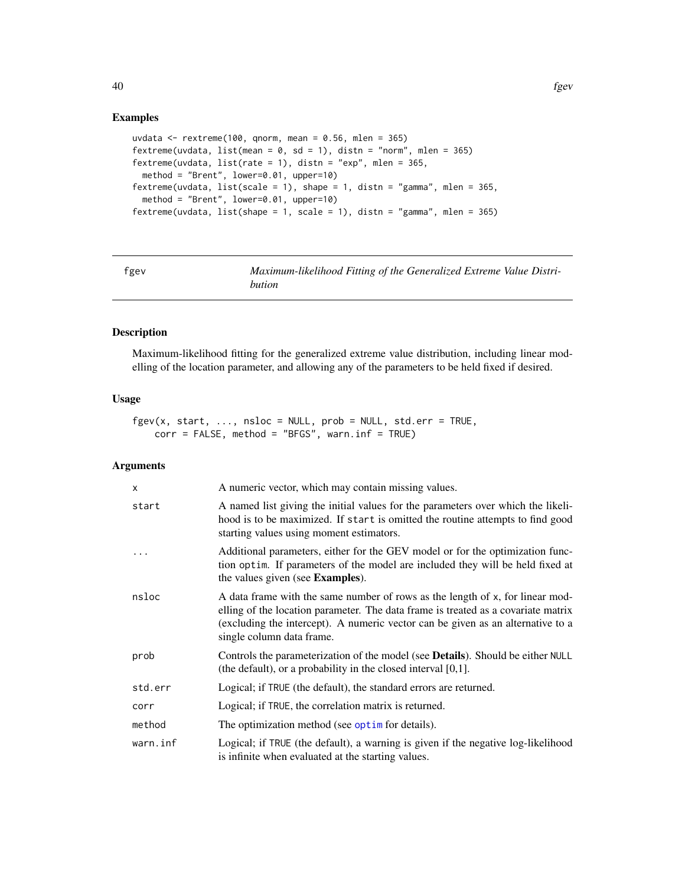### Examples

```
uvdata \le rextreme(100, qnorm, mean = 0.56, mlen = 365)
fextreme(uvdata, list(mean = 0, sd = 1), distn = "norm", mlen = 365)
fextreme(uvdata, list(rate = 1), distn = "exp", mlen = 365,
  method = "Brent", lower=0.01, upper=10)
fextreme(uvdata, list(scale = 1), shape = 1, distn = "gamma", mlen = 365,
  method = "Brent", lower=0.01, upper=10)
fextreme(uvdata, list(shape = 1, scale = 1), distn = "gamma", mlen = 365)
```
<span id="page-39-1"></span>

| ×<br>٠<br>×<br>۰, |
|-------------------|
|-------------------|

Maximum-likelihood Fitting of the Generalized Extreme Value Distri*bution*

# <span id="page-39-0"></span>Description

Maximum-likelihood fitting for the generalized extreme value distribution, including linear modelling of the location parameter, and allowing any of the parameters to be held fixed if desired.

# Usage

```
fgev(x, start, ..., nsloc = NULL, prob = NULL, std.err = TRUE,corr = FALSE, method = "BFGS", warn.inf = TRUE)
```
### Arguments

| $\mathsf{x}$ | A numeric vector, which may contain missing values.                                                                                                                                                                                                                                |
|--------------|------------------------------------------------------------------------------------------------------------------------------------------------------------------------------------------------------------------------------------------------------------------------------------|
| start        | A named list giving the initial values for the parameters over which the likeli-<br>hood is to be maximized. If start is omitted the routine attempts to find good<br>starting values using moment estimators.                                                                     |
| .            | Additional parameters, either for the GEV model or for the optimization func-<br>tion optim. If parameters of the model are included they will be held fixed at<br>the values given (see Examples).                                                                                |
| nsloc        | A data frame with the same number of rows as the length of x, for linear mod-<br>elling of the location parameter. The data frame is treated as a covariate matrix<br>(excluding the intercept). A numeric vector can be given as an alternative to a<br>single column data frame. |
| prob         | Controls the parameterization of the model (see <b>Details</b> ). Should be either NULL<br>(the default), or a probability in the closed interval $[0,1]$ .                                                                                                                        |
| std.err      | Logical; if TRUE (the default), the standard errors are returned.                                                                                                                                                                                                                  |
| corr         | Logical; if TRUE, the correlation matrix is returned.                                                                                                                                                                                                                              |
| method       | The optimization method (see optime for details).                                                                                                                                                                                                                                  |
| warn.inf     | Logical; if TRUE (the default), a warning is given if the negative log-likelihood<br>is infinite when evaluated at the starting values.                                                                                                                                            |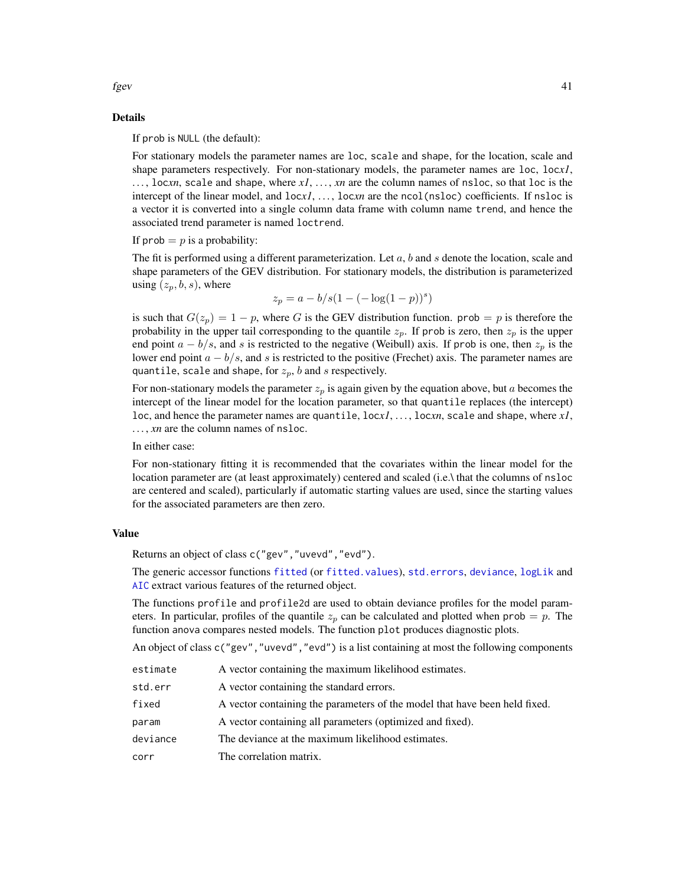fgev  $41$ 

# Details

If prob is NULL (the default):

For stationary models the parameter names are loc, scale and shape, for the location, scale and shape parameters respectively. For non-stationary models, the parameter names are loc, loc*x1*, . . . , loc*xn*, scale and shape, where *x1*, . . . , *xn* are the column names of nsloc, so that loc is the intercept of the linear model, and  $locx1$ , ..., locxn are the ncol(nsloc) coefficients. If nsloc is a vector it is converted into a single column data frame with column name trend, and hence the associated trend parameter is named loctrend.

If prob  $= p$  is a probability:

The fit is performed using a different parameterization. Let  $a$ ,  $b$  and  $s$  denote the location, scale and shape parameters of the GEV distribution. For stationary models, the distribution is parameterized using  $(z_p, b, s)$ , where

$$
z_p = a - b/s(1 - (-\log(1 - p))^s)
$$

is such that  $G(z_p) = 1 - p$ , where G is the GEV distribution function. prob = p is therefore the probability in the upper tail corresponding to the quantile  $z_p$ . If prob is zero, then  $z_p$  is the upper end point  $a - b/s$ , and s is restricted to the negative (Weibull) axis. If prob is one, then  $z_p$  is the lower end point  $a - b/s$ , and s is restricted to the positive (Frechet) axis. The parameter names are quantile, scale and shape, for  $z_p$ , b and s respectively.

For non-stationary models the parameter  $z_p$  is again given by the equation above, but a becomes the intercept of the linear model for the location parameter, so that quantile replaces (the intercept) loc, and hence the parameter names are quantile, loc*x1*, . . . , loc*xn*, scale and shape, where *x1*, ..., *xn* are the column names of nsloc.

In either case:

For non-stationary fitting it is recommended that the covariates within the linear model for the location parameter are (at least approximately) centered and scaled (i.e.\ that the columns of nsloc are centered and scaled), particularly if automatic starting values are used, since the starting values for the associated parameters are then zero.

#### Value

Returns an object of class c("gev","uvevd","evd").

The generic accessor functions [fitted](#page-0-0) (or [fitted.values](#page-0-0)), [std.errors](#page-39-0), [deviance](#page-0-0), [logLik](#page-0-0) and [AIC](#page-0-0) extract various features of the returned object.

The functions profile and profile2d are used to obtain deviance profiles for the model parameters. In particular, profiles of the quantile  $z_p$  can be calculated and plotted when prob = p. The function anova compares nested models. The function plot produces diagnostic plots.

An object of class c("gev", "uvevd", "evd") is a list containing at most the following components

| estimate | A vector containing the maximum likelihood estimates.                      |
|----------|----------------------------------------------------------------------------|
| std.err  | A vector containing the standard errors.                                   |
| fixed    | A vector containing the parameters of the model that have been held fixed. |
| param    | A vector containing all parameters (optimized and fixed).                  |
| deviance | The deviance at the maximum likelihood estimates.                          |
| corr     | The correlation matrix.                                                    |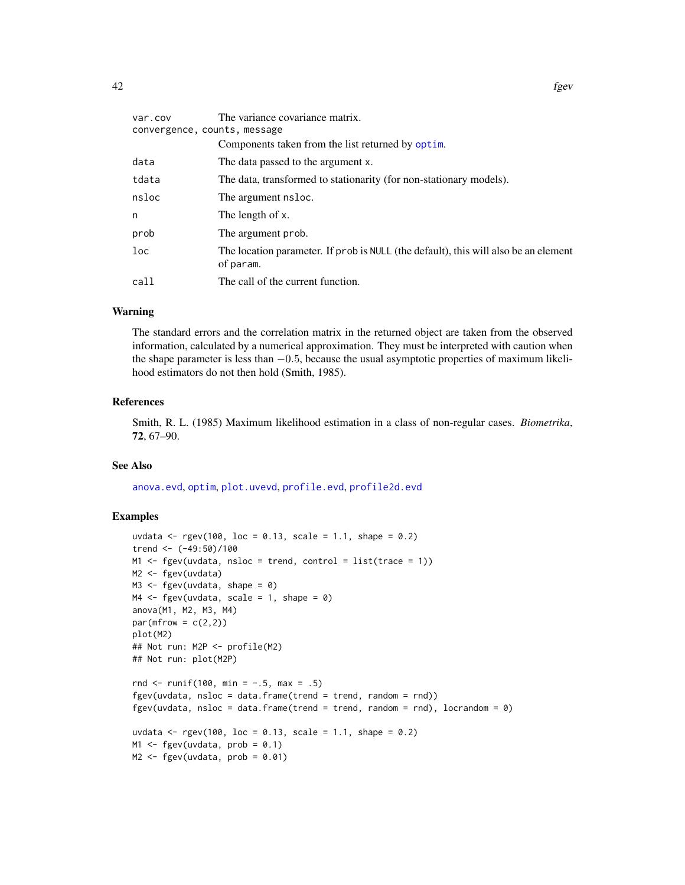| var.cov                      | The variance covariance matrix.                                                                  |  |
|------------------------------|--------------------------------------------------------------------------------------------------|--|
| convergence, counts, message |                                                                                                  |  |
|                              | Components taken from the list returned by optim.                                                |  |
| data                         | The data passed to the argument x.                                                               |  |
| tdata                        | The data, transformed to stationarity (for non-stationary models).                               |  |
| nsloc                        | The argument nsloc.                                                                              |  |
| n                            | The length of x.                                                                                 |  |
| prob                         | The argument prob.                                                                               |  |
| loc                          | The location parameter. If prob is NULL (the default), this will also be an element<br>of param. |  |
| call                         | The call of the current function.                                                                |  |
|                              |                                                                                                  |  |

#### Warning

The standard errors and the correlation matrix in the returned object are taken from the observed information, calculated by a numerical approximation. They must be interpreted with caution when the shape parameter is less than −0.5, because the usual asymptotic properties of maximum likelihood estimators do not then hold (Smith, 1985).

#### References

Smith, R. L. (1985) Maximum likelihood estimation in a class of non-regular cases. *Biometrika*, 72, 67–90.

### See Also

[anova.evd](#page-11-0), [optim](#page-0-0), [plot.uvevd](#page-73-0), [profile.evd](#page-76-0), [profile2d.evd](#page-77-0)

### Examples

```
uvdata <- rgev(100, loc = 0.13, scale = 1.1, shape = 0.2)
trend <- (-49:50)/100
M1 \leq fgev(uvdata, nsloc = trend, control = list(trace = 1))
M2 <- fgev(uvdata)
M3 \leq fgev(uvdata, shape = 0)
MA \leftarrow fgev(uvdata, scale = 1, shape = 0)anova(M1, M2, M3, M4)
par(mfrow = c(2,2))plot(M2)
## Not run: M2P <- profile(M2)
## Not run: plot(M2P)
rnd \le runif(100, min = -.5, max = .5)
fgev(uvdata, nsloc = data.frame(trend = trend, random = rnd))
fgev(uvdata, nsloc = data.frame(trend = trend, random = rnd), locrandom = \emptyset)
uvdata <- rgev(100, loc = 0.13, scale = 1.1, shape = 0.2)
M1 \leq fgev(uvdata, prob = 0.1)
M2 \leq - fgev(uvdata, prob = 0.01)
```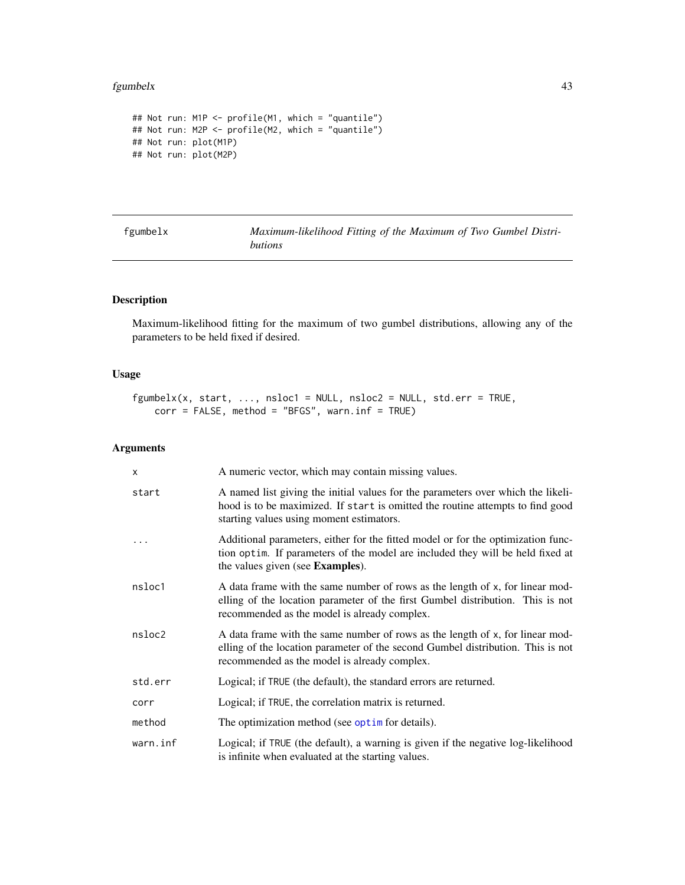#### fgumbelx 43

```
## Not run: M1P <- profile(M1, which = "quantile")
## Not run: M2P <- profile(M2, which = "quantile")
## Not run: plot(M1P)
## Not run: plot(M2P)
```
fgumbelx *Maximum-likelihood Fitting of the Maximum of Two Gumbel Distributions*

# Description

Maximum-likelihood fitting for the maximum of two gumbel distributions, allowing any of the parameters to be held fixed if desired.

# Usage

```
fgumbelx(x, start, ..., nslot = NULL, nshoc2 = NULL, std.err = TRUE,corr = FALSE, method = "BFGS", warn.inf = TRUE)
```
# Arguments

| $\times$ | A numeric vector, which may contain missing values.                                                                                                                                                              |
|----------|------------------------------------------------------------------------------------------------------------------------------------------------------------------------------------------------------------------|
| start    | A named list giving the initial values for the parameters over which the likeli-<br>hood is to be maximized. If start is omitted the routine attempts to find good<br>starting values using moment estimators.   |
|          | Additional parameters, either for the fitted model or for the optimization func-<br>tion optim. If parameters of the model are included they will be held fixed at<br>the values given (see Examples).           |
| nsloc1   | A data frame with the same number of rows as the length of x, for linear mod-<br>elling of the location parameter of the first Gumbel distribution. This is not<br>recommended as the model is already complex.  |
| nsloc2   | A data frame with the same number of rows as the length of x, for linear mod-<br>elling of the location parameter of the second Gumbel distribution. This is not<br>recommended as the model is already complex. |
| std.err  | Logical; if TRUE (the default), the standard errors are returned.                                                                                                                                                |
| corr     | Logical; if TRUE, the correlation matrix is returned.                                                                                                                                                            |
| method   | The optimization method (see optim for details).                                                                                                                                                                 |
| warn.inf | Logical; if TRUE (the default), a warning is given if the negative log-likelihood<br>is infinite when evaluated at the starting values.                                                                          |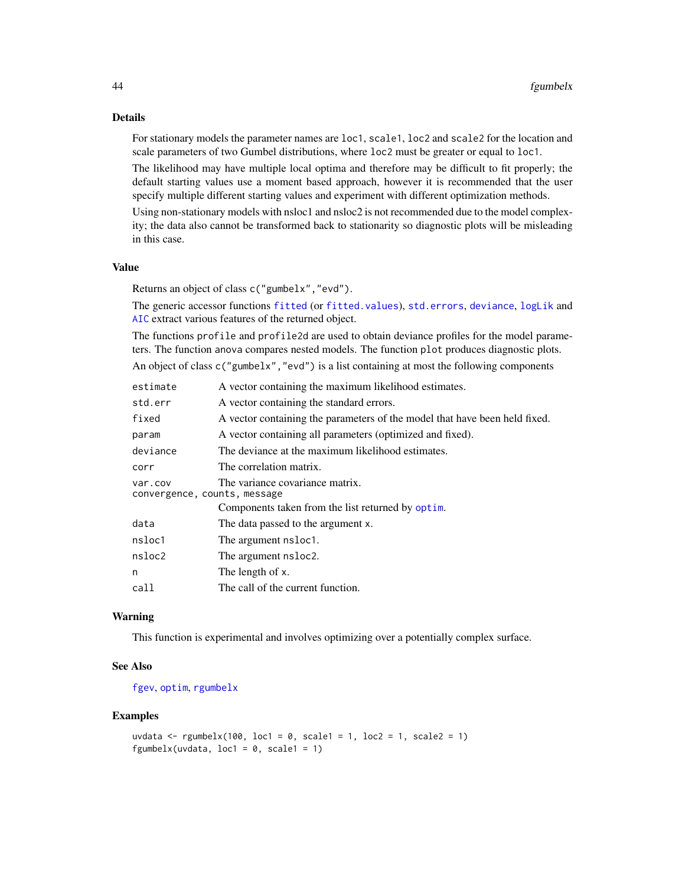# Details

For stationary models the parameter names are loc1, scale1, loc2 and scale2 for the location and scale parameters of two Gumbel distributions, where loc2 must be greater or equal to loc1.

The likelihood may have multiple local optima and therefore may be difficult to fit properly; the default starting values use a moment based approach, however it is recommended that the user specify multiple different starting values and experiment with different optimization methods.

Using non-stationary models with nsloc1 and nsloc2 is not recommended due to the model complexity; the data also cannot be transformed back to stationarity so diagnostic plots will be misleading in this case.

#### Value

Returns an object of class c("gumbelx","evd").

The generic accessor functions [fitted](#page-0-0) (or [fitted.values](#page-0-0)), [std.errors](#page-39-0), [deviance](#page-0-0), [logLik](#page-0-0) and [AIC](#page-0-0) extract various features of the returned object.

The functions profile and profile2d are used to obtain deviance profiles for the model parameters. The function anova compares nested models. The function plot produces diagnostic plots.

An object of class c("gumbelx","evd") is a list containing at most the following components

| estimate                                | A vector containing the maximum likelihood estimates.                      |
|-----------------------------------------|----------------------------------------------------------------------------|
| std.err                                 | A vector containing the standard errors.                                   |
| fixed                                   | A vector containing the parameters of the model that have been held fixed. |
| param                                   | A vector containing all parameters (optimized and fixed).                  |
| deviance                                | The deviance at the maximum likelihood estimates.                          |
| corr                                    | The correlation matrix.                                                    |
| var.cov<br>convergence, counts, message | The variance covariance matrix.                                            |
|                                         | Components taken from the list returned by optim.                          |
| data                                    | The data passed to the argument x.                                         |
| nsloc1                                  | The argument nsloc1.                                                       |
| nsloc2                                  | The argument nsloc2.                                                       |
| n                                       | The length of x.                                                           |
| call                                    | The call of the current function.                                          |

### Warning

This function is experimental and involves optimizing over a potentially complex surface.

### See Also

[fgev](#page-39-1), [optim](#page-0-0), [rgumbelx](#page-54-0)

### Examples

```
uvdata <- rgumbelx(100, loc1 = 0, scale1 = 1, loc2 = 1, scale2 = 1)
fgumbelx(uvdata, loc1 = 0, scale1 = 1)
```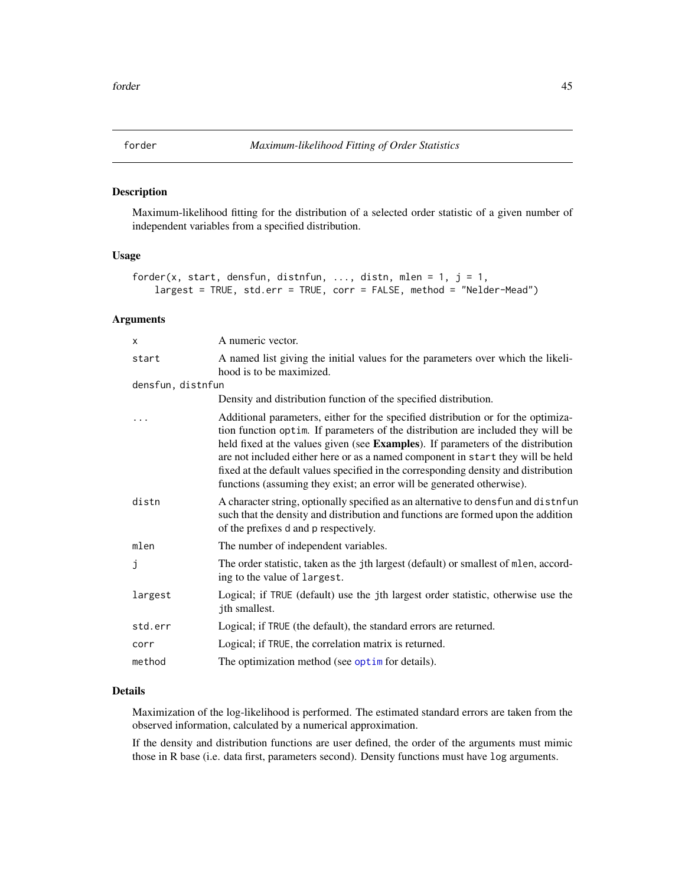<span id="page-44-0"></span>

### Description

Maximum-likelihood fitting for the distribution of a selected order statistic of a given number of independent variables from a specified distribution.

# Usage

```
forder(x, start, densfun, distnfun, ..., distn, mlen = 1, j = 1,
   largest = TRUE, std.err = TRUE, corr = FALSE, method = "Nelder-Mead")
```
# Arguments

| X                 | A numeric vector.                                                                                                                                                                                                                                                                                                                                                                                                                                                                                             |
|-------------------|---------------------------------------------------------------------------------------------------------------------------------------------------------------------------------------------------------------------------------------------------------------------------------------------------------------------------------------------------------------------------------------------------------------------------------------------------------------------------------------------------------------|
| start             | A named list giving the initial values for the parameters over which the likeli-<br>hood is to be maximized.                                                                                                                                                                                                                                                                                                                                                                                                  |
| densfun, distnfun |                                                                                                                                                                                                                                                                                                                                                                                                                                                                                                               |
|                   | Density and distribution function of the specified distribution.                                                                                                                                                                                                                                                                                                                                                                                                                                              |
|                   | Additional parameters, either for the specified distribution or for the optimiza-<br>tion function optim. If parameters of the distribution are included they will be<br>held fixed at the values given (see Examples). If parameters of the distribution<br>are not included either here or as a named component in start they will be held<br>fixed at the default values specified in the corresponding density and distribution<br>functions (assuming they exist; an error will be generated otherwise). |
| distn             | A character string, optionally specified as an alternative to densfun and distnfun<br>such that the density and distribution and functions are formed upon the addition<br>of the prefixes d and p respectively.                                                                                                                                                                                                                                                                                              |
| mlen              | The number of independent variables.                                                                                                                                                                                                                                                                                                                                                                                                                                                                          |
| j                 | The order statistic, taken as the jth largest (default) or smallest of mlen, accord-<br>ing to the value of largest.                                                                                                                                                                                                                                                                                                                                                                                          |
| largest           | Logical; if TRUE (default) use the jth largest order statistic, otherwise use the<br>jth smallest.                                                                                                                                                                                                                                                                                                                                                                                                            |
| std.err           | Logical; if TRUE (the default), the standard errors are returned.                                                                                                                                                                                                                                                                                                                                                                                                                                             |
| corr              | Logical; if TRUE, the correlation matrix is returned.                                                                                                                                                                                                                                                                                                                                                                                                                                                         |
| method            | The optimization method (see optime for details).                                                                                                                                                                                                                                                                                                                                                                                                                                                             |
|                   |                                                                                                                                                                                                                                                                                                                                                                                                                                                                                                               |

# Details

Maximization of the log-likelihood is performed. The estimated standard errors are taken from the observed information, calculated by a numerical approximation.

If the density and distribution functions are user defined, the order of the arguments must mimic those in R base (i.e. data first, parameters second). Density functions must have log arguments.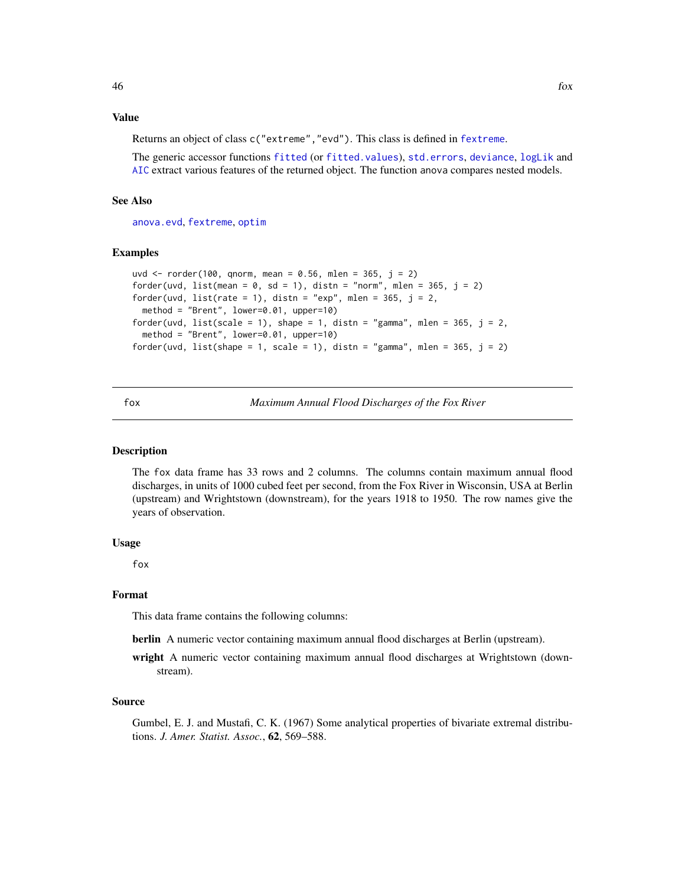# Value

Returns an object of class c("extreme","evd"). This class is defined in [fextreme](#page-37-0).

The generic accessor functions [fitted](#page-0-0) (or [fitted.values](#page-0-0)), [std.errors](#page-39-0), [deviance](#page-0-0), [logLik](#page-0-0) and [AIC](#page-0-0) extract various features of the returned object. The function anova compares nested models.

# See Also

[anova.evd](#page-11-0), [fextreme](#page-37-0), [optim](#page-0-0)

### Examples

```
uvd <- rorder(100, qnorm, mean = 0.56, mlen = 365, j = 2)
forder(uvd, list(mean = 0, sd = 1), distn = "norm", mlen = 365, j = 2)
forder(uvd, list(rate = 1), distn = "exp", mlen = 365, j = 2,
 method = "Brent", lower=0.01, upper=10)
forder(uvd, list(scale = 1), shape = 1, distn = "gamma", mlen = 365, j = 2,
 method = "Brent", lower=0.01, upper=10)
forder(uvd, list(shape = 1, scale = 1), distn = "gamma", mlen = 365, j = 2)
```
fox *Maximum Annual Flood Discharges of the Fox River*

#### Description

The fox data frame has 33 rows and 2 columns. The columns contain maximum annual flood discharges, in units of 1000 cubed feet per second, from the Fox River in Wisconsin, USA at Berlin (upstream) and Wrightstown (downstream), for the years 1918 to 1950. The row names give the years of observation.

# Usage

fox

### Format

This data frame contains the following columns:

berlin A numeric vector containing maximum annual flood discharges at Berlin (upstream).

wright A numeric vector containing maximum annual flood discharges at Wrightstown (downstream).

#### Source

Gumbel, E. J. and Mustafi, C. K. (1967) Some analytical properties of bivariate extremal distributions. *J. Amer. Statist. Assoc.*, 62, 569–588.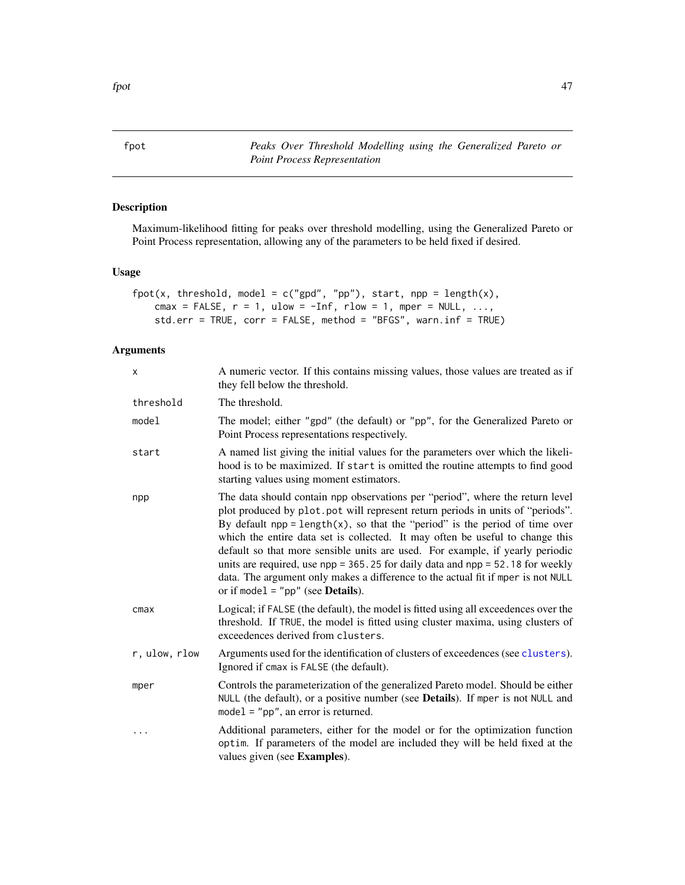<span id="page-46-0"></span>fpot *Peaks Over Threshold Modelling using the Generalized Pareto or Point Process Representation*

# Description

Maximum-likelihood fitting for peaks over threshold modelling, using the Generalized Pareto or Point Process representation, allowing any of the parameters to be held fixed if desired.

# Usage

```
fpot(x, threshold, model = c("gpd", "pp"), start, npp = length(x),
    cmax = FALSE, r = 1, ulow = -Inf, rlow = 1, mper = NULL, ...,
    std.err = TRUE, corr = FALSE, method = "BFGS", warn.inf = TRUE)
```
# Arguments

| x             | A numeric vector. If this contains missing values, those values are treated as if<br>they fell below the threshold.                                                                                                                                                                                                                                                                                                                                                                                                                                                                                                                            |
|---------------|------------------------------------------------------------------------------------------------------------------------------------------------------------------------------------------------------------------------------------------------------------------------------------------------------------------------------------------------------------------------------------------------------------------------------------------------------------------------------------------------------------------------------------------------------------------------------------------------------------------------------------------------|
| threshold     | The threshold.                                                                                                                                                                                                                                                                                                                                                                                                                                                                                                                                                                                                                                 |
| model         | The model; either "gpd" (the default) or "pp", for the Generalized Pareto or<br>Point Process representations respectively.                                                                                                                                                                                                                                                                                                                                                                                                                                                                                                                    |
| start         | A named list giving the initial values for the parameters over which the likeli-<br>hood is to be maximized. If start is omitted the routine attempts to find good<br>starting values using moment estimators.                                                                                                                                                                                                                                                                                                                                                                                                                                 |
| npp           | The data should contain npp observations per "period", where the return level<br>plot produced by plot.pot will represent return periods in units of "periods".<br>By default $npp = length(x)$ , so that the "period" is the period of time over<br>which the entire data set is collected. It may often be useful to change this<br>default so that more sensible units are used. For example, if yearly periodic<br>units are required, use $npp = 365.25$ for daily data and $npp = 52.18$ for weekly<br>data. The argument only makes a difference to the actual fit if mper is not NULL<br>or if model = " $pp$ " (see <b>Details</b> ). |
| cmax          | Logical; if FALSE (the default), the model is fitted using all exceedences over the<br>threshold. If TRUE, the model is fitted using cluster maxima, using clusters of<br>exceedences derived from clusters.                                                                                                                                                                                                                                                                                                                                                                                                                                   |
| r, ulow, rlow | Arguments used for the identification of clusters of exceedences (see clusters).<br>Ignored if cmax is FALSE (the default).                                                                                                                                                                                                                                                                                                                                                                                                                                                                                                                    |
| mper          | Controls the parameterization of the generalized Pareto model. Should be either<br>NULL (the default), or a positive number (see Details). If mper is not NULL and<br>$model = "pp", an error is returned.$                                                                                                                                                                                                                                                                                                                                                                                                                                    |
| $\cdots$      | Additional parameters, either for the model or for the optimization function<br>optim. If parameters of the model are included they will be held fixed at the<br>values given (see Examples).                                                                                                                                                                                                                                                                                                                                                                                                                                                  |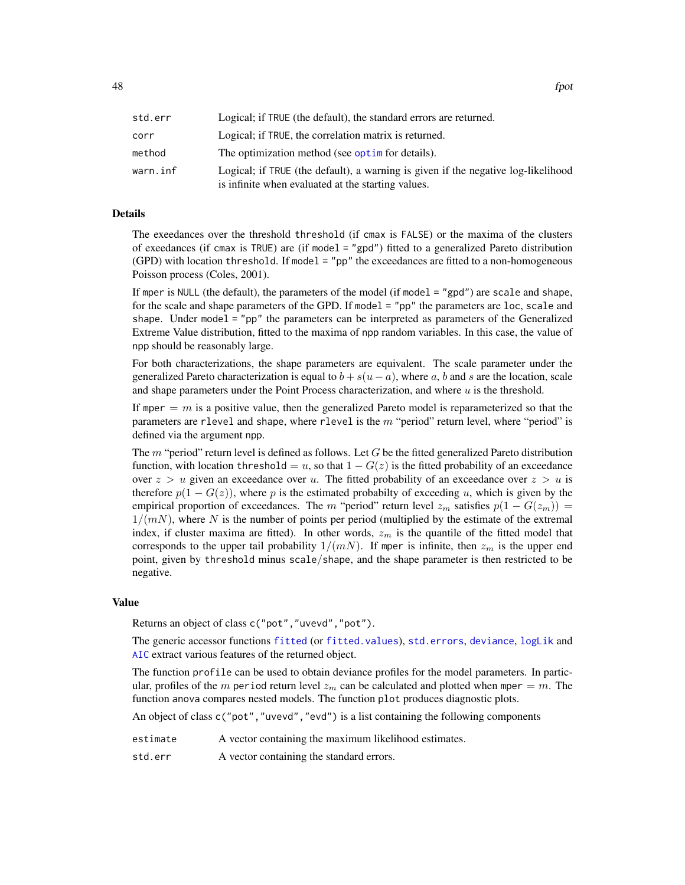| std.err  | Logical; if TRUE (the default), the standard errors are returned.                                                                       |
|----------|-----------------------------------------------------------------------------------------------------------------------------------------|
| corr     | Logical; if TRUE, the correlation matrix is returned.                                                                                   |
| method   | The optimization method (see optime for details).                                                                                       |
| warn.inf | Logical; if TRUE (the default), a warning is given if the negative log-likelihood<br>is infinite when evaluated at the starting values. |

### Details

The exeedances over the threshold threshold (if cmax is FALSE) or the maxima of the clusters of exeedances (if cmax is TRUE) are (if model = "gpd") fitted to a generalized Pareto distribution  $(GPD)$  with location threshold. If model = "pp" the exceedances are fitted to a non-homogeneous Poisson process (Coles, 2001).

If mper is NULL (the default), the parameters of the model (if model  $=$  "gpd") are scale and shape, for the scale and shape parameters of the GPD. If model = "pp" the parameters are loc, scale and shape. Under model = "pp" the parameters can be interpreted as parameters of the Generalized Extreme Value distribution, fitted to the maxima of npp random variables. In this case, the value of npp should be reasonably large.

For both characterizations, the shape parameters are equivalent. The scale parameter under the generalized Pareto characterization is equal to  $b + s(u - a)$ , where a, b and s are the location, scale and shape parameters under the Point Process characterization, and where  $u$  is the threshold.

If mper  $= m$  is a positive value, then the generalized Pareto model is reparameterized so that the parameters are rlevel and shape, where rlevel is the  $m$  "period" return level, where "period" is defined via the argument npp.

The  $m$  "period" return level is defined as follows. Let  $G$  be the fitted generalized Pareto distribution function, with location threshold = u, so that  $1 - G(z)$  is the fitted probability of an exceedance over  $z > u$  given an exceedance over u. The fitted probability of an exceedance over  $z > u$  is therefore  $p(1 - G(z))$ , where p is the estimated probabilty of exceeding u, which is given by the empirical proportion of exceedances. The m "period" return level  $z_m$  satisfies  $p(1 - G(z_m)) =$  $1/(mN)$ , where N is the number of points per period (multiplied by the estimate of the extremal index, if cluster maxima are fitted). In other words,  $z_m$  is the quantile of the fitted model that corresponds to the upper tail probability  $1/(mN)$ . If mper is infinite, then  $z_m$  is the upper end point, given by threshold minus scale/shape, and the shape parameter is then restricted to be negative.

#### Value

Returns an object of class c("pot","uvevd","pot").

The generic accessor functions [fitted](#page-0-0) (or [fitted.values](#page-0-0)), [std.errors](#page-39-0), [deviance](#page-0-0), [logLik](#page-0-0) and [AIC](#page-0-0) extract various features of the returned object.

The function profile can be used to obtain deviance profiles for the model parameters. In particular, profiles of the m period return level  $z_m$  can be calculated and plotted when mper = m. The function anova compares nested models. The function plot produces diagnostic plots.

An object of class c("pot","uvevd","evd") is a list containing the following components

- estimate A vector containing the maximum likelihood estimates.
- std.err A vector containing the standard errors.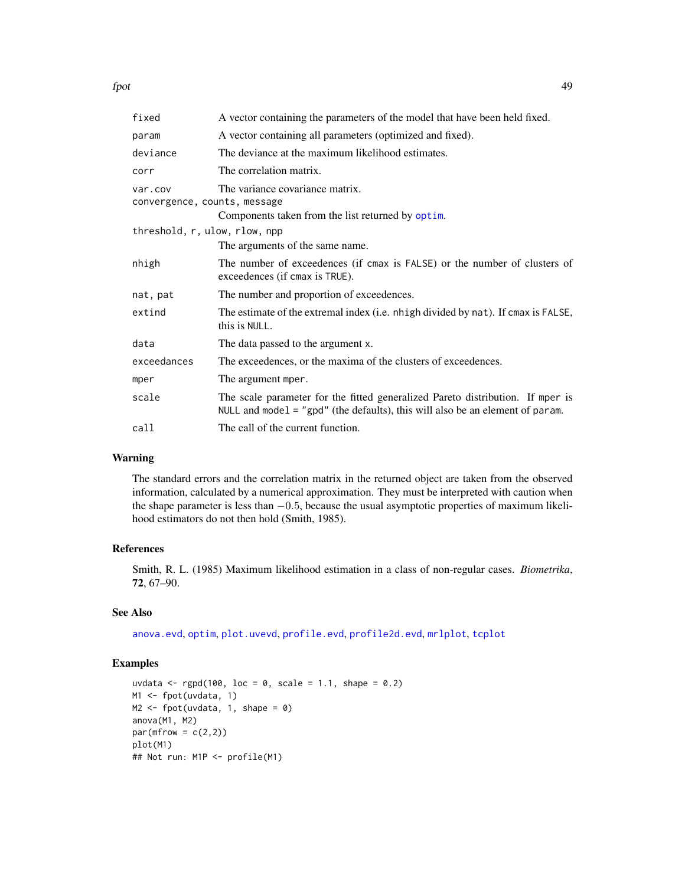| fixed                                   | A vector containing the parameters of the model that have been held fixed.                                                                                        |  |
|-----------------------------------------|-------------------------------------------------------------------------------------------------------------------------------------------------------------------|--|
| param                                   | A vector containing all parameters (optimized and fixed).                                                                                                         |  |
| deviance                                | The deviance at the maximum likelihood estimates.                                                                                                                 |  |
| corr                                    | The correlation matrix.                                                                                                                                           |  |
| var.cov<br>convergence, counts, message | The variance covariance matrix.                                                                                                                                   |  |
|                                         | Components taken from the list returned by optim.                                                                                                                 |  |
| threshold, r, ulow, rlow, npp           |                                                                                                                                                                   |  |
|                                         | The arguments of the same name.                                                                                                                                   |  |
| nhigh                                   | The number of exceedences (if cmax is FALSE) or the number of clusters of<br>exceedences (if cmax is TRUE).                                                       |  |
| nat, pat                                | The number and proportion of exceedences.                                                                                                                         |  |
| extind                                  | The estimate of the extremal index (i.e. nhigh divided by nat). If cmax is FALSE,<br>this is NULL.                                                                |  |
| data                                    | The data passed to the argument x.                                                                                                                                |  |
| exceedances                             | The exceedences, or the maxima of the clusters of exceedences.                                                                                                    |  |
| mper                                    | The argument mper.                                                                                                                                                |  |
| scale                                   | The scale parameter for the fitted generalized Pareto distribution. If mper is<br>NULL and model $=$ "gpd" (the defaults), this will also be an element of param. |  |
| call                                    | The call of the current function.                                                                                                                                 |  |

# Warning

The standard errors and the correlation matrix in the returned object are taken from the observed information, calculated by a numerical approximation. They must be interpreted with caution when the shape parameter is less than −0.5, because the usual asymptotic properties of maximum likelihood estimators do not then hold (Smith, 1985).

# References

Smith, R. L. (1985) Maximum likelihood estimation in a class of non-regular cases. *Biometrika*, 72, 67–90.

# See Also

[anova.evd](#page-11-0), [optim](#page-0-0), [plot.uvevd](#page-73-0), [profile.evd](#page-76-0), [profile2d.evd](#page-77-0), [mrlplot](#page-59-0), [tcplot](#page-83-0)

# Examples

```
uvdata \leq rgpd(100, loc = 0, scale = 1.1, shape = 0.2)
M1 <- fpot(uvdata, 1)
M2 \leq fpot(uvdata, 1, shape = 0)
anova(M1, M2)
par(mfrow = c(2,2))plot(M1)
## Not run: M1P <- profile(M1)
```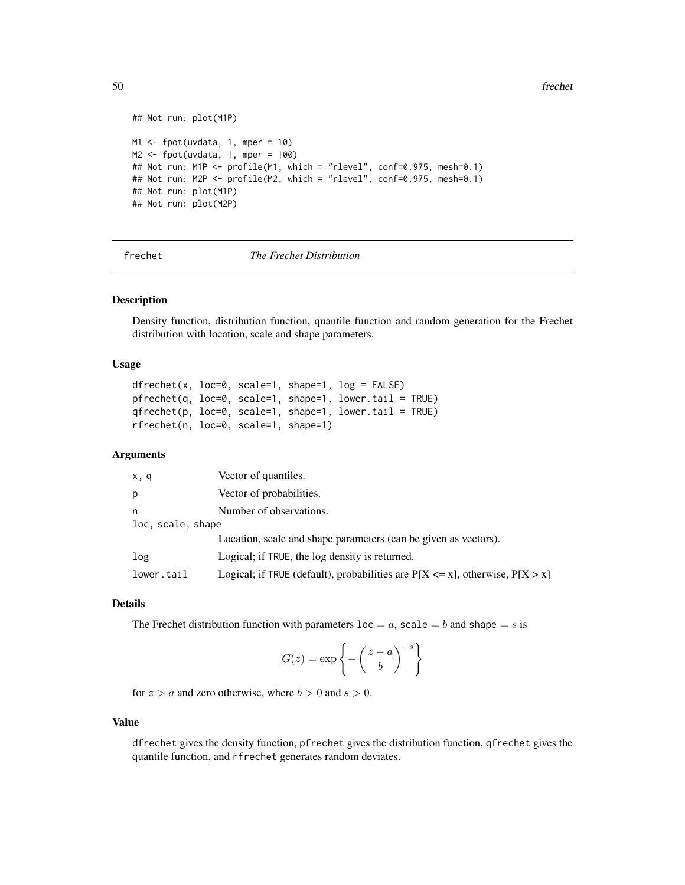```
## Not run: plot(M1P)
M1 <- fpot(uvdata, 1, mper = 10)
M2 \leq fpot(uvdata, 1, mper = 100)
## Not run: M1P <- profile(M1, which = "rlevel", conf=0.975, mesh=0.1)
## Not run: M2P <- profile(M2, which = "rlevel", conf=0.975, mesh=0.1)
## Not run: plot(M1P)
## Not run: plot(M2P)
```
#### frechet *The Frechet Distribution*

# <span id="page-49-0"></span>Description

Density function, distribution function, quantile function and random generation for the Frechet distribution with location, scale and shape parameters.

# Usage

 $dfrechet(x, loc=0, scale=1, shape=1, log = FALSE)$ pfrechet(q, loc=0, scale=1, shape=1, lower.tail = TRUE) qfrechet(p, loc=0, scale=1, shape=1, lower.tail = TRUE) rfrechet(n, loc=0, scale=1, shape=1)

# Arguments

| x, q              | Vector of quantiles.                                                               |  |
|-------------------|------------------------------------------------------------------------------------|--|
| р                 | Vector of probabilities.                                                           |  |
| n                 | Number of observations.                                                            |  |
| loc, scale, shape |                                                                                    |  |
|                   | Location, scale and shape parameters (can be given as vectors).                    |  |
| log               | Logical; if TRUE, the log density is returned.                                     |  |
| lower.tail        | Logical; if TRUE (default), probabilities are $P[X \le x]$ , otherwise, $P[X > x]$ |  |

#### Details

The Frechet distribution function with parameters  $l$  oc = a, scale = b and shape = s is

$$
G(z) = \exp\left\{-\left(\frac{z-a}{b}\right)^{-s}\right\}
$$

for  $z > a$  and zero otherwise, where  $b > 0$  and  $s > 0$ .

### Value

dfrechet gives the density function, pfrechet gives the distribution function, qfrechet gives the quantile function, and rfrechet generates random deviates.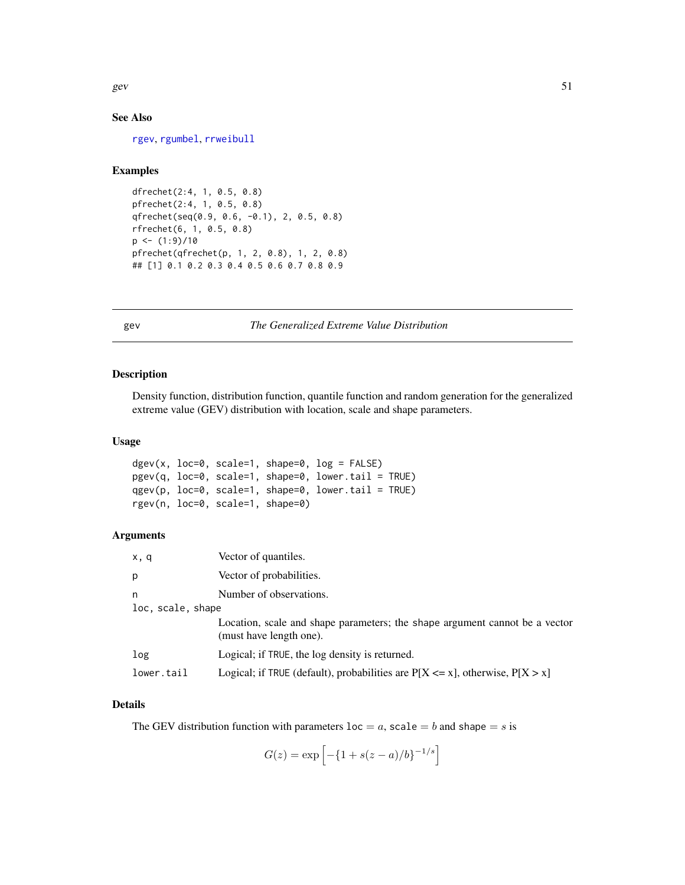gev  $51$ 

# See Also

[rgev](#page-50-0), [rgumbel](#page-53-0), [rrweibull](#page-80-0)

### Examples

```
dfrechet(2:4, 1, 0.5, 0.8)
pfrechet(2:4, 1, 0.5, 0.8)
qfrechet(seq(0.9, 0.6, -0.1), 2, 0.5, 0.8)
rfrechet(6, 1, 0.5, 0.8)
p \leftarrow (1:9)/10pfrechet(qfrechet(p, 1, 2, 0.8), 1, 2, 0.8)
## [1] 0.1 0.2 0.3 0.4 0.5 0.6 0.7 0.8 0.9
```
gev *The Generalized Extreme Value Distribution*

# <span id="page-50-0"></span>Description

Density function, distribution function, quantile function and random generation for the generalized extreme value (GEV) distribution with location, scale and shape parameters.

# Usage

```
dgev(x, loc=0, scale=1, shape=0, log = FALSE)
pgev(q, loc=0, scale=1, shape=0, lower.tail = TRUE)
qgev(p, loc=0, scale=1, shape=0, lower.tail = TRUE)
rgev(n, loc=0, scale=1, shape=0)
```
# Arguments

| x, q              | Vector of quantiles.                                                                                   |
|-------------------|--------------------------------------------------------------------------------------------------------|
| p                 | Vector of probabilities.                                                                               |
| n                 | Number of observations.                                                                                |
| loc, scale, shape |                                                                                                        |
|                   | Location, scale and shape parameters; the shape argument cannot be a vector<br>(must have length one). |
| log               | Logical; if TRUE, the log density is returned.                                                         |
| lower.tail        | Logical; if TRUE (default), probabilities are $P[X \le x]$ , otherwise, $P[X > x]$                     |

# Details

The GEV distribution function with parameters  $loc = a$ , scale  $= b$  and shape  $= s$  is

$$
G(z) = \exp \left[ -\{1 + s(z - a)/b\}^{-1/s} \right]
$$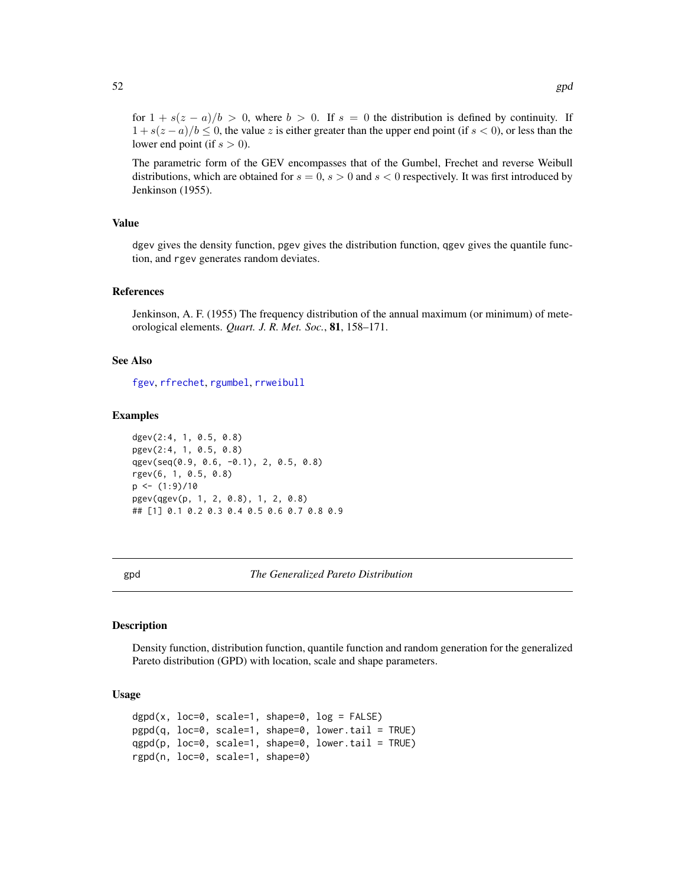for  $1 + s(z - a)/b > 0$ , where  $b > 0$ . If  $s = 0$  the distribution is defined by continuity. If  $1 + s(z - a)/b \leq 0$ , the value z is either greater than the upper end point (if  $s < 0$ ), or less than the lower end point (if  $s > 0$ ).

The parametric form of the GEV encompasses that of the Gumbel, Frechet and reverse Weibull distributions, which are obtained for  $s = 0$ ,  $s > 0$  and  $s < 0$  respectively. It was first introduced by Jenkinson (1955).

### Value

dgev gives the density function, pgev gives the distribution function, qgev gives the quantile function, and rgev generates random deviates.

### References

Jenkinson, A. F. (1955) The frequency distribution of the annual maximum (or minimum) of meteorological elements. *Quart. J. R. Met. Soc.*, 81, 158–171.

### See Also

[fgev](#page-39-1), [rfrechet](#page-49-0), [rgumbel](#page-53-0), [rrweibull](#page-80-0)

#### Examples

dgev(2:4, 1, 0.5, 0.8) pgev(2:4, 1, 0.5, 0.8) qgev(seq(0.9, 0.6, -0.1), 2, 0.5, 0.8) rgev(6, 1, 0.5, 0.8)  $p \leftarrow (1:9)/10$ pgev(qgev(p, 1, 2, 0.8), 1, 2, 0.8) ## [1] 0.1 0.2 0.3 0.4 0.5 0.6 0.7 0.8 0.9

gpd *The Generalized Pareto Distribution*

# **Description**

Density function, distribution function, quantile function and random generation for the generalized Pareto distribution (GPD) with location, scale and shape parameters.

# Usage

 $dgpd(x, loc=0, scale=1, shape=0, log = FALSE)$ pgpd(q, loc=0, scale=1, shape=0, lower.tail = TRUE) qgpd(p, loc=0, scale=1, shape=0, lower.tail = TRUE) rgpd(n, loc=0, scale=1, shape=0)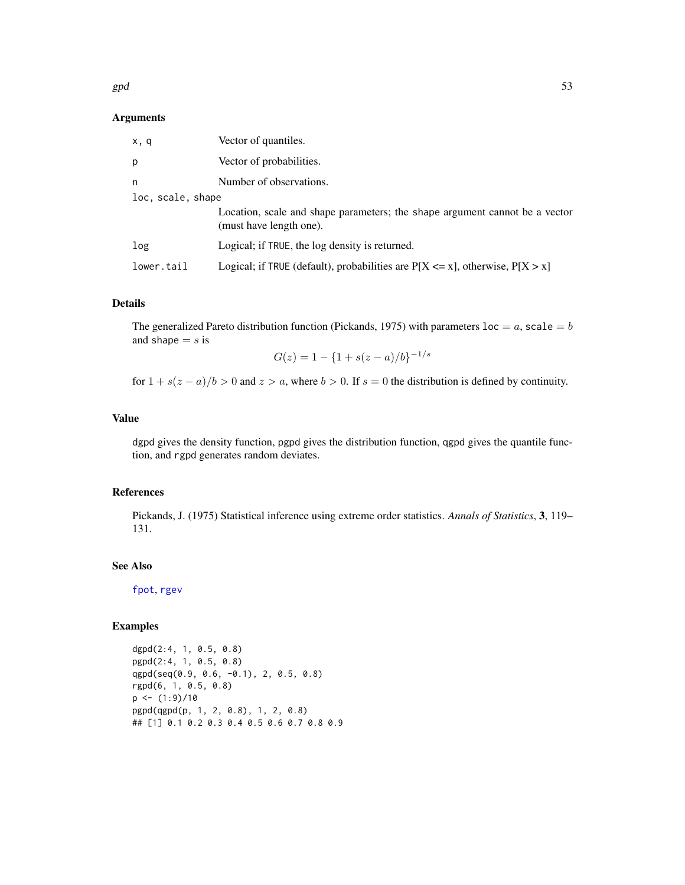#### $gpd$  53

### Arguments

| x, q              | Vector of quantiles.                                                                                   |  |
|-------------------|--------------------------------------------------------------------------------------------------------|--|
| p                 | Vector of probabilities.                                                                               |  |
| n                 | Number of observations.                                                                                |  |
| loc, scale, shape |                                                                                                        |  |
|                   | Location, scale and shape parameters; the shape argument cannot be a vector<br>(must have length one). |  |
| log               | Logical; if TRUE, the log density is returned.                                                         |  |
| lower.tail        | Logical; if TRUE (default), probabilities are $P[X \le x]$ , otherwise, $P[X > x]$                     |  |

# Details

The generalized Pareto distribution function (Pickands, 1975) with parameters  $loc = a$ , scale  $= b$ and shape  $= s$  is

$$
G(z) = 1 - \{1 + s(z - a)/b\}^{-1/s}
$$

for  $1 + s(z - a)/b > 0$  and  $z > a$ , where  $b > 0$ . If  $s = 0$  the distribution is defined by continuity.

# Value

dgpd gives the density function, pgpd gives the distribution function, qgpd gives the quantile function, and rgpd generates random deviates.

### References

Pickands, J. (1975) Statistical inference using extreme order statistics. *Annals of Statistics*, 3, 119– 131.

# See Also

[fpot](#page-46-0), [rgev](#page-50-0)

# Examples

dgpd(2:4, 1, 0.5, 0.8) pgpd(2:4, 1, 0.5, 0.8) qgpd(seq(0.9, 0.6, -0.1), 2, 0.5, 0.8) rgpd(6, 1, 0.5, 0.8)  $p \leftarrow (1:9)/10$ pgpd(qgpd(p, 1, 2, 0.8), 1, 2, 0.8) ## [1] 0.1 0.2 0.3 0.4 0.5 0.6 0.7 0.8 0.9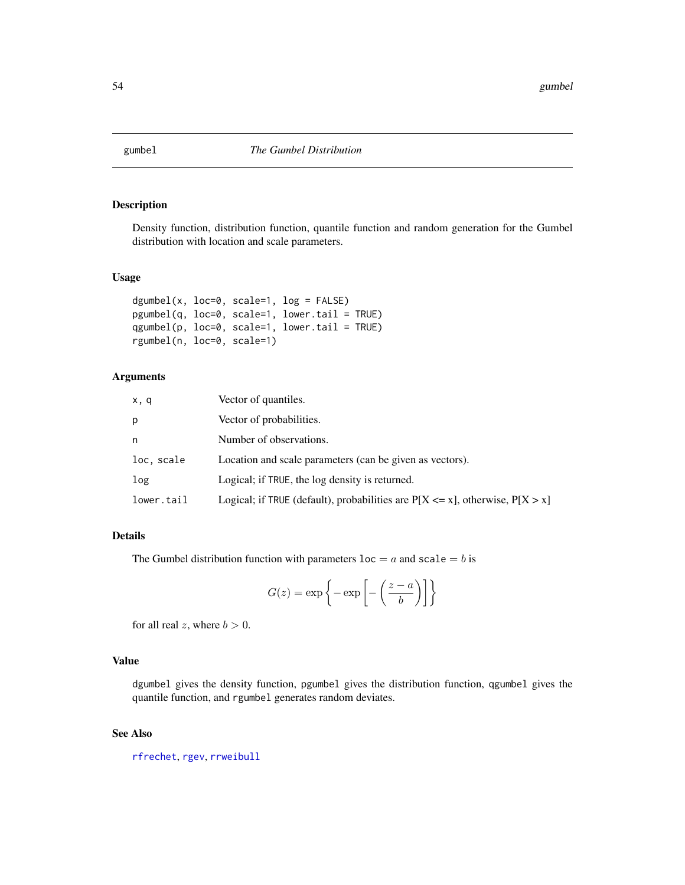# <span id="page-53-0"></span>Description

Density function, distribution function, quantile function and random generation for the Gumbel distribution with location and scale parameters.

# Usage

```
dgumbel(x, loc=0, scale=1, log = FALSE)
pgumbel(q, loc=0, scale=1, lower.tail = TRUE)
qgumbel(p, loc=0, scale=1, lower.tail = TRUE)
rgumbel(n, loc=0, scale=1)
```
### Arguments

| x, q       | Vector of quantiles.                                                               |
|------------|------------------------------------------------------------------------------------|
| p          | Vector of probabilities.                                                           |
| n          | Number of observations.                                                            |
| loc, scale | Location and scale parameters (can be given as vectors).                           |
| log        | Logical; if TRUE, the log density is returned.                                     |
| lower.tail | Logical; if TRUE (default), probabilities are $P[X \le x]$ , otherwise, $P[X > x]$ |

### Details

The Gumbel distribution function with parameters  $loc = a$  and  $scale = b$  is

$$
G(z) = \exp\left\{-\exp\left[-\left(\frac{z-a}{b}\right)\right]\right\}
$$

for all real z, where  $b > 0$ .

### Value

dgumbel gives the density function, pgumbel gives the distribution function, qgumbel gives the quantile function, and rgumbel generates random deviates.

# See Also

[rfrechet](#page-49-0), [rgev](#page-50-0), [rrweibull](#page-80-0)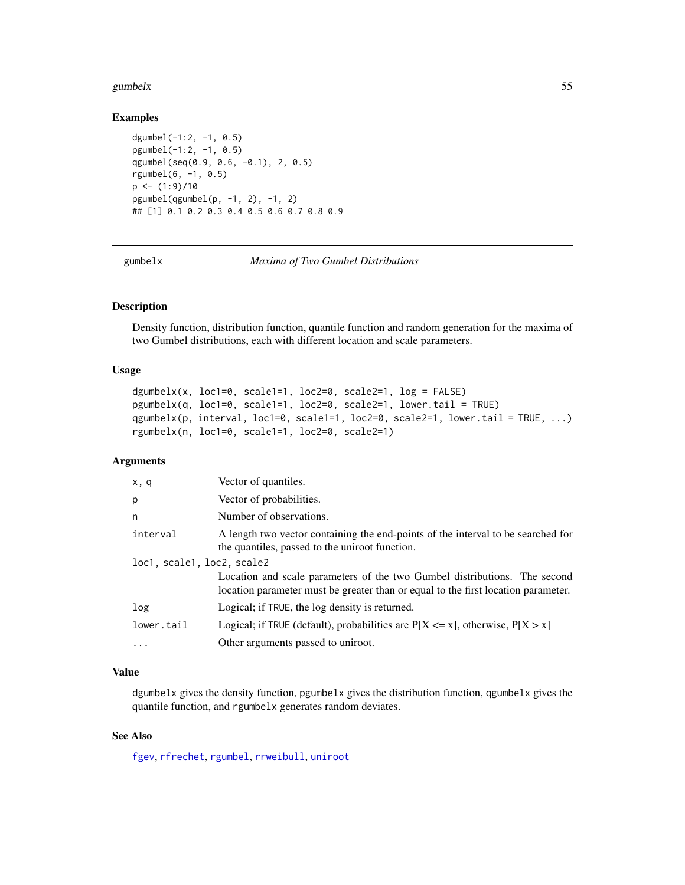#### gumbelx 55

### Examples

```
dgumbel(-1:2, -1, 0.5)
pgumbel(-1:2, -1, 0.5)
qgumbel(seq(0.9, 0.6, -0.1), 2, 0.5)
rgumbel(6, -1, 0.5)
p \leftarrow (1:9)/10pgumbel(qgumbel(p, -1, 2), -1, 2)
## [1] 0.1 0.2 0.3 0.4 0.5 0.6 0.7 0.8 0.9
```
gumbelx *Maxima of Two Gumbel Distributions*

# <span id="page-54-0"></span>Description

Density function, distribution function, quantile function and random generation for the maxima of two Gumbel distributions, each with different location and scale parameters.

### Usage

```
dgumbelx(x, loc1=0, scale1=1, loc2=0, scale2=1, log = FALSE)
pgumbelx(q, loc1=0, scale1=1, loc2=0, scale2=1, lower.tail = TRUE)
qgumbelx(p, interval, loc1=0, scale1=1, loc2=0, scale2=1, lower.tail = TRUE, ...)
rgumbelx(n, loc1=0, scale1=1, loc2=0, scale2=1)
```
# Arguments

| x, q                       | Vector of quantiles.                                                                                                                                           |
|----------------------------|----------------------------------------------------------------------------------------------------------------------------------------------------------------|
| p                          | Vector of probabilities.                                                                                                                                       |
| n                          | Number of observations.                                                                                                                                        |
| interval                   | A length two vector containing the end-points of the interval to be searched for<br>the quantiles, passed to the uniroot function.                             |
| loc1, scale1, loc2, scale2 |                                                                                                                                                                |
|                            | Location and scale parameters of the two Gumbel distributions. The second<br>location parameter must be greater than or equal to the first location parameter. |
| log                        | Logical; if TRUE, the log density is returned.                                                                                                                 |
| lower.tail                 | Logical; if TRUE (default), probabilities are $P[X \le x]$ , otherwise, $P[X > x]$                                                                             |
| $\ddotsc$                  | Other arguments passed to uniroot.                                                                                                                             |

#### Value

dgumbelx gives the density function, pgumbelx gives the distribution function, qgumbelx gives the quantile function, and rgumbelx generates random deviates.

# See Also

[fgev](#page-39-1), [rfrechet](#page-49-0), [rgumbel](#page-53-0), [rrweibull](#page-80-0), [uniroot](#page-0-0)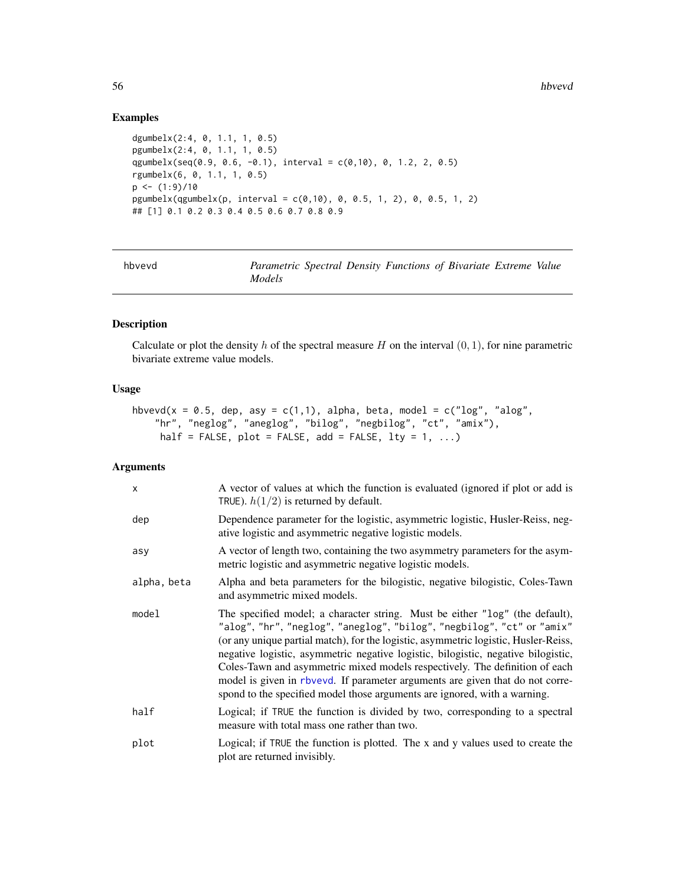# Examples

```
dgumbelx(2:4, 0, 1.1, 1, 0.5)
pgumbelx(2:4, 0, 1.1, 1, 0.5)
qgumbelx(seq(0.9, 0.6, -0.1), interval = c(0,10), 0, 1.2, 2, 0.5)
rgumbelx(6, 0, 1.1, 1, 0.5)
p \leftarrow (1:9)/10pgumbelx(qgumbelx(p, interval = c(0,10), 0, 0.5, 1, 2), 0, 0.5, 1, 2)## [1] 0.1 0.2 0.3 0.4 0.5 0.6 0.7 0.8 0.9
```
<span id="page-55-0"></span>

| hbvevd | Parametric Spectral Density Functions of Bivariate Extreme Value |  |  |  |
|--------|------------------------------------------------------------------|--|--|--|
|        | <i>Models</i>                                                    |  |  |  |

# Description

Calculate or plot the density h of the spectral measure H on the interval  $(0, 1)$ , for nine parametric bivariate extreme value models.

# Usage

```
hbvevd(x = 0.5, dep, asy = c(1,1), alpha, beta, model = c("log", "alog",
    "hr", "neglog", "aneglog", "bilog", "negbilog", "ct", "amix"),
    half = FALSE, plot = FALSE, add = FALSE, lty = 1, ...
```
# Arguments

| $\mathsf{x}$ | A vector of values at which the function is evaluated (ignored if plot or add is<br>TRUE). $h(1/2)$ is returned by default.                                                                                                                                                                                                                                                                                                                                                                                                                                                     |
|--------------|---------------------------------------------------------------------------------------------------------------------------------------------------------------------------------------------------------------------------------------------------------------------------------------------------------------------------------------------------------------------------------------------------------------------------------------------------------------------------------------------------------------------------------------------------------------------------------|
| dep          | Dependence parameter for the logistic, asymmetric logistic, Husler-Reiss, neg-<br>ative logistic and asymmetric negative logistic models.                                                                                                                                                                                                                                                                                                                                                                                                                                       |
| asy          | A vector of length two, containing the two asymmetry parameters for the asym-<br>metric logistic and asymmetric negative logistic models.                                                                                                                                                                                                                                                                                                                                                                                                                                       |
| alpha, beta  | Alpha and beta parameters for the bilogistic, negative bilogistic, Coles-Tawn<br>and asymmetric mixed models.                                                                                                                                                                                                                                                                                                                                                                                                                                                                   |
| model        | The specified model; a character string. Must be either "log" (the default),<br>"alog", "hr", "neglog", "aneglog", "bilog", "negbilog", "ct" or "amix"<br>(or any unique partial match), for the logistic, asymmetric logistic, Husler-Reiss,<br>negative logistic, asymmetric negative logistic, bilogistic, negative bilogistic,<br>Coles-Tawn and asymmetric mixed models respectively. The definition of each<br>model is given in rbvevd. If parameter arguments are given that do not corre-<br>spond to the specified model those arguments are ignored, with a warning. |
| half         | Logical; if TRUE the function is divided by two, corresponding to a spectral<br>measure with total mass one rather than two.                                                                                                                                                                                                                                                                                                                                                                                                                                                    |
| plot         | Logical; if TRUE the function is plotted. The x and y values used to create the<br>plot are returned invisibly.                                                                                                                                                                                                                                                                                                                                                                                                                                                                 |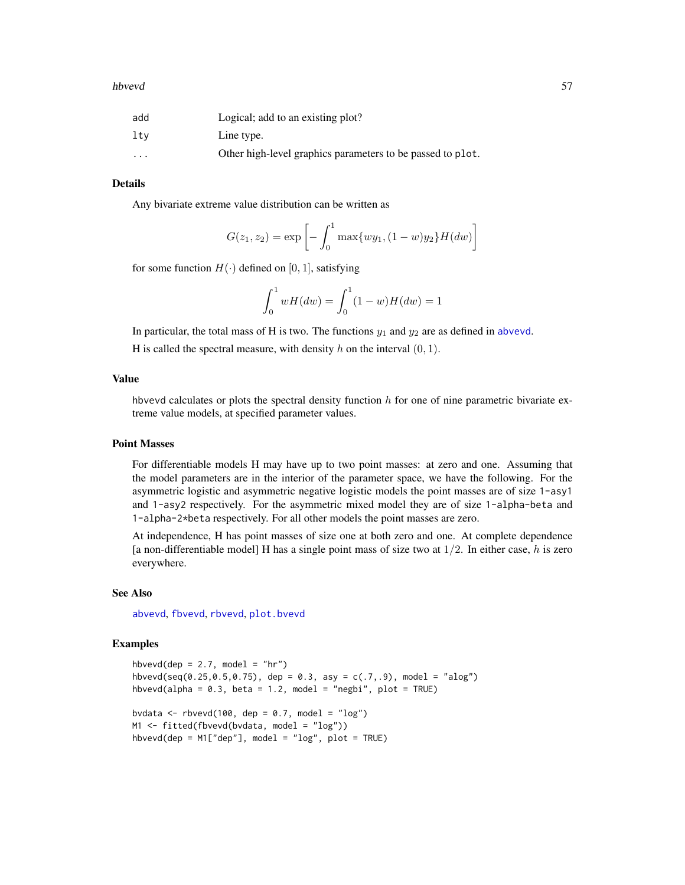### hbvevd 57

| add      | Logical; add to an existing plot?                          |
|----------|------------------------------------------------------------|
| ltv      | Line type.                                                 |
| $\cdots$ | Other high-level graphics parameters to be passed to plot. |

# Details

Any bivariate extreme value distribution can be written as

$$
G(z_1, z_2) = \exp\left[-\int_0^1 \max\{wy_1, (1-w)y_2\} H(dw)\right]
$$

for some function  $H(\cdot)$  defined on [0, 1], satisfying

$$
\int_0^1 wH(dw) = \int_0^1 (1 - w)H(dw) = 1
$$

In particular, the total mass of H is two. The functions  $y_1$  and  $y_2$  are as defined in [abvevd](#page-2-0).

H is called the spectral measure, with density h on the interval  $(0, 1)$ .

### Value

hbvevd calculates or plots the spectral density function  $h$  for one of nine parametric bivariate extreme value models, at specified parameter values.

# Point Masses

For differentiable models H may have up to two point masses: at zero and one. Assuming that the model parameters are in the interior of the parameter space, we have the following. For the asymmetric logistic and asymmetric negative logistic models the point masses are of size 1-asy1 and 1-asy2 respectively. For the asymmetric mixed model they are of size 1-alpha-beta and 1-alpha-2\*beta respectively. For all other models the point masses are zero.

At independence, H has point masses of size one at both zero and one. At complete dependence [a non-differentiable model] H has a single point mass of size two at  $1/2$ . In either case, h is zero everywhere.

#### See Also

[abvevd](#page-2-0), [fbvevd](#page-30-0), [rbvevd](#page-12-0), [plot.bvevd](#page-67-0)

# Examples

```
hbvevd(dep = 2.7, model = "hr")
hbvevd(seq(0.25,0.5,0.75), dep = 0.3, asy = c(.7, .9), model = "alog")
hbvevd(alpha = 0.3, beta = 1.2, model = "negbi", plot = TRUE)
bvdata <- rbvevd(100, dep = 0.7, model = "log")
M1 <- fitted(fbvevd(bvdata, model = "log"))
hbvevd(dep = M1["dep"], model = "log", plot = TRUE)
```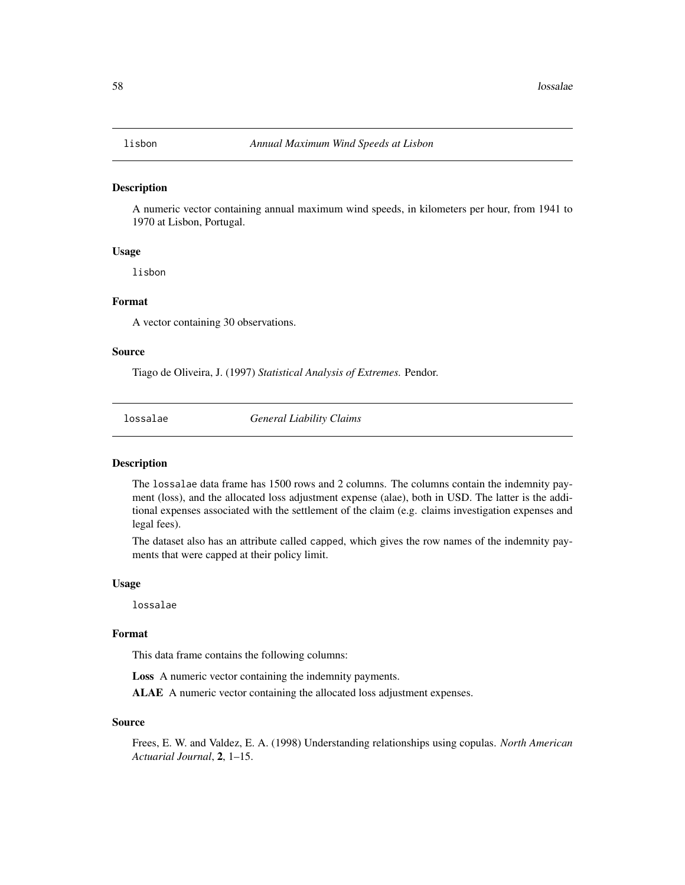#### Description

A numeric vector containing annual maximum wind speeds, in kilometers per hour, from 1941 to 1970 at Lisbon, Portugal.

### Usage

lisbon

# Format

A vector containing 30 observations.

### Source

Tiago de Oliveira, J. (1997) *Statistical Analysis of Extremes.* Pendor.

lossalae *General Liability Claims*

#### Description

The lossalae data frame has 1500 rows and 2 columns. The columns contain the indemnity payment (loss), and the allocated loss adjustment expense (alae), both in USD. The latter is the additional expenses associated with the settlement of the claim (e.g. claims investigation expenses and legal fees).

The dataset also has an attribute called capped, which gives the row names of the indemnity payments that were capped at their policy limit.

### Usage

lossalae

### Format

This data frame contains the following columns:

Loss A numeric vector containing the indemnity payments.

ALAE A numeric vector containing the allocated loss adjustment expenses.

#### Source

Frees, E. W. and Valdez, E. A. (1998) Understanding relationships using copulas. *North American Actuarial Journal*, 2, 1–15.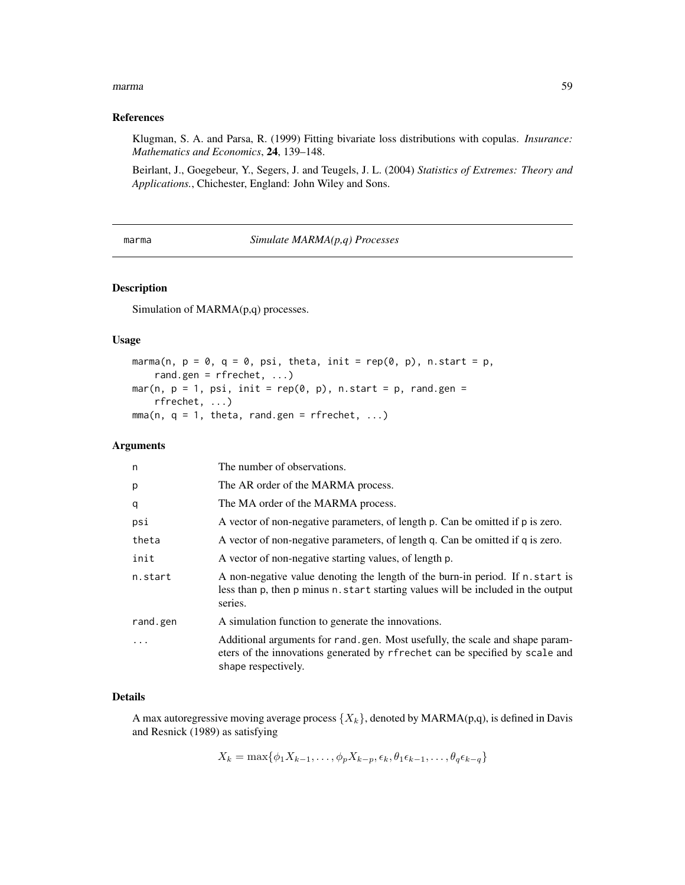#### marma and the contract of the contract of the contract of the contract of the contract of the contract of the contract of the contract of the contract of the contract of the contract of the contract of the contract of the

### References

Klugman, S. A. and Parsa, R. (1999) Fitting bivariate loss distributions with copulas. *Insurance: Mathematics and Economics*, 24, 139–148.

Beirlant, J., Goegebeur, Y., Segers, J. and Teugels, J. L. (2004) *Statistics of Extremes: Theory and Applications.*, Chichester, England: John Wiley and Sons.

marma *Simulate MARMA(p,q) Processes*

# Description

Simulation of MARMA(p,q) processes.

# Usage

```
marma(n, p = 0, q = 0, psi, theta, init = rep(0, p), n.start = p,
    rand.gen = rfrechet, ...)
mar(n, p = 1, psi, init = rep(0, p), n.start = p, rand.gen =
    rfrechet, ...)
mma(n, q = 1, theta, rand.gen = rfrechet, ...)
```
### Arguments

| The number of observations.                                                                                                                                                         |
|-------------------------------------------------------------------------------------------------------------------------------------------------------------------------------------|
| The AR order of the MARMA process.                                                                                                                                                  |
| The MA order of the MARMA process.                                                                                                                                                  |
| A vector of non-negative parameters, of length p. Can be omitted if p is zero.                                                                                                      |
| A vector of non-negative parameters, of length q. Can be omitted if q is zero.                                                                                                      |
| A vector of non-negative starting values, of length p.                                                                                                                              |
| A non-negative value denoting the length of the burn-in period. If n. start is<br>less than p, then p minus n, start starting values will be included in the output<br>series.      |
| A simulation function to generate the innovations.                                                                                                                                  |
| Additional arguments for rand gen. Most usefully, the scale and shape param-<br>eters of the innovations generated by rfrechet can be specified by scale and<br>shape respectively. |
|                                                                                                                                                                                     |

# Details

A max autoregressive moving average process  $\{X_k\}$ , denoted by MARMA(p,q), is defined in Davis and Resnick (1989) as satisfying

 $X_k = \max\{\phi_1 X_{k-1}, \ldots, \phi_p X_{k-p}, \epsilon_k, \theta_1 \epsilon_{k-1}, \ldots, \theta_q \epsilon_{k-q}\}\$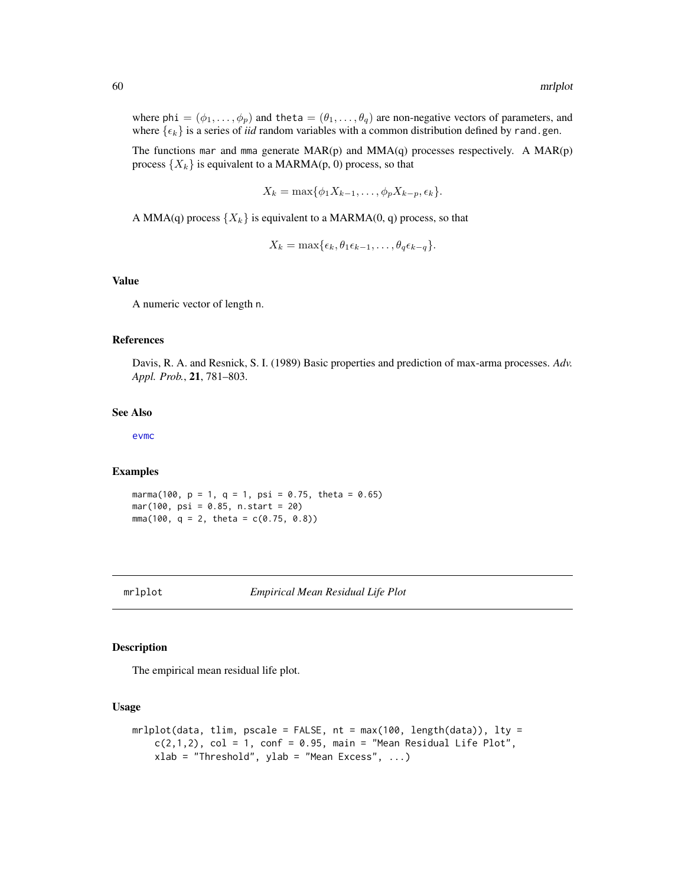where phi =  $(\phi_1, \ldots, \phi_p)$  and theta =  $(\theta_1, \ldots, \theta_q)$  are non-negative vectors of parameters, and where  $\{\epsilon_k\}$  is a series of *iid* random variables with a common distribution defined by rand.gen.

The functions mar and mma generate  $MAR(p)$  and  $MMA(q)$  processes respectively. A  $MAR(p)$ process  $\{X_k\}$  is equivalent to a MARMA(p, 0) process, so that

$$
X_k = \max\{\phi_1 X_{k-1}, \dots, \phi_p X_{k-p}, \epsilon_k\}.
$$

A MMA(q) process  $\{X_k\}$  is equivalent to a MARMA(0, q) process, so that

$$
X_k = \max\{\epsilon_k, \theta_1 \epsilon_{k-1}, \ldots, \theta_q \epsilon_{k-q}\}.
$$

# Value

A numeric vector of length n.

# References

Davis, R. A. and Resnick, S. I. (1989) Basic properties and prediction of max-arma processes. *Adv. Appl. Prob.*, 21, 781–803.

#### See Also

[evmc](#page-25-0)

#### Examples

marma(100,  $p = 1$ ,  $q = 1$ ,  $psi = 0.75$ , theta = 0.65) mar(100, psi = 0.85, n.start = 20) mma(100,  $q = 2$ , theta =  $c(0.75, 0.8)$ )

<span id="page-59-0"></span>

### Description

The empirical mean residual life plot.

### Usage

```
mrlplot(data, tlim, pscale = FALSE, nt = max(100, length(data)), lty =
   c(2,1,2), col = 1, conf = 0.95, main = "Mean Residual Life Plot",
   xlab = "Threshold", ylab = "Mean Excess", ...)
```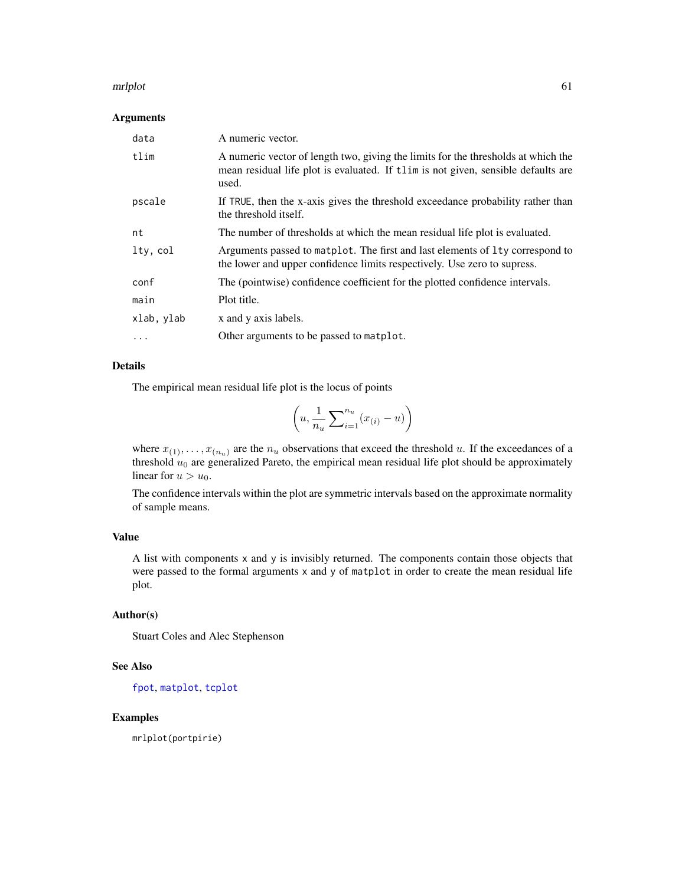#### mrlplot 61

# Arguments

| data       | A numeric vector.                                                                                                                                                               |
|------------|---------------------------------------------------------------------------------------------------------------------------------------------------------------------------------|
| tlim       | A numeric vector of length two, giving the limits for the thresholds at which the<br>mean residual life plot is evaluated. If then is not given, sensible defaults are<br>used. |
| pscale     | If TRUE, then the x-axis gives the threshold exceedance probability rather than<br>the threshold itself.                                                                        |
| nt         | The number of thresholds at which the mean residual life plot is evaluated.                                                                                                     |
| lty, col   | Arguments passed to matplot. The first and last elements of 1ty correspond to<br>the lower and upper confidence limits respectively. Use zero to supress.                       |
| conf       | The (pointwise) confidence coefficient for the plotted confidence intervals.                                                                                                    |
| main       | Plot title.                                                                                                                                                                     |
| xlab, ylab | x and y axis labels.                                                                                                                                                            |
| $\ddots$   | Other arguments to be passed to matplot.                                                                                                                                        |

# Details

The empirical mean residual life plot is the locus of points

$$
\left(u, \frac{1}{n_u} \sum_{i=1}^{n_u} (x_{(i)} - u)\right)
$$

where  $x_{(1)}, \ldots, x_{(n_u)}$  are the  $n_u$  observations that exceed the threshold u. If the exceedances of a threshold  $u_0$  are generalized Pareto, the empirical mean residual life plot should be approximately linear for  $u > u_0$ .

The confidence intervals within the plot are symmetric intervals based on the approximate normality of sample means.

### Value

A list with components x and y is invisibly returned. The components contain those objects that were passed to the formal arguments x and y of matplot in order to create the mean residual life plot.

# Author(s)

Stuart Coles and Alec Stephenson

# See Also

[fpot](#page-46-0), [matplot](#page-0-0), [tcplot](#page-83-0)

# Examples

mrlplot(portpirie)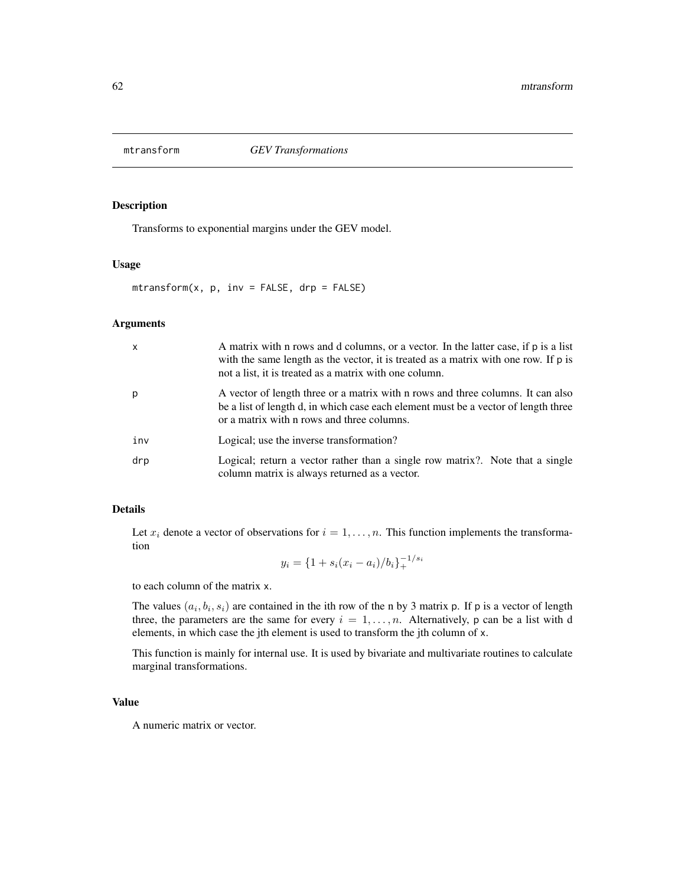# Description

Transforms to exponential margins under the GEV model.

# Usage

 $mtransform(x, p, inv = FALSE, drp = FALSE)$ 

# Arguments

| $\mathsf{x}$ | A matrix with n rows and d columns, or a vector. In the latter case, if p is a list<br>with the same length as the vector, it is treated as a matrix with one row. If p is<br>not a list, it is treated as a matrix with one column. |
|--------------|--------------------------------------------------------------------------------------------------------------------------------------------------------------------------------------------------------------------------------------|
| p            | A vector of length three or a matrix with n rows and three columns. It can also<br>be a list of length d, in which case each element must be a vector of length three<br>or a matrix with n rows and three columns.                  |
| inv          | Logical; use the inverse transformation?                                                                                                                                                                                             |
| drp          | Logical; return a vector rather than a single row matrix?. Note that a single<br>column matrix is always returned as a vector.                                                                                                       |

### Details

Let  $x_i$  denote a vector of observations for  $i = 1, \ldots, n$ . This function implements the transformation

$$
y_i = \{1 + s_i(x_i - a_i)/b_i\}_+^{-1/s_i}
$$

to each column of the matrix x.

The values  $(a_i, b_i, s_i)$  are contained in the ith row of the n by 3 matrix p. If p is a vector of length three, the parameters are the same for every  $i = 1, \ldots, n$ . Alternatively, p can be a list with d elements, in which case the jth element is used to transform the jth column of x.

This function is mainly for internal use. It is used by bivariate and multivariate routines to calculate marginal transformations.

### Value

A numeric matrix or vector.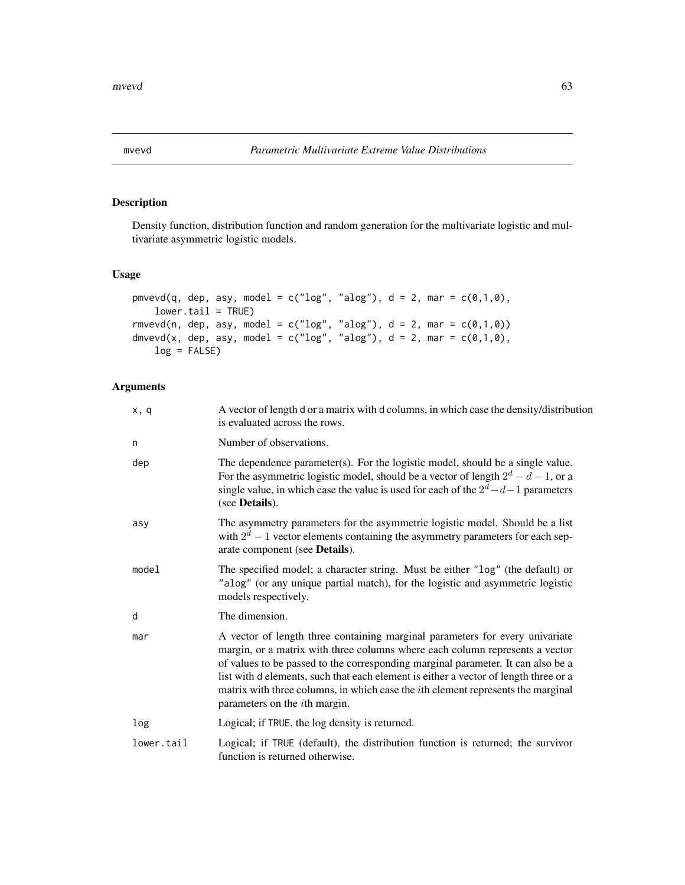# Description

Density function, distribution function and random generation for the multivariate logistic and multivariate asymmetric logistic models.

### Usage

```
pmvevd(q, dep, asy, model = c("log", "alog"), d = 2, mar = <math>c(0,1,0)</math>,lower.tail = TRUE)rmvevd(n, dep, asy, model = c("log", "alog"), d = 2, mar = <math>c(0,1,0)</math>)dmvevd(x, dep, asy, model = c("log", "alog"), d = 2, mar = <math>c(0,1,0)</math>,log = FALSE)
```
# Arguments

| x, q       | A vector of length d or a matrix with d columns, in which case the density/distribution<br>is evaluated across the rows.                                                                                                                                                                                                                                                                                                                                                      |
|------------|-------------------------------------------------------------------------------------------------------------------------------------------------------------------------------------------------------------------------------------------------------------------------------------------------------------------------------------------------------------------------------------------------------------------------------------------------------------------------------|
| n          | Number of observations.                                                                                                                                                                                                                                                                                                                                                                                                                                                       |
| dep        | The dependence parameter(s). For the logistic model, should be a single value.<br>For the asymmetric logistic model, should be a vector of length $2^d - d - 1$ , or a<br>single value, in which case the value is used for each of the $2^d - d - 1$ parameters<br>(see <b>Details</b> ).                                                                                                                                                                                    |
| asy        | The asymmetry parameters for the asymmetric logistic model. Should be a list<br>with $2^d - 1$ vector elements containing the asymmetry parameters for each sep-<br>arate component (see Details).                                                                                                                                                                                                                                                                            |
| model      | The specified model; a character string. Must be either "log" (the default) or<br>"alog" (or any unique partial match), for the logistic and asymmetric logistic<br>models respectively.                                                                                                                                                                                                                                                                                      |
| d          | The dimension.                                                                                                                                                                                                                                                                                                                                                                                                                                                                |
| mar        | A vector of length three containing marginal parameters for every univariate<br>margin, or a matrix with three columns where each column represents a vector<br>of values to be passed to the corresponding marginal parameter. It can also be a<br>list with d elements, such that each element is either a vector of length three or a<br>matrix with three columns, in which case the <i>i</i> th element represents the marginal<br>parameters on the <i>i</i> th margin. |
| log        | Logical; if TRUE, the log density is returned.                                                                                                                                                                                                                                                                                                                                                                                                                                |
| lower.tail | Logical; if TRUE (default), the distribution function is returned; the survivor<br>function is returned otherwise.                                                                                                                                                                                                                                                                                                                                                            |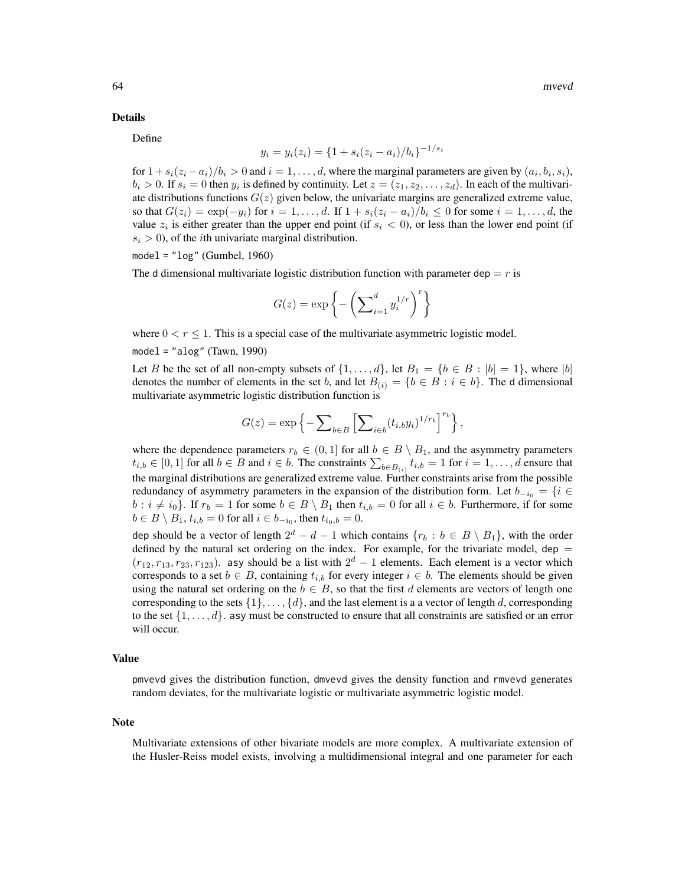#### Details

Define

$$
y_i = y_i(z_i) = \{1 + s_i(z_i - a_i)/b_i\}^{-1/s_i}
$$

for  $1 + s_i(z_i - a_i)/b_i > 0$  and  $i = 1, \ldots, d$ , where the marginal parameters are given by  $(a_i, b_i, s_i)$ ,  $b_i > 0$ . If  $s_i = 0$  then  $y_i$  is defined by continuity. Let  $z = (z_1, z_2, \dots, z_d)$ . In each of the multivariate distributions functions  $G(z)$  given below, the univariate margins are generalized extreme value, so that  $G(z_i) = \exp(-y_i)$  for  $i = 1, \ldots, d$ . If  $1 + s_i(z_i - a_i)/b_i \le 0$  for some  $i = 1, \ldots, d$ , the value  $z_i$  is either greater than the upper end point (if  $s_i < 0$ ), or less than the lower end point (if  $s_i > 0$ ), of the *i*th univariate marginal distribution.

 $model = "log" (Gumbel, 1960)$ 

The d dimensional multivariate logistic distribution function with parameter dep  $=r$  is

$$
G(z) = \exp\left\{-\left(\sum\nolimits_{i=1}^d y_i^{1/r}\right)^r\right\}
$$

where  $0 < r < 1$ . This is a special case of the multivariate asymmetric logistic model.

 $model = "alog" (Tawn, 1990)$ 

Let B be the set of all non-empty subsets of  $\{1, \ldots, d\}$ , let  $B_1 = \{b \in B : |b| = 1\}$ , where  $|b|$ denotes the number of elements in the set b, and let  $B(i) = \{b \in B : i \in b\}$ . The d dimensional multivariate asymmetric logistic distribution function is

$$
G(z) = \exp\left\{-\sum\nolimits_{b \in B} \left[\sum\nolimits_{i \in b} (t_{i,b}y_i)^{1/r_b}\right]^{r_b}\right\},\,
$$

where the dependence parameters  $r_b \in (0,1]$  for all  $b \in B \setminus B_1$ , and the asymmetry parameters  $t_{i,b} \in [0,1]$  for all  $b \in B$  and  $i \in b$ . The constraints  $\sum_{b \in B_{(i)}} t_{i,b} = 1$  for  $i = 1, \ldots, d$  ensure that the marginal distributions are generalized extreme value. Further constraints arise from the possible redundancy of asymmetry parameters in the expansion of the distribution form. Let  $b_{-i_0} = \{i \in$  $b : i \neq i_0$ . If  $r_b = 1$  for some  $b \in B \setminus B_1$  then  $t_{i,b} = 0$  for all  $i \in b$ . Furthermore, if for some  $b \in B \setminus B_1$ ,  $t_{i,b} = 0$  for all  $i \in b_{-i_0}$ , then  $t_{i_0,b} = 0$ .

dep should be a vector of length  $2^d - d - 1$  which contains  $\{r_b : b \in B \setminus B_1\}$ , with the order defined by the natural set ordering on the index. For example, for the trivariate model, dep  $=$  $(r_{12}, r_{13}, r_{23}, r_{123})$ . asy should be a list with  $2^d - 1$  elements. Each element is a vector which corresponds to a set  $b \in B$ , containing  $t_{i,b}$  for every integer  $i \in b$ . The elements should be given using the natural set ordering on the  $b \in B$ , so that the first d elements are vectors of length one corresponding to the sets  $\{1\}, \ldots, \{d\}$ , and the last element is a a vector of length d, corresponding to the set  $\{1, \ldots, d\}$ , asy must be constructed to ensure that all constraints are satisfied or an error will occur.

#### Value

pmvevd gives the distribution function, dmvevd gives the density function and rmvevd generates random deviates, for the multivariate logistic or multivariate asymmetric logistic model.

#### Note

Multivariate extensions of other bivariate models are more complex. A multivariate extension of the Husler-Reiss model exists, involving a multidimensional integral and one parameter for each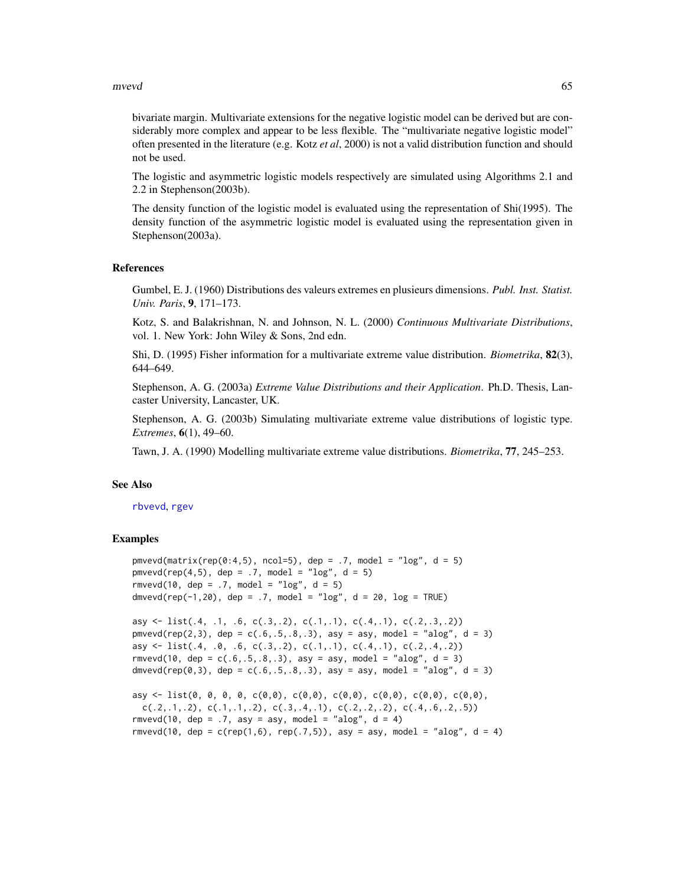#### mvevd 65

bivariate margin. Multivariate extensions for the negative logistic model can be derived but are considerably more complex and appear to be less flexible. The "multivariate negative logistic model" often presented in the literature (e.g. Kotz *et al*, 2000) is not a valid distribution function and should not be used.

The logistic and asymmetric logistic models respectively are simulated using Algorithms 2.1 and 2.2 in Stephenson(2003b).

The density function of the logistic model is evaluated using the representation of Shi(1995). The density function of the asymmetric logistic model is evaluated using the representation given in Stephenson(2003a).

#### References

Gumbel, E. J. (1960) Distributions des valeurs extremes en plusieurs dimensions. *Publ. Inst. Statist. Univ. Paris*, 9, 171–173.

Kotz, S. and Balakrishnan, N. and Johnson, N. L. (2000) *Continuous Multivariate Distributions*, vol. 1. New York: John Wiley & Sons, 2nd edn.

Shi, D. (1995) Fisher information for a multivariate extreme value distribution. *Biometrika*, 82(3), 644–649.

Stephenson, A. G. (2003a) *Extreme Value Distributions and their Application*. Ph.D. Thesis, Lancaster University, Lancaster, UK.

Stephenson, A. G. (2003b) Simulating multivariate extreme value distributions of logistic type. *Extremes*, 6(1), 49–60.

Tawn, J. A. (1990) Modelling multivariate extreme value distributions. *Biometrika*, 77, 245–253.

### See Also

#### [rbvevd](#page-12-0), [rgev](#page-50-0)

# Examples

```
pmvevd(matrix(rep(0:4,5), ncol=5), dep = .7, model = "log", d = 5)
pmvcd(rep(4,5), dep = .7, model = "log", d = 5)rmvevd(10, dep = .7, model = "log", d = 5)
dmvevd(rep(-1,20), dep = .7, model = "log", d = 20, log = TRUE)
```

```
asy \leftarrow list(.4, .1, .6, c(.3,.2), c(.1,.1), c(.4,.1), c(.2,.3,.2))
pmvevd(rep(2,3), dep = c(.6,.5,.8,.3), asy = asy, model = "alog", d = 3)
asy <- list(.4, .0, .6, c(.3,.2), c(.1,.1), c(.4,.1), c(.2,.4,.2))
rmvevd(10, dep = c(.6,.5,.8,.3), asy = asy, model = "alog", d = 3)
dmvevd(rep(0,3), dep = c(.6,.5,.8,.3), asy = asy, model = "alog", d = 3)
```

```
asy <- list(0, 0, 0, 0, c(0,0), c(0,0), c(0,0), c(0,0), c(0,0), c(0,0),
 c(.2,.1,.2), c(.1,.1,.2), c(.3,.4,.1), c(.2,.2,.2), c(.4,.6,.2,.5))rmvevd(10, dep = .7, asy = asy, model = "alog", d = 4)
rmvevd(10, dep = c(rep(1,6), rep(.7,5)), asy = asy, model = "alog", d = 4)
```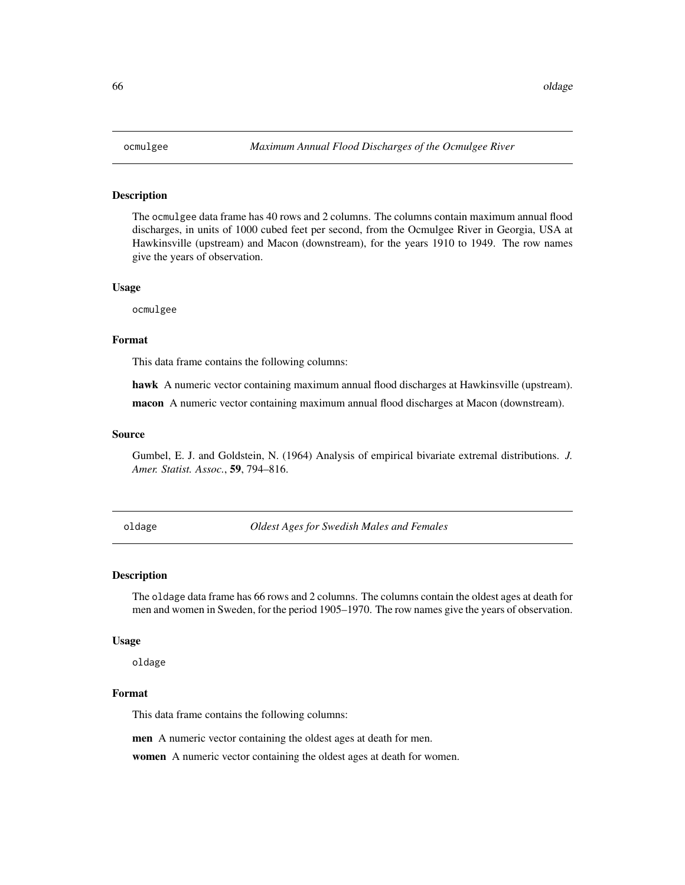### Description

The ocmulgee data frame has 40 rows and 2 columns. The columns contain maximum annual flood discharges, in units of 1000 cubed feet per second, from the Ocmulgee River in Georgia, USA at Hawkinsville (upstream) and Macon (downstream), for the years 1910 to 1949. The row names give the years of observation.

#### Usage

ocmulgee

# Format

This data frame contains the following columns:

hawk A numeric vector containing maximum annual flood discharges at Hawkinsville (upstream).

macon A numeric vector containing maximum annual flood discharges at Macon (downstream).

#### Source

Gumbel, E. J. and Goldstein, N. (1964) Analysis of empirical bivariate extremal distributions. *J. Amer. Statist. Assoc.*, 59, 794–816.

oldage *Oldest Ages for Swedish Males and Females*

#### Description

The oldage data frame has 66 rows and 2 columns. The columns contain the oldest ages at death for men and women in Sweden, for the period 1905–1970. The row names give the years of observation.

#### Usage

oldage

# Format

This data frame contains the following columns:

men A numeric vector containing the oldest ages at death for men.

women A numeric vector containing the oldest ages at death for women.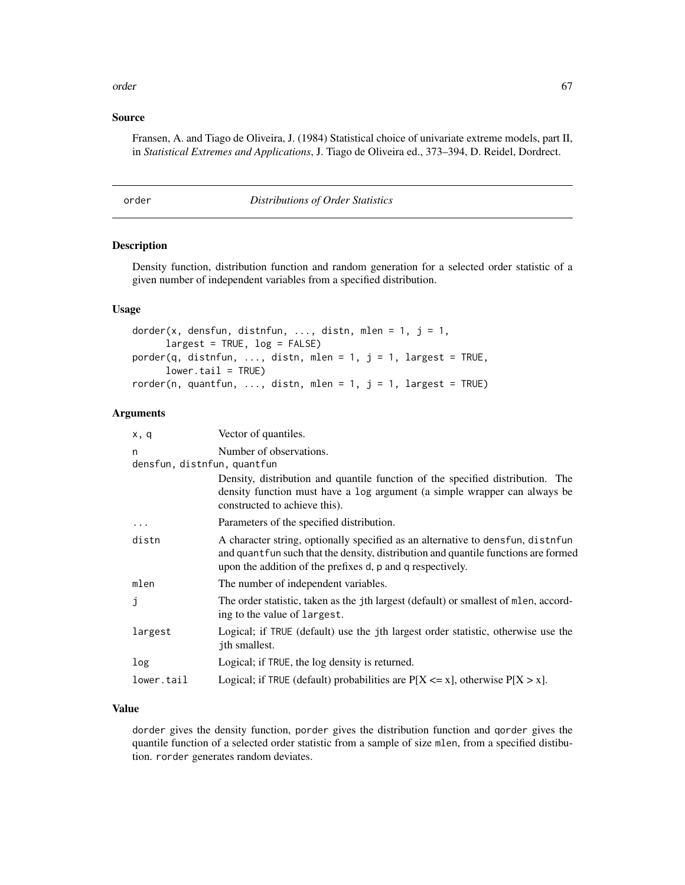#### order 67

### Source

Fransen, A. and Tiago de Oliveira, J. (1984) Statistical choice of univariate extreme models, part II, in *Statistical Extremes and Applications*, J. Tiago de Oliveira ed., 373–394, D. Reidel, Dordrect.

order *Distributions of Order Statistics*

# Description

Density function, distribution function and random generation for a selected order statistic of a given number of independent variables from a specified distribution.

# Usage

```
dorder(x, densfun, distnfun, ..., distn, mlen = 1, j = 1,
     largest = TRUE, log = FALSE)
porder(q, distnfun, ..., distn, mlen = 1, j = 1, largest = TRUE,
     lower.tail = TRUE)
rorder(n, quantfun, ..., distn, mlen = 1, j = 1, largest = TRUE)
```
#### Arguments

| x, q                             | Vector of quantiles.                                                                                                                                                                                                                 |
|----------------------------------|--------------------------------------------------------------------------------------------------------------------------------------------------------------------------------------------------------------------------------------|
| n<br>densfun, distnfun, quantfun | Number of observations.                                                                                                                                                                                                              |
|                                  | Density, distribution and quantile function of the specified distribution. The<br>density function must have a log argument (a simple wrapper can always be<br>constructed to achieve this).                                         |
| $\ddots$                         | Parameters of the specified distribution.                                                                                                                                                                                            |
| distn                            | A character string, optionally specified as an alternative to densfun, distnfun<br>and quant fun such that the density, distribution and quantile functions are formed<br>upon the addition of the prefixes d, p and q respectively. |
| mlen                             | The number of independent variables.                                                                                                                                                                                                 |
| j                                | The order statistic, taken as the jth largest (default) or smallest of mlen, accord-<br>ing to the value of largest.                                                                                                                 |
| largest                          | Logical; if TRUE (default) use the jth largest order statistic, otherwise use the<br>jth smallest.                                                                                                                                   |
| log                              | Logical; if TRUE, the log density is returned.                                                                                                                                                                                       |
| lower.tail                       | Logical; if TRUE (default) probabilities are $P[X \le x]$ , otherwise $P[X > x]$ .                                                                                                                                                   |
|                                  |                                                                                                                                                                                                                                      |

# Value

dorder gives the density function, porder gives the distribution function and qorder gives the quantile function of a selected order statistic from a sample of size mlen, from a specified distibution. rorder generates random deviates.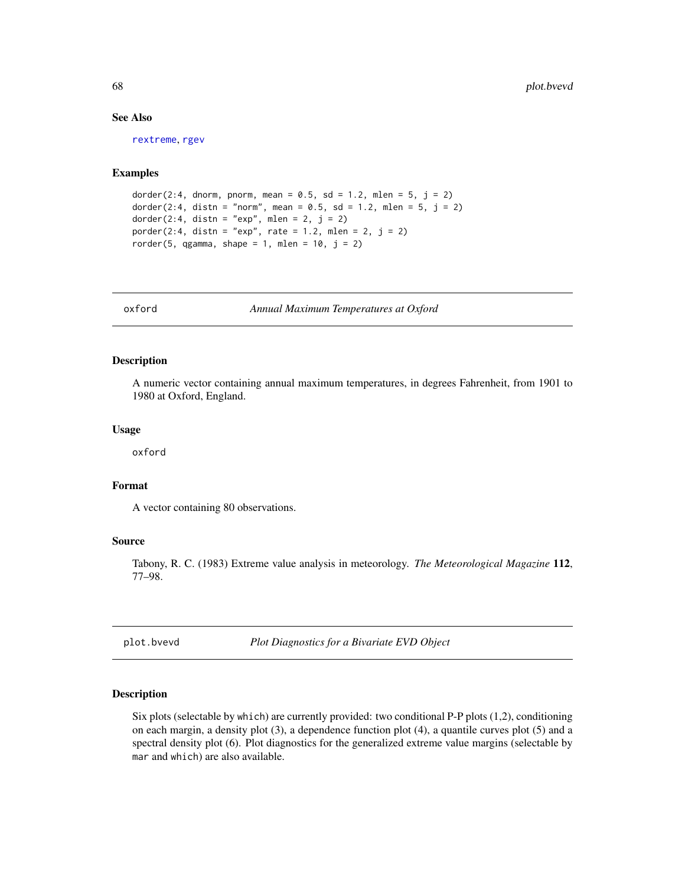# See Also

[rextreme](#page-28-0), [rgev](#page-50-0)

### Examples

```
dorder(2:4, dnorm, pnorm, mean = 0.5, sd = 1.2, mlen = 5, j = 2)
dorder(2:4, distn = "norm", mean = 0.5, sd = 1.2, mlen = 5, j = 2)
dorder(2:4, distn = "exp", mlen = 2, j = 2)
porder(2:4, distn = "exp", rate = 1.2, mlen = 2, j = 2)rorder(5, qgamma, shape = 1, mlen = 10, j = 2)
```
oxford *Annual Maximum Temperatures at Oxford*

#### Description

A numeric vector containing annual maximum temperatures, in degrees Fahrenheit, from 1901 to 1980 at Oxford, England.

#### Usage

oxford

# Format

A vector containing 80 observations.

### Source

Tabony, R. C. (1983) Extreme value analysis in meteorology. *The Meteorological Magazine* 112, 77–98.

<span id="page-67-0"></span>plot.bvevd *Plot Diagnostics for a Bivariate EVD Object*

# Description

Six plots (selectable by which) are currently provided: two conditional P-P plots (1,2), conditioning on each margin, a density plot (3), a dependence function plot (4), a quantile curves plot (5) and a spectral density plot (6). Plot diagnostics for the generalized extreme value margins (selectable by mar and which) are also available.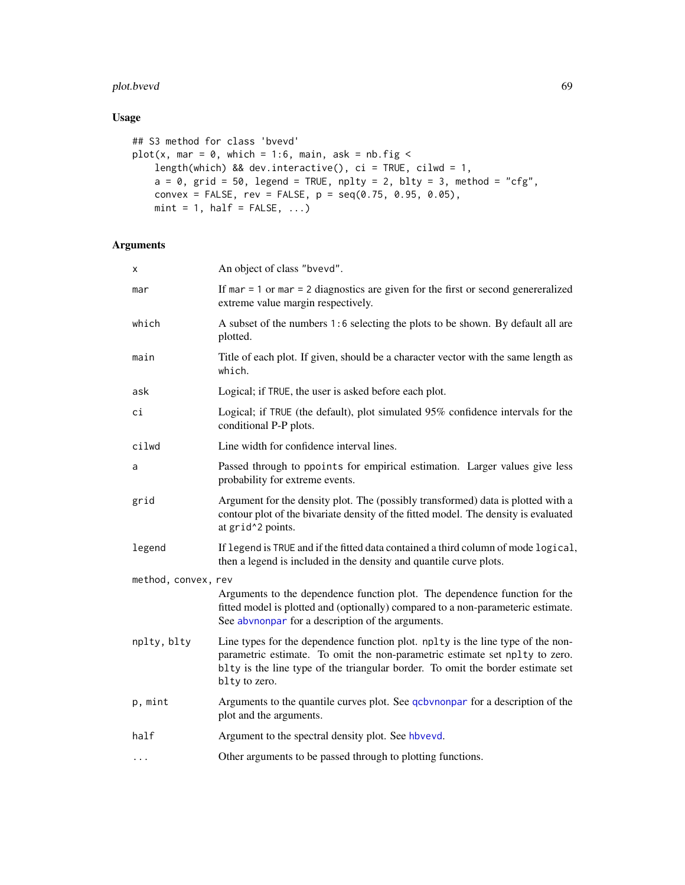# plot.bvevd 69

# Usage

```
## S3 method for class 'bvevd'
plot(x, mar = 0, which = 1:6, main, ask = nb.fig <length(which) && dev.interactive(), ci = TRUE, cilwd = 1,
    a = 0, grid = 50, legend = TRUE, nplty = 2, blty = 3, method = "cfg",
   convex = FALSE, rev = FALSE, p = \text{seq}(0.75, 0.95, 0.05),
   mint = 1, half = FALSE, ...)
```
# Arguments

| x                   | An object of class "bvevd".                                                                                                                                                                                                                                        |
|---------------------|--------------------------------------------------------------------------------------------------------------------------------------------------------------------------------------------------------------------------------------------------------------------|
| mar                 | If mar $= 1$ or mar $= 2$ diagnostics are given for the first or second genereralized<br>extreme value margin respectively.                                                                                                                                        |
| which               | A subset of the numbers 1:6 selecting the plots to be shown. By default all are<br>plotted.                                                                                                                                                                        |
| main                | Title of each plot. If given, should be a character vector with the same length as<br>which.                                                                                                                                                                       |
| ask                 | Logical; if TRUE, the user is asked before each plot.                                                                                                                                                                                                              |
| сi                  | Logical; if TRUE (the default), plot simulated 95% confidence intervals for the<br>conditional P-P plots.                                                                                                                                                          |
| cilwd               | Line width for confidence interval lines.                                                                                                                                                                                                                          |
| a                   | Passed through to ppoints for empirical estimation. Larger values give less<br>probability for extreme events.                                                                                                                                                     |
| grid                | Argument for the density plot. The (possibly transformed) data is plotted with a<br>contour plot of the bivariate density of the fitted model. The density is evaluated<br>at grid <sup>^2</sup> points.                                                           |
| legend              | If legend is TRUE and if the fitted data contained a third column of mode logical,<br>then a legend is included in the density and quantile curve plots.                                                                                                           |
| method, convex, rev |                                                                                                                                                                                                                                                                    |
|                     | Arguments to the dependence function plot. The dependence function for the<br>fitted model is plotted and (optionally) compared to a non-parameteric estimate.<br>See abvnonpar for a description of the arguments.                                                |
| nplty, blty         | Line types for the dependence function plot. nplty is the line type of the non-<br>parametric estimate. To omit the non-parametric estimate set nplty to zero.<br>blty is the line type of the triangular border. To omit the border estimate set<br>blty to zero. |
| p, mint             | Arguments to the quantile curves plot. See qcbvnonpar for a description of the<br>plot and the arguments.                                                                                                                                                          |
| half                | Argument to the spectral density plot. See hbvevd.                                                                                                                                                                                                                 |
| $\cdots$            | Other arguments to be passed through to plotting functions.                                                                                                                                                                                                        |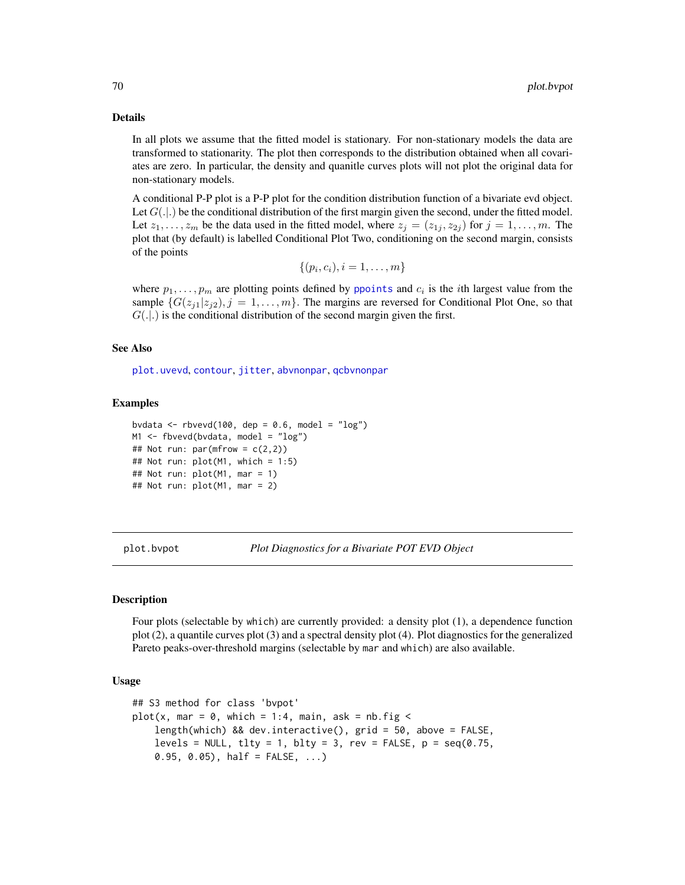### Details

In all plots we assume that the fitted model is stationary. For non-stationary models the data are transformed to stationarity. The plot then corresponds to the distribution obtained when all covariates are zero. In particular, the density and quanitle curves plots will not plot the original data for non-stationary models.

A conditional P-P plot is a P-P plot for the condition distribution function of a bivariate evd object. Let  $G(.)$  be the conditional distribution of the first margin given the second, under the fitted model. Let  $z_1, \ldots, z_m$  be the data used in the fitted model, where  $z_j = (z_{1j}, z_{2j})$  for  $j = 1, \ldots, m$ . The plot that (by default) is labelled Conditional Plot Two, conditioning on the second margin, consists of the points

$$
\{(p_i,c_i), i=1,\ldots,m\}
$$

where  $p_1, \ldots, p_m$  are plotting points defined by [ppoints](#page-0-0) and  $c_i$  is the *i*th largest value from the sample  $\{G(z_{i1}|z_{i2}), j = 1, \ldots, m\}$ . The margins are reversed for Conditional Plot One, so that  $G(.|.)$  is the conditional distribution of the second margin given the first.

### See Also

[plot.uvevd](#page-73-0), [contour](#page-0-0), [jitter](#page-0-0), [abvnonpar](#page-4-0), [qcbvnonpar](#page-78-0)

### Examples

```
bvdata \leq rbvevd(100, dep = 0.6, model = "log")
M1 \leq fbvevd(bvdata, model = "log")
## Not run: par(mfrow = c(2,2))## Not run: plot(M1, which = 1:5)
## Not run: plot(M1, mar = 1)
## Not run: plot(M1, mar = 2)
```
plot.bvpot *Plot Diagnostics for a Bivariate POT EVD Object*

# Description

Four plots (selectable by which) are currently provided: a density plot (1), a dependence function plot (2), a quantile curves plot (3) and a spectral density plot (4). Plot diagnostics for the generalized Pareto peaks-over-threshold margins (selectable by mar and which) are also available.

### Usage

```
## S3 method for class 'bvpot'
plot(x, mar = 0, which = 1:4, main, ask = nb.fig <length(which) && dev.interactive(), grid = 50, above = FALSE,
    levels = NULL, tlty = 1, blty = 3, rev = FALSE, p = seq(0.75,0.95, 0.05), half = FALSE, ...)
```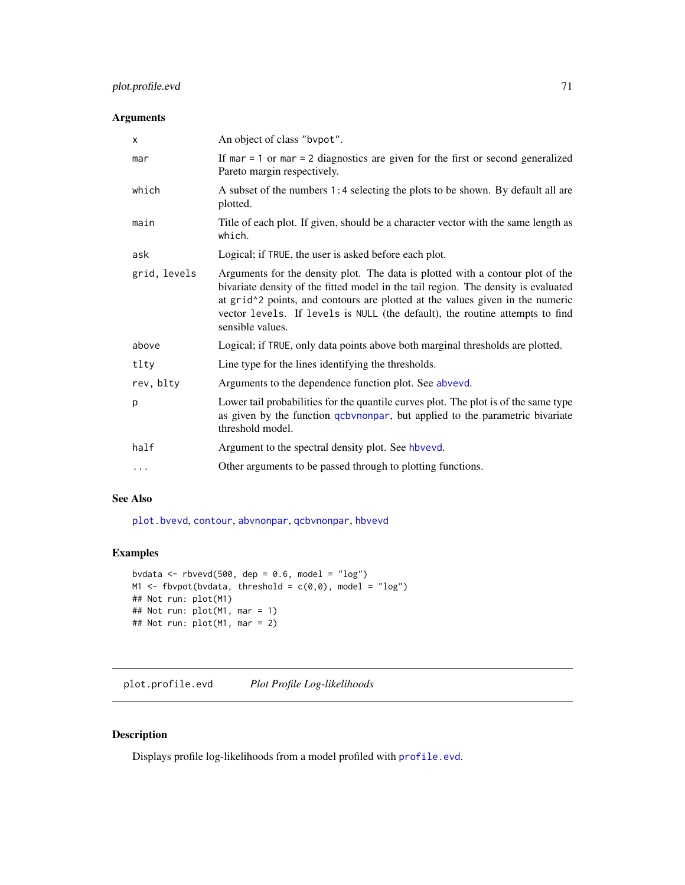# plot.profile.evd 71

# Arguments

| X            | An object of class "bypot".                                                                                                                                                                                                                                                                                                                                                               |
|--------------|-------------------------------------------------------------------------------------------------------------------------------------------------------------------------------------------------------------------------------------------------------------------------------------------------------------------------------------------------------------------------------------------|
| mar          | If mar $= 1$ or mar $= 2$ diagnostics are given for the first or second generalized<br>Pareto margin respectively.                                                                                                                                                                                                                                                                        |
| which        | A subset of the numbers 1:4 selecting the plots to be shown. By default all are<br>plotted.                                                                                                                                                                                                                                                                                               |
| main         | Title of each plot. If given, should be a character vector with the same length as<br>which.                                                                                                                                                                                                                                                                                              |
| ask          | Logical; if TRUE, the user is asked before each plot.                                                                                                                                                                                                                                                                                                                                     |
| grid, levels | Arguments for the density plot. The data is plotted with a contour plot of the<br>bivariate density of the fitted model in the tail region. The density is evaluated<br>at grid <sup><math>\lambda</math></sup> 2 points, and contours are plotted at the values given in the numeric<br>vector levels. If levels is NULL (the default), the routine attempts to find<br>sensible values. |
| above        | Logical; if TRUE, only data points above both marginal thresholds are plotted.                                                                                                                                                                                                                                                                                                            |
| tlty         | Line type for the lines identifying the thresholds.                                                                                                                                                                                                                                                                                                                                       |
| rev, blty    | Arguments to the dependence function plot. See abvevd.                                                                                                                                                                                                                                                                                                                                    |
| p            | Lower tail probabilities for the quantile curves plot. The plot is of the same type<br>as given by the function <i>qcbvnonpar</i> , but applied to the parametric bivariate<br>threshold model.                                                                                                                                                                                           |
| half         | Argument to the spectral density plot. See hbvevd.                                                                                                                                                                                                                                                                                                                                        |
| $\cdots$     | Other arguments to be passed through to plotting functions.                                                                                                                                                                                                                                                                                                                               |

# See Also

[plot.bvevd](#page-67-0), [contour](#page-0-0), [abvnonpar](#page-4-0), [qcbvnonpar](#page-78-0), [hbvevd](#page-55-0)

# Examples

```
bvdata \leq rbvevd(500, dep = 0.6, model = "log")
M1 <- fbvpot(bvdata, threshold = c(\emptyset, \emptyset), model = "log")
## Not run: plot(M1)
## Not run: plot(M1, mar = 1)
## Not run: plot(M1, mar = 2)
```
plot.profile.evd *Plot Profile Log-likelihoods*

# Description

Displays profile log-likelihoods from a model profiled with [profile.evd](#page-76-0).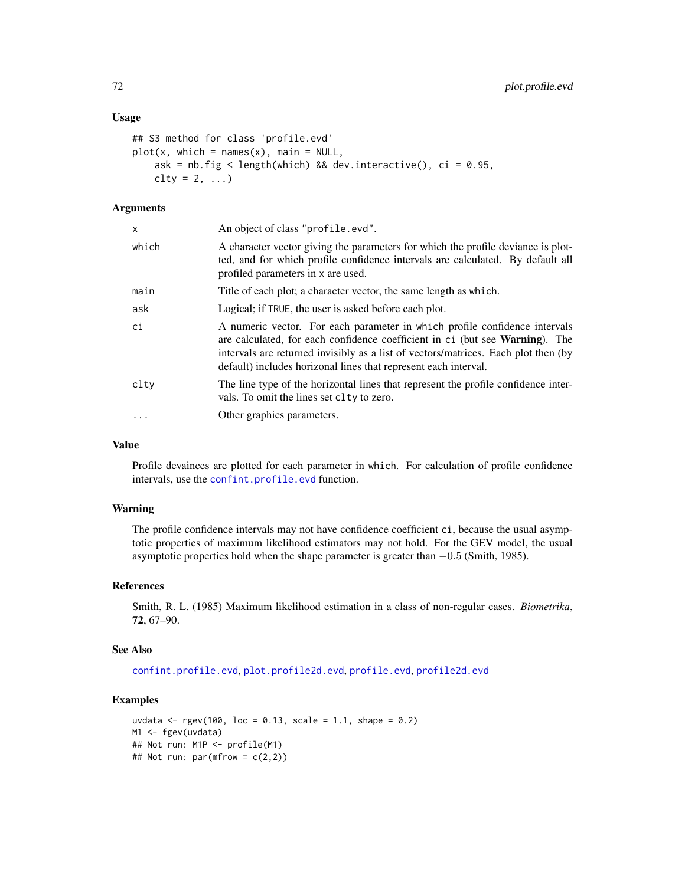#### Usage

```
## S3 method for class 'profile.evd'
plot(x, which = names(x), main = NULL,ask = nb.fig < length(which) && dev.interactive(), ci = 0.95,
    \text{clty} = 2, \ldots)
```
# Arguments

| X         | An object of class "profile.evd".                                                                                                                                                                                                                                                                                           |
|-----------|-----------------------------------------------------------------------------------------------------------------------------------------------------------------------------------------------------------------------------------------------------------------------------------------------------------------------------|
| which     | A character vector giving the parameters for which the profile deviance is plot-<br>ted, and for which profile confidence intervals are calculated. By default all<br>profiled parameters in x are used.                                                                                                                    |
| main      | Title of each plot; a character vector, the same length as which.                                                                                                                                                                                                                                                           |
| ask       | Logical; if TRUE, the user is asked before each plot.                                                                                                                                                                                                                                                                       |
| ci        | A numeric vector. For each parameter in which profile confidence intervals<br>are calculated, for each confidence coefficient in ci (but see <b>Warning</b> ). The<br>intervals are returned invisibly as a list of vectors/matrices. Each plot then (by<br>default) includes horizonal lines that represent each interval. |
| clty      | The line type of the horizontal lines that represent the profile confidence inter-<br>vals. To omit the lines set clty to zero.                                                                                                                                                                                             |
| $\ddotsc$ | Other graphics parameters.                                                                                                                                                                                                                                                                                                  |

#### Value

Profile devainces are plotted for each parameter in which. For calculation of profile confidence intervals, use the [confint.profile.evd](#page-23-0) function.

### Warning

The profile confidence intervals may not have confidence coefficient ci, because the usual asymptotic properties of maximum likelihood estimators may not hold. For the GEV model, the usual asymptotic properties hold when the shape parameter is greater than −0.5 (Smith, 1985).

# References

Smith, R. L. (1985) Maximum likelihood estimation in a class of non-regular cases. *Biometrika*, 72, 67–90.

# See Also

[confint.profile.evd](#page-23-0), [plot.profile2d.evd](#page-72-0), [profile.evd](#page-76-0), [profile2d.evd](#page-77-0)

# Examples

```
uvdata <- rgev(100, loc = 0.13, scale = 1.1, shape = 0.2)
M1 <- fgev(uvdata)
## Not run: M1P <- profile(M1)
## Not run: par(mfrow = c(2,2))
```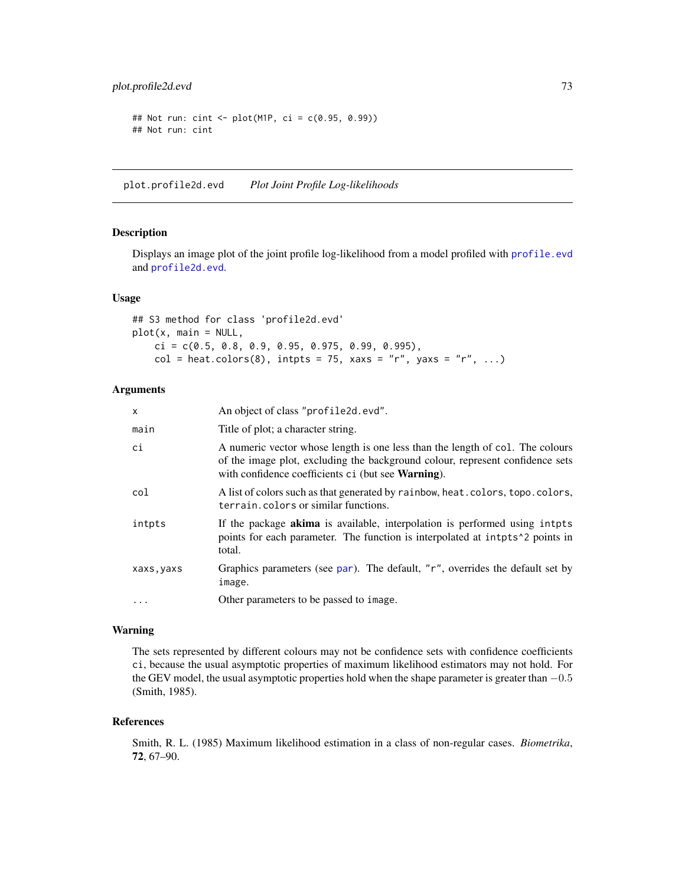<span id="page-72-1"></span>plot.profile2d.evd 73

```
## Not run: cint <- plot(M1P, ci = c(0.95, 0.99))
## Not run: cint
```
<span id="page-72-0"></span>plot.profile2d.evd *Plot Joint Profile Log-likelihoods*

# Description

Displays an image plot of the joint profile log-likelihood from a model profiled with [profile.evd](#page-76-0) and [profile2d.evd](#page-77-0).

### Usage

## S3 method for class 'profile2d.evd' plot(x, main = NULL,  $ci = c(0.5, 0.8, 0.9, 0.95, 0.975, 0.99, 0.995),$  $col = heat.colors(8)$ , intpts = 75, xaxs = "r", yaxs = "r", ...)

# Arguments

| X          | An object of class "profile2d.evd".                                                                                                                                                                                          |
|------------|------------------------------------------------------------------------------------------------------------------------------------------------------------------------------------------------------------------------------|
| main       | Title of plot; a character string.                                                                                                                                                                                           |
| сi         | A numeric vector whose length is one less than the length of col. The colours<br>of the image plot, excluding the background colour, represent confidence sets<br>with confidence coefficients ci (but see <b>Warning</b> ). |
| col        | A list of colors such as that generated by rainbow, heat.colors, topo.colors,<br>terrain.colors or similar functions.                                                                                                        |
| intpts     | If the package <b>akima</b> is available, interpolation is performed using interest<br>points for each parameter. The function is interpolated at intents <sup>1</sup> 2 points in<br>total.                                 |
| xaxs, yaxs | Graphics parameters (see par). The default, "r", overrides the default set by<br>image.                                                                                                                                      |
| $\ddotsc$  | Other parameters to be passed to image.                                                                                                                                                                                      |

### Warning

The sets represented by different colours may not be confidence sets with confidence coefficients ci, because the usual asymptotic properties of maximum likelihood estimators may not hold. For the GEV model, the usual asymptotic properties hold when the shape parameter is greater than  $-0.5$ (Smith, 1985).

### References

Smith, R. L. (1985) Maximum likelihood estimation in a class of non-regular cases. *Biometrika*, 72, 67–90.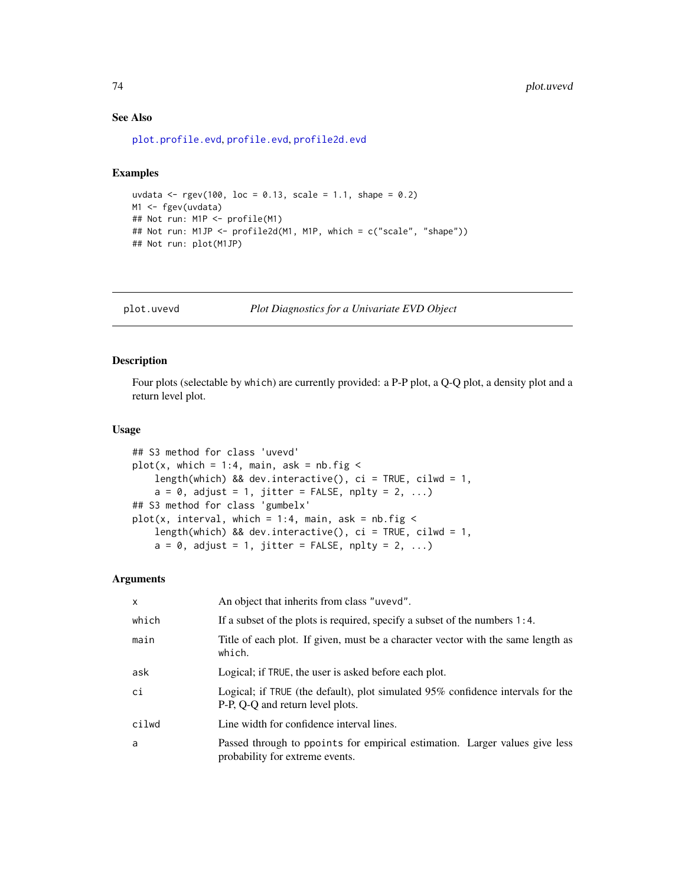### See Also

[plot.profile.evd](#page-70-0), [profile.evd](#page-76-0), [profile2d.evd](#page-77-0)

# Examples

```
uvdata <- rgev(100, 10c = 0.13, scale = 1.1, shape = 0.2)M1 <- fgev(uvdata)
## Not run: M1P <- profile(M1)
## Not run: M1JP <- profile2d(M1, M1P, which = c("scale", "shape"))
## Not run: plot(M1JP)
```
plot.uvevd *Plot Diagnostics for a Univariate EVD Object*

### Description

Four plots (selectable by which) are currently provided: a P-P plot, a Q-Q plot, a density plot and a return level plot.

### Usage

```
## S3 method for class 'uvevd'
plot(x, which = 1:4, main, ask = nb.fig <length(which) && dev.interactive(), ci = TRUE, cilwd = 1,
    a = 0, adjust = 1, jitter = FALSE, nplty = 2, ...)
## S3 method for class 'gumbelx'
plot(x, interval, which = 1:4, main, ask = nb.fig <length(which) && dev.interactive(), ci = TRUE, cilwd = 1,
    a = 0, adjust = 1, jitter = FALSE, nplty = 2, ...)
```
# Arguments

| $\mathsf{x}$ | An object that inherits from class "uvevd".                                                                            |
|--------------|------------------------------------------------------------------------------------------------------------------------|
| which        | If a subset of the plots is required, specify a subset of the numbers $1:4$ .                                          |
| main         | Title of each plot. If given, must be a character vector with the same length as<br>which.                             |
| ask          | Logical; if TRUE, the user is asked before each plot.                                                                  |
| ci           | Logical; if TRUE (the default), plot simulated $95\%$ confidence intervals for the<br>P-P, Q-Q and return level plots. |
| cilwd        | Line width for confidence interval lines.                                                                              |
| a            | Passed through to ppoints for empirical estimation. Larger values give less<br>probability for extreme events.         |

<span id="page-73-0"></span>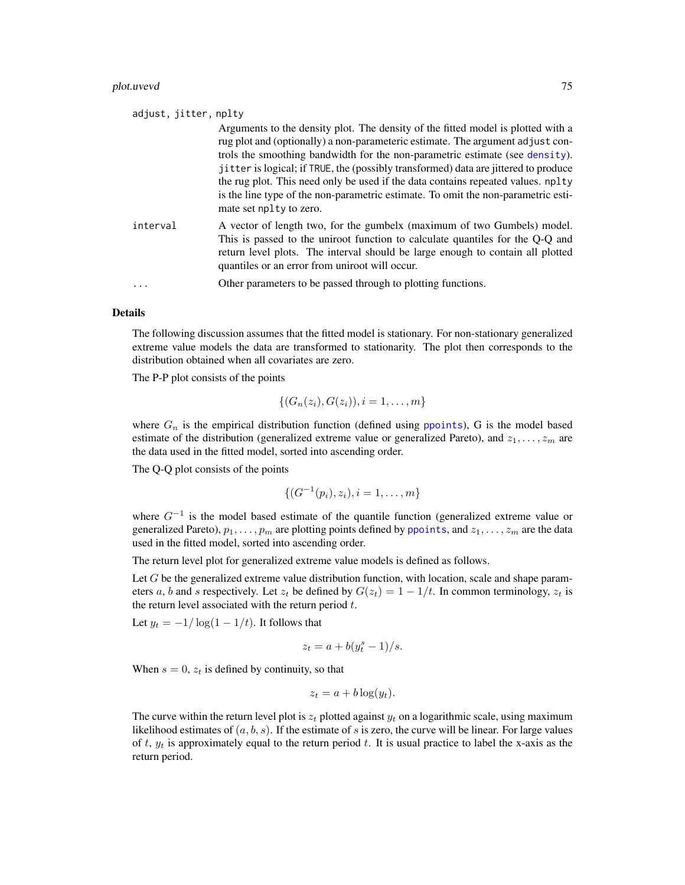### <span id="page-74-0"></span>plot.uvevd 75

| adjust, jitter, nplty |                                                                                                                                                                                                                                                                                                                                                                                                                                                                                                                                               |
|-----------------------|-----------------------------------------------------------------------------------------------------------------------------------------------------------------------------------------------------------------------------------------------------------------------------------------------------------------------------------------------------------------------------------------------------------------------------------------------------------------------------------------------------------------------------------------------|
|                       | Arguments to the density plot. The density of the fitted model is plotted with a<br>rug plot and (optionally) a non-parameteric estimate. The argument adjust con-<br>trols the smoothing bandwidth for the non-parametric estimate (see density).<br>jitter is logical; if TRUE, the (possibly transformed) data are jittered to produce<br>the rug plot. This need only be used if the data contains repeated values. nplty<br>is the line type of the non-parametric estimate. To omit the non-parametric esti-<br>mate set nplty to zero. |
| interval              | A vector of length two, for the gumbelx (maximum of two Gumbels) model.<br>This is passed to the uniroot function to calculate quantiles for the Q-Q and<br>return level plots. The interval should be large enough to contain all plotted<br>quantiles or an error from uniroot will occur.                                                                                                                                                                                                                                                  |
| .                     | Other parameters to be passed through to plotting functions.                                                                                                                                                                                                                                                                                                                                                                                                                                                                                  |

### Details

The following discussion assumes that the fitted model is stationary. For non-stationary generalized extreme value models the data are transformed to stationarity. The plot then corresponds to the distribution obtained when all covariates are zero.

The P-P plot consists of the points

$$
\{(G_n(z_i), G(z_i)), i = 1, \ldots, m\}
$$

where  $G_n$  is the empirical distribution function (defined using [ppoints](#page-0-0)), G is the model based estimate of the distribution (generalized extreme value or generalized Pareto), and  $z_1, \ldots, z_m$  are the data used in the fitted model, sorted into ascending order.

The Q-Q plot consists of the points

$$
\{(G^{-1}(p_i), z_i), i = 1, \ldots, m\}
$$

where  $G^{-1}$  is the model based estimate of the quantile function (generalized extreme value or generalized Pareto),  $p_1, \ldots, p_m$  are plotting points defined by [ppoints](#page-0-0), and  $z_1, \ldots, z_m$  are the data used in the fitted model, sorted into ascending order.

The return level plot for generalized extreme value models is defined as follows.

Let  $G$  be the generalized extreme value distribution function, with location, scale and shape parameters a, b and s respectively. Let  $z_t$  be defined by  $G(z_t) = 1 - 1/t$ . In common terminology,  $z_t$  is the return level associated with the return period  $t$ .

Let  $y_t = -1/\log(1 - 1/t)$ . It follows that

$$
z_t = a + b(y_t^s - 1)/s.
$$

When  $s = 0$ ,  $z_t$  is defined by continuity, so that

$$
z_t = a + b \log(y_t).
$$

The curve within the return level plot is  $z_t$  plotted against  $y_t$  on a logarithmic scale, using maximum likelihood estimates of  $(a, b, s)$ . If the estimate of s is zero, the curve will be linear. For large values of t,  $y_t$  is approximately equal to the return period t. It is usual practice to label the x-axis as the return period.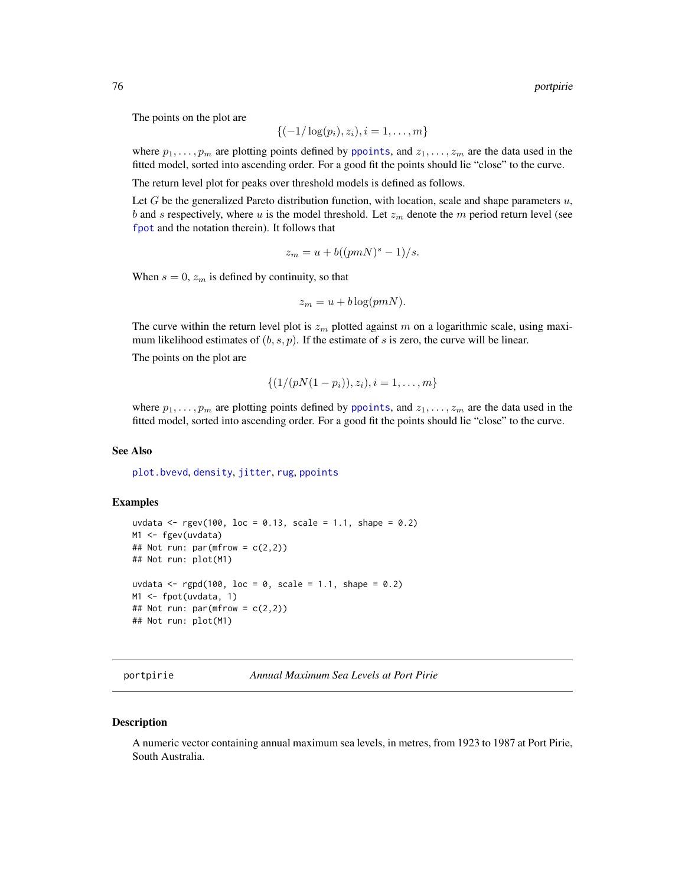The points on the plot are

$$
\{(-1/\log(p_i), z_i), i = 1, \ldots, m\}
$$

where  $p_1, \ldots, p_m$  are plotting points defined by [ppoints](#page-0-0), and  $z_1, \ldots, z_m$  are the data used in the fitted model, sorted into ascending order. For a good fit the points should lie "close" to the curve.

The return level plot for peaks over threshold models is defined as follows.

Let  $G$  be the generalized Pareto distribution function, with location, scale and shape parameters  $u$ , b and s respectively, where u is the model threshold. Let  $z_m$  denote the m period return level (see [fpot](#page-46-0) and the notation therein). It follows that

$$
z_m = u + b((pmN)^s - 1)/s.
$$

When  $s = 0$ ,  $z_m$  is defined by continuity, so that

$$
z_m = u + b \log(pmN).
$$

The curve within the return level plot is  $z_m$  plotted against m on a logarithmic scale, using maximum likelihood estimates of  $(b, s, p)$ . If the estimate of s is zero, the curve will be linear.

The points on the plot are

$$
\{(1/(pN(1-p_i)), z_i), i=1,\ldots,m\}
$$

where  $p_1, \ldots, p_m$  are plotting points defined by [ppoints](#page-0-0), and  $z_1, \ldots, z_m$  are the data used in the fitted model, sorted into ascending order. For a good fit the points should lie "close" to the curve.

### See Also

[plot.bvevd](#page-67-0), [density](#page-0-0), [jitter](#page-0-0), [rug](#page-0-0), [ppoints](#page-0-0)

# Examples

```
uvdata <- rgev(100, loc = 0.13, scale = 1.1, shape = 0.2)
M1 <- fgev(uvdata)
## Not run: par(mfrow = c(2,2))## Not run: plot(M1)
uvdata <- rgpd(100, loc = 0, scale = 1.1, shape = 0.2)
M1 <- fpot(uvdata, 1)
## Not run: par(mfrow = c(2,2))
## Not run: plot(M1)
```
portpirie *Annual Maximum Sea Levels at Port Pirie*

### Description

A numeric vector containing annual maximum sea levels, in metres, from 1923 to 1987 at Port Pirie, South Australia.

<span id="page-75-0"></span>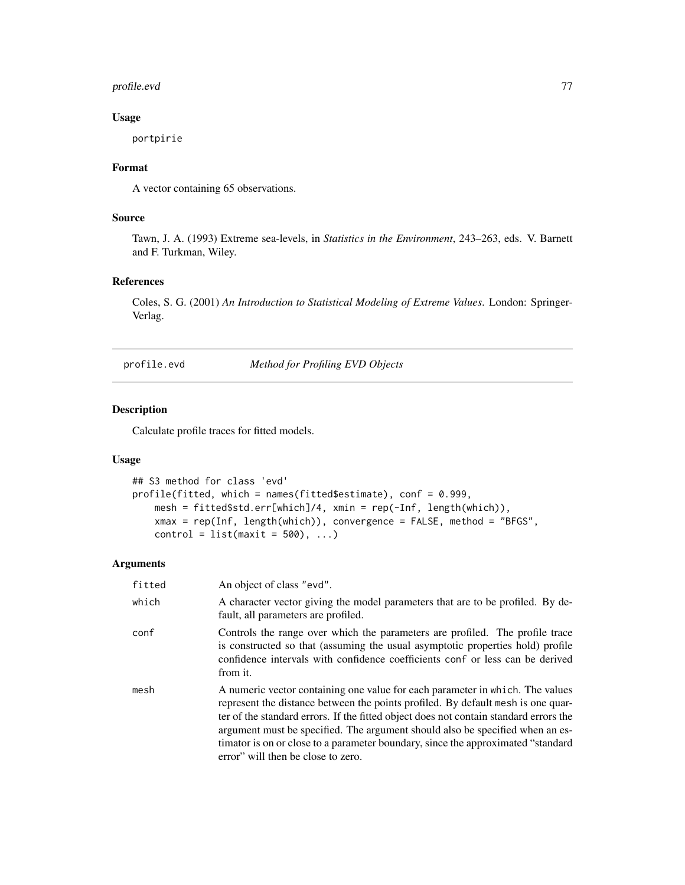# <span id="page-76-1"></span>profile.evd 77

# Usage

portpirie

# Format

A vector containing 65 observations.

# Source

Tawn, J. A. (1993) Extreme sea-levels, in *Statistics in the Environment*, 243–263, eds. V. Barnett and F. Turkman, Wiley.

# References

Coles, S. G. (2001) *An Introduction to Statistical Modeling of Extreme Values*. London: Springer-Verlag.

<span id="page-76-0"></span>profile.evd *Method for Profiling EVD Objects*

# Description

Calculate profile traces for fitted models.

# Usage

```
## S3 method for class 'evd'
profile(fitted, which = names(fitted$estimate), conf = 0.999,
   mesh = fitted$std.err[which]/4, xmin = rep(-Inf, length(which)),
   xmax = rep(Inf, length(which)), convergence = FALSE, method = "BFGS",
   control = list(maxit = 500), ...
```
# Arguments

| fitted | An object of class "evd".                                                                                                                                                                                                                                                                                                                                                                                                                                              |
|--------|------------------------------------------------------------------------------------------------------------------------------------------------------------------------------------------------------------------------------------------------------------------------------------------------------------------------------------------------------------------------------------------------------------------------------------------------------------------------|
| which  | A character vector giving the model parameters that are to be profiled. By de-<br>fault, all parameters are profiled.                                                                                                                                                                                                                                                                                                                                                  |
| conf   | Controls the range over which the parameters are profiled. The profile trace<br>is constructed so that (assuming the usual asymptotic properties hold) profile<br>confidence intervals with confidence coefficients conf or less can be derived<br>from it.                                                                                                                                                                                                            |
| mesh   | A numeric vector containing one value for each parameter in which. The values<br>represent the distance between the points profiled. By default mesh is one quar-<br>ter of the standard errors. If the fitted object does not contain standard errors the<br>argument must be specified. The argument should also be specified when an es-<br>timator is on or close to a parameter boundary, since the approximated "standard"<br>error" will then be close to zero. |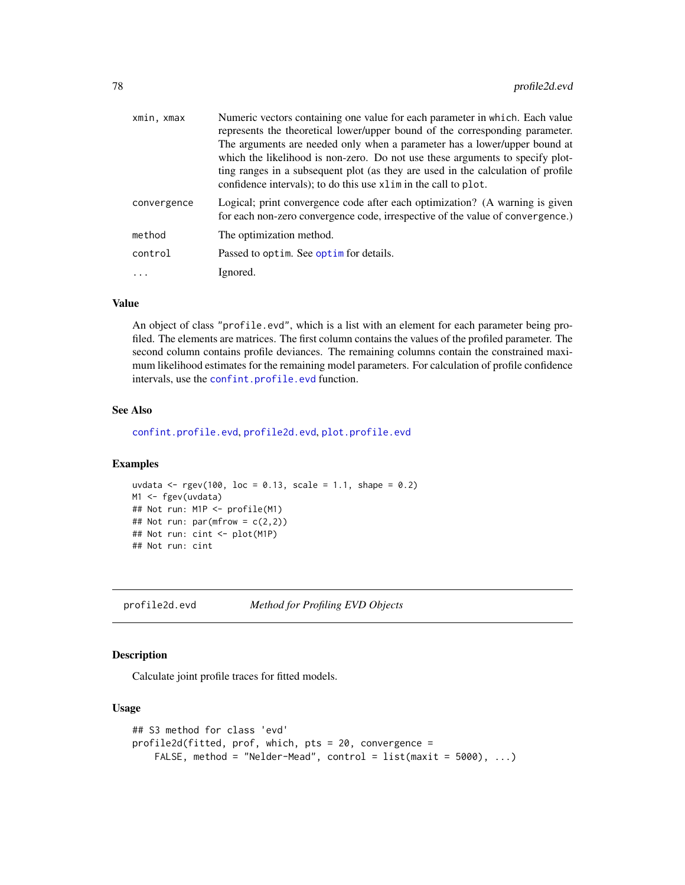<span id="page-77-1"></span>

| xmin, xmax  | Numeric vectors containing one value for each parameter in which. Each value<br>represents the theoretical lower/upper bound of the corresponding parameter.<br>The arguments are needed only when a parameter has a lower/upper bound at<br>which the likelihood is non-zero. Do not use these arguments to specify plot-<br>ting ranges in a subsequent plot (as they are used in the calculation of profile<br>confidence intervals); to do this use xlim in the call to plot. |
|-------------|-----------------------------------------------------------------------------------------------------------------------------------------------------------------------------------------------------------------------------------------------------------------------------------------------------------------------------------------------------------------------------------------------------------------------------------------------------------------------------------|
| convergence | Logical; print convergence code after each optimization? (A warning is given<br>for each non-zero convergence code, irrespective of the value of convergence.)                                                                                                                                                                                                                                                                                                                    |
| method      | The optimization method.                                                                                                                                                                                                                                                                                                                                                                                                                                                          |
| control     | Passed to optim. See optim for details.                                                                                                                                                                                                                                                                                                                                                                                                                                           |
| $\ddots$    | Ignored.                                                                                                                                                                                                                                                                                                                                                                                                                                                                          |
|             |                                                                                                                                                                                                                                                                                                                                                                                                                                                                                   |

# Value

An object of class "profile.evd", which is a list with an element for each parameter being profiled. The elements are matrices. The first column contains the values of the profiled parameter. The second column contains profile deviances. The remaining columns contain the constrained maximum likelihood estimates for the remaining model parameters. For calculation of profile confidence intervals, use the [confint.profile.evd](#page-23-0) function.

# See Also

[confint.profile.evd](#page-23-0), [profile2d.evd](#page-77-0), [plot.profile.evd](#page-70-0)

### Examples

```
uvdata <- rgev(100, loc = 0.13, scale = 1.1, shape = 0.2)
M1 <- fgev(uvdata)
## Not run: M1P <- profile(M1)
## Not run: par(mfrow = c(2,2))## Not run: cint <- plot(M1P)
## Not run: cint
```
<span id="page-77-0"></span>profile2d.evd *Method for Profiling EVD Objects*

# Description

Calculate joint profile traces for fitted models.

# Usage

```
## S3 method for class 'evd'
profile2d(fitted, prof, which, pts = 20, convergence =
   FALSE, method = "Nelder-Mead", control = list(maxit = 5000), ...
```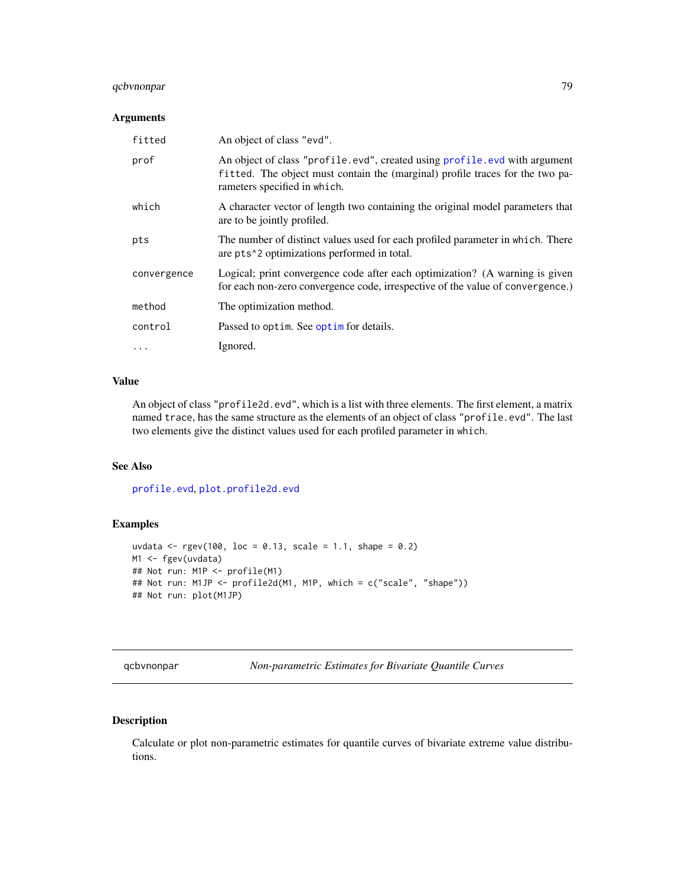# <span id="page-78-0"></span>qcbvnonpar 79

# Arguments

| fitted      | An object of class "evd".                                                                                                                                                                  |
|-------------|--------------------------------------------------------------------------------------------------------------------------------------------------------------------------------------------|
| prof        | An object of class "profile.evd", created using profile.evd with argument<br>fitted. The object must contain the (marginal) profile traces for the two pa-<br>rameters specified in which. |
| which       | A character vector of length two containing the original model parameters that<br>are to be jointly profiled.                                                                              |
| pts         | The number of distinct values used for each profiled parameter in which. There<br>are pts <sup><math>\lambda</math></sup> 2 optimizations performed in total.                              |
| convergence | Logical; print convergence code after each optimization? (A warning is given<br>for each non-zero convergence code, irrespective of the value of convergence.)                             |
| method      | The optimization method.                                                                                                                                                                   |
| control     | Passed to optim. See optim for details.                                                                                                                                                    |
| $\cdots$    | Ignored.                                                                                                                                                                                   |

# Value

An object of class "profile2d.evd", which is a list with three elements. The first element, a matrix named trace, has the same structure as the elements of an object of class "profile.evd". The last two elements give the distinct values used for each profiled parameter in which.

# See Also

[profile.evd](#page-76-0), [plot.profile2d.evd](#page-72-0)

# Examples

```
uvdata <- rgev(100, loc = 0.13, scale = 1.1, shape = 0.2)
M1 <- fgev(uvdata)
## Not run: M1P <- profile(M1)
## Not run: M1JP <- profile2d(M1, M1P, which = c("scale", "shape"))
## Not run: plot(M1JP)
```
qcbvnonpar *Non-parametric Estimates for Bivariate Quantile Curves*

# Description

Calculate or plot non-parametric estimates for quantile curves of bivariate extreme value distributions.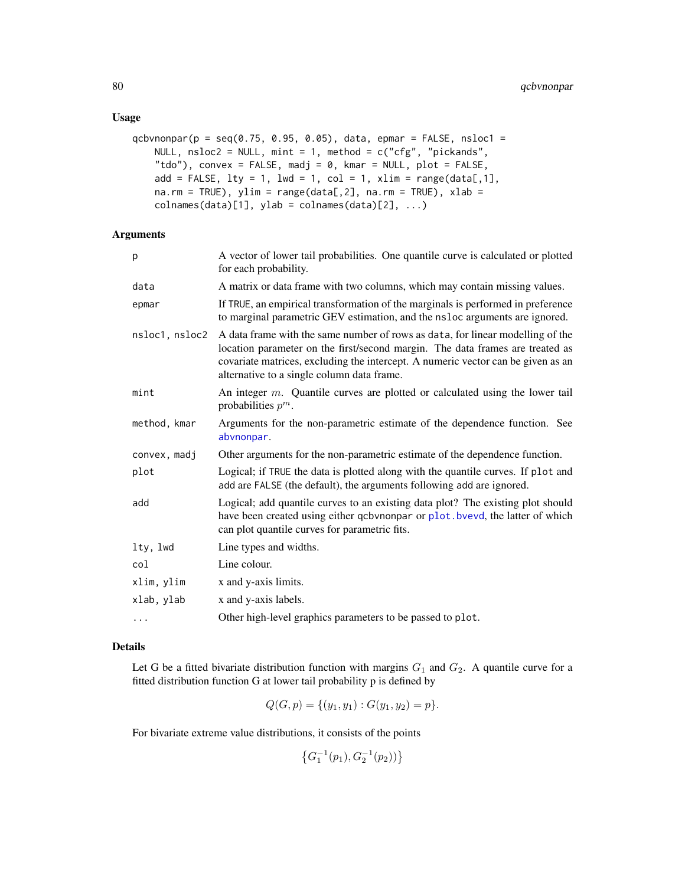### <span id="page-79-0"></span>Usage

```
qcbvnonpar(p = \text{seq}(0.75, 0.95, 0.05), data, epmar = FALSE, nsloc1 =
    NULL, nsloc2 = NULL, mint = 1, method = c("cfg", "pickands",
    "tdo"), convex = FALSE, madj = 0, kmar = NULL, plot = FALSE,
    add = FALSE, 1ty = 1, 1wd = 1, col = 1, xlim = range(data[, 1],na.rm = TRUE), ylim = range(data[, 2], na.rm = TRUE), xlab =collnames(data)[1], ylab = colnames(data)[2], ...
```
# Arguments

| p              | A vector of lower tail probabilities. One quantile curve is calculated or plotted<br>for each probability.                                                                                                                                                                                        |
|----------------|---------------------------------------------------------------------------------------------------------------------------------------------------------------------------------------------------------------------------------------------------------------------------------------------------|
| data           | A matrix or data frame with two columns, which may contain missing values.                                                                                                                                                                                                                        |
| epmar          | If TRUE, an empirical transformation of the marginals is performed in preference<br>to marginal parametric GEV estimation, and the nsloc arguments are ignored.                                                                                                                                   |
| nsloc1, nsloc2 | A data frame with the same number of rows as data, for linear modelling of the<br>location parameter on the first/second margin. The data frames are treated as<br>covariate matrices, excluding the intercept. A numeric vector can be given as an<br>alternative to a single column data frame. |
| mint           | An integer $m$ . Quantile curves are plotted or calculated using the lower tail<br>probabilities $p^m$ .                                                                                                                                                                                          |
| method, kmar   | Arguments for the non-parametric estimate of the dependence function. See<br>abvnonpar.                                                                                                                                                                                                           |
| convex, madj   | Other arguments for the non-parametric estimate of the dependence function.                                                                                                                                                                                                                       |
| plot           | Logical; if TRUE the data is plotted along with the quantile curves. If plot and<br>add are FALSE (the default), the arguments following add are ignored.                                                                                                                                         |
| add            | Logical; add quantile curves to an existing data plot? The existing plot should<br>have been created using either qcbvnonpar or plot. bvevd, the latter of which<br>can plot quantile curves for parametric fits.                                                                                 |
| lty, lwd       | Line types and widths.                                                                                                                                                                                                                                                                            |
| col            | Line colour.                                                                                                                                                                                                                                                                                      |
| xlim, ylim     | x and y-axis limits.                                                                                                                                                                                                                                                                              |
| xlab, ylab     | x and y-axis labels.                                                                                                                                                                                                                                                                              |
| .              | Other high-level graphics parameters to be passed to plot.                                                                                                                                                                                                                                        |

# Details

Let G be a fitted bivariate distribution function with margins  $G_1$  and  $G_2$ . A quantile curve for a fitted distribution function G at lower tail probability p is defined by

$$
Q(G, p) = \{ (y_1, y_1) : G(y_1, y_2) = p \}.
$$

For bivariate extreme value distributions, it consists of the points

$$
\left\{G_1^{-1}(p_1), G_2^{-1}(p_2))\right\}
$$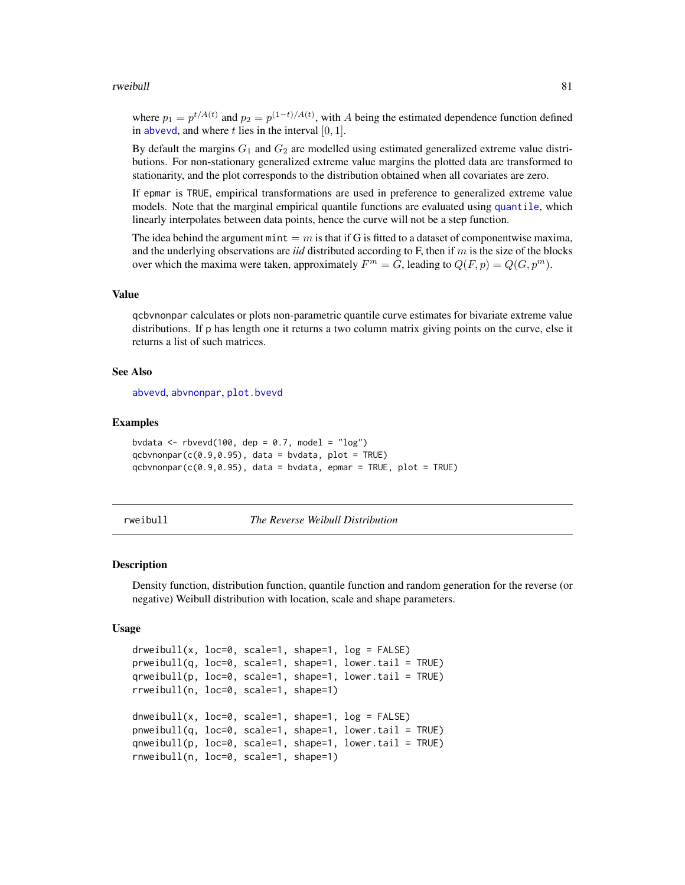### <span id="page-80-0"></span>rweibull 81

where  $p_1 = p^{t/A(t)}$  and  $p_2 = p^{(1-t)/A(t)}$ , with A being the estimated dependence function defined in [abvevd](#page-2-0), and where  $t$  lies in the interval  $[0, 1]$ .

By default the margins  $G_1$  and  $G_2$  are modelled using estimated generalized extreme value distributions. For non-stationary generalized extreme value margins the plotted data are transformed to stationarity, and the plot corresponds to the distribution obtained when all covariates are zero.

If epmar is TRUE, empirical transformations are used in preference to generalized extreme value models. Note that the marginal empirical quantile functions are evaluated using [quantile](#page-0-0), which linearly interpolates between data points, hence the curve will not be a step function.

The idea behind the argument mint  $=m$  is that if G is fitted to a dataset of componentwise maxima, and the underlying observations are *iid* distributed according to F, then if m is the size of the blocks over which the maxima were taken, approximately  $F^m = G$ , leading to  $Q(F, p) = Q(G, p^m)$ .

# Value

qcbvnonpar calculates or plots non-parametric quantile curve estimates for bivariate extreme value distributions. If p has length one it returns a two column matrix giving points on the curve, else it returns a list of such matrices.

# See Also

[abvevd](#page-2-0), [abvnonpar](#page-4-0), [plot.bvevd](#page-67-0)

### Examples

bvdata  $\leq$  rbvevd(100, dep = 0.7, model = "log")  $qcbvnonpar(c(0.9, 0.95), data = bvdata, plot = TRUE)$  $qcbvnonpar(c(0.9, 0.95), data = bvdata, epmar = TRUE, plot = TRUE)$ 

rweibull *The Reverse Weibull Distribution*

### Description

Density function, distribution function, quantile function and random generation for the reverse (or negative) Weibull distribution with location, scale and shape parameters.

### Usage

```
drweibull(x, loc=0, scale=1, shape=1, log = FALSE)
prweibull(q, loc=0, scale=1, shape=1, lower.tail = TRUE)
qrweibull(p, loc=0, scale=1, shape=1, lower.tail = TRUE)
rrweibull(n, loc=0, scale=1, shape=1)
dnweibull(x, loc=0, scale=1, shape=1, log = FALSE)
pnweibull(q, loc=0, scale=1, shape=1, lower.tail = TRUE)
qnweibull(p, loc=0, scale=1, shape=1, lower.tail = TRUE)
rnweibull(n, loc=0, scale=1, shape=1)
```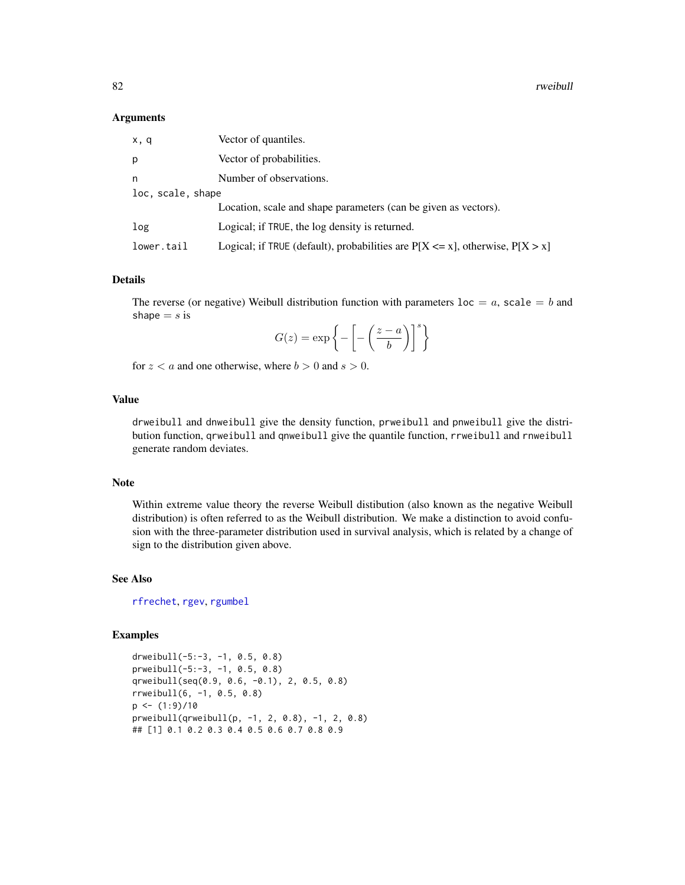<span id="page-81-0"></span>82 rweibull

### **Arguments**

| x, q              | Vector of quantiles.                                                               |
|-------------------|------------------------------------------------------------------------------------|
| D.                | Vector of probabilities.                                                           |
| n                 | Number of observations.                                                            |
| loc, scale, shape |                                                                                    |
|                   | Location, scale and shape parameters (can be given as vectors).                    |
| log               | Logical; if TRUE, the log density is returned.                                     |
| lower.tail        | Logical; if TRUE (default), probabilities are $P[X \le x]$ , otherwise, $P[X > x]$ |

### Details

The reverse (or negative) Weibull distribution function with parameters  $loc = a$ , scale  $= b$  and shape  $= s$  is

$$
G(z) = \exp\left\{-\left[-\left(\frac{z-a}{b}\right)\right]^s\right\}
$$

for  $z < a$  and one otherwise, where  $b > 0$  and  $s > 0$ .

# Value

drweibull and dnweibull give the density function, prweibull and pnweibull give the distribution function, qrweibull and qnweibull give the quantile function, rrweibull and rnweibull generate random deviates.

# Note

Within extreme value theory the reverse Weibull distibution (also known as the negative Weibull distribution) is often referred to as the Weibull distribution. We make a distinction to avoid confusion with the three-parameter distribution used in survival analysis, which is related by a change of sign to the distribution given above.

# See Also

[rfrechet](#page-49-0), [rgev](#page-50-0), [rgumbel](#page-53-0)

# Examples

```
drweibull(-5:-3, -1, 0.5, 0.8)
prweibull(-5:-3, -1, 0.5, 0.8)
qrweibull(seq(0.9, 0.6, -0.1), 2, 0.5, 0.8)
rrweibull(6, -1, 0.5, 0.8)
p \leftarrow (1:9)/10prweibull(qrweibull(p, -1, 2, 0.8), -1, 2, 0.8)
## [1] 0.1 0.2 0.3 0.4 0.5 0.6 0.7 0.8 0.9
```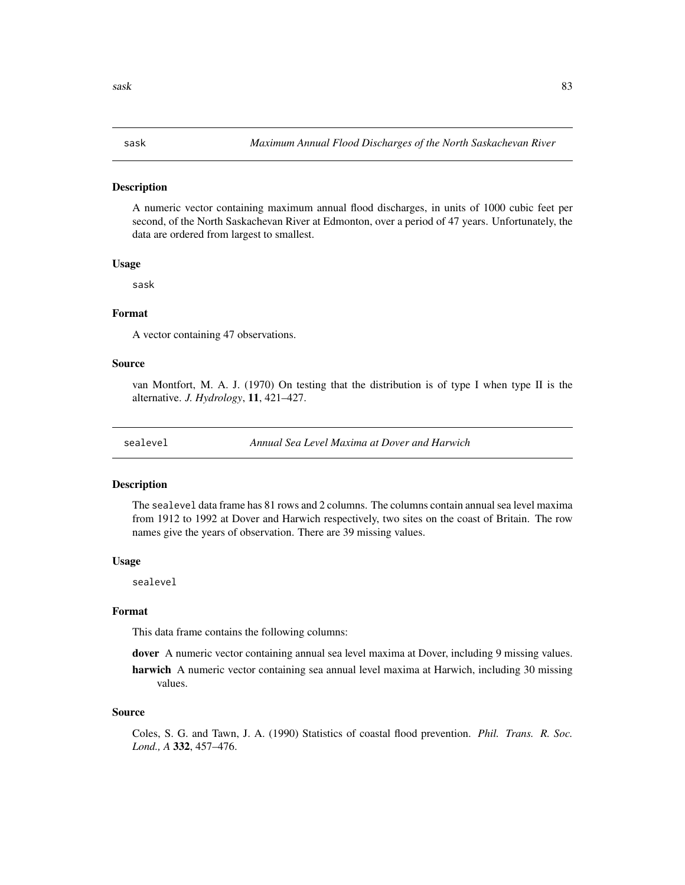### <span id="page-82-0"></span>Description

A numeric vector containing maximum annual flood discharges, in units of 1000 cubic feet per second, of the North Saskachevan River at Edmonton, over a period of 47 years. Unfortunately, the data are ordered from largest to smallest.

# Usage

sask

# Format

A vector containing 47 observations.

# Source

van Montfort, M. A. J. (1970) On testing that the distribution is of type I when type II is the alternative. *J. Hydrology*, 11, 421–427.

sealevel *Annual Sea Level Maxima at Dover and Harwich*

# Description

The sealevel data frame has 81 rows and 2 columns. The columns contain annual sea level maxima from 1912 to 1992 at Dover and Harwich respectively, two sites on the coast of Britain. The row names give the years of observation. There are 39 missing values.

### Usage

sealevel

### Format

This data frame contains the following columns:

dover A numeric vector containing annual sea level maxima at Dover, including 9 missing values.

harwich A numeric vector containing sea annual level maxima at Harwich, including 30 missing values.

# Source

Coles, S. G. and Tawn, J. A. (1990) Statistics of coastal flood prevention. *Phil. Trans. R. Soc. Lond., A* 332, 457–476.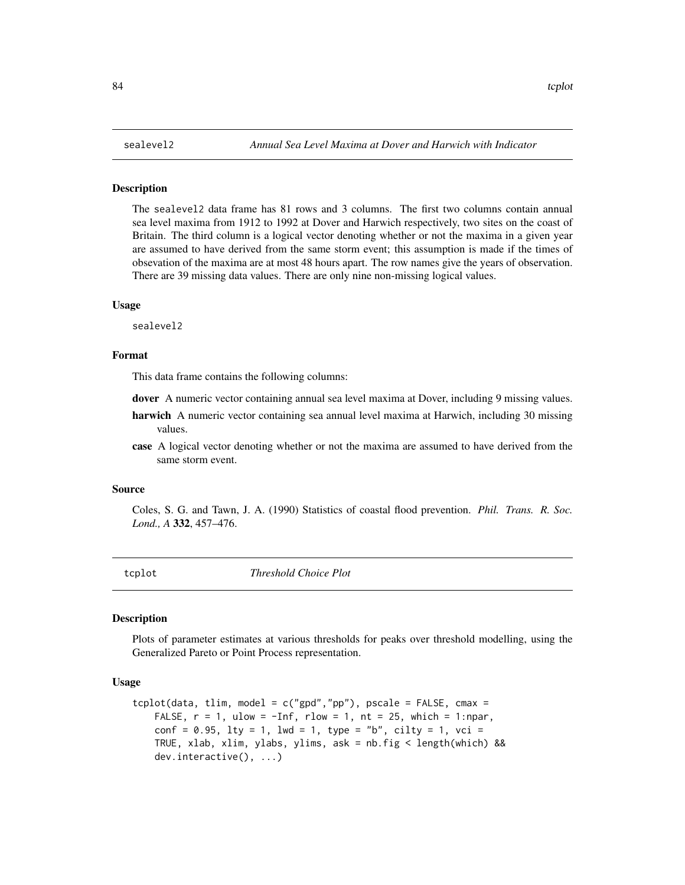### <span id="page-83-0"></span>**Description**

The sealevel2 data frame has 81 rows and 3 columns. The first two columns contain annual sea level maxima from 1912 to 1992 at Dover and Harwich respectively, two sites on the coast of Britain. The third column is a logical vector denoting whether or not the maxima in a given year are assumed to have derived from the same storm event; this assumption is made if the times of obsevation of the maxima are at most 48 hours apart. The row names give the years of observation. There are 39 missing data values. There are only nine non-missing logical values.

### Usage

sealevel2

### Format

This data frame contains the following columns:

dover A numeric vector containing annual sea level maxima at Dover, including 9 missing values.

- harwich A numeric vector containing sea annual level maxima at Harwich, including 30 missing values.
- case A logical vector denoting whether or not the maxima are assumed to have derived from the same storm event.

### Source

Coles, S. G. and Tawn, J. A. (1990) Statistics of coastal flood prevention. *Phil. Trans. R. Soc. Lond., A* 332, 457–476.

tcplot *Threshold Choice Plot*

### Description

Plots of parameter estimates at various thresholds for peaks over threshold modelling, using the Generalized Pareto or Point Process representation.

# Usage

```
tcplot(data, tlim, model = c("gpd", "pp"), pscale = FALSE, cmax =FALSE, r = 1, ulow = -Inf, rlow = 1, nt = 25, which = 1:npar,
   conf = 0.95, lty = 1, lwd = 1, type = "b", cilty = 1, vci =
   TRUE, xlab, xlim, ylabs, ylims, ask = nb.fig < length(which) &&
   dev.interactive(), ...)
```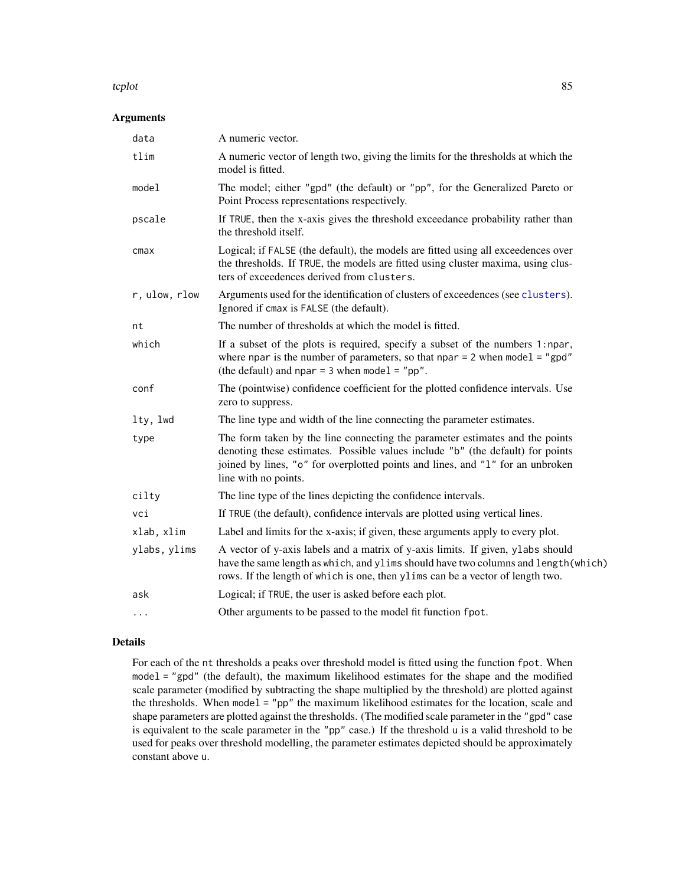### <span id="page-84-0"></span>tcplot 85

# Arguments

| data          | A numeric vector.                                                                                                                                                                                                                                                        |
|---------------|--------------------------------------------------------------------------------------------------------------------------------------------------------------------------------------------------------------------------------------------------------------------------|
| tlim          | A numeric vector of length two, giving the limits for the thresholds at which the<br>model is fitted.                                                                                                                                                                    |
| model         | The model; either "gpd" (the default) or "pp", for the Generalized Pareto or<br>Point Process representations respectively.                                                                                                                                              |
| pscale        | If TRUE, then the x-axis gives the threshold exceedance probability rather than<br>the threshold itself.                                                                                                                                                                 |
| cmax          | Logical; if FALSE (the default), the models are fitted using all exceedences over<br>the thresholds. If TRUE, the models are fitted using cluster maxima, using clus-<br>ters of exceedences derived from clusters.                                                      |
| r, ulow, rlow | Arguments used for the identification of clusters of exceedences (see clusters).<br>Ignored if cmax is FALSE (the default).                                                                                                                                              |
| nt            | The number of thresholds at which the model is fitted.                                                                                                                                                                                                                   |
| which         | If a subset of the plots is required, specify a subset of the numbers 1:npar,<br>where npar is the number of parameters, so that npar $= 2$ when model $=$ "gpd"<br>(the default) and npar = $3$ when model = "pp".                                                      |
| conf          | The (pointwise) confidence coefficient for the plotted confidence intervals. Use<br>zero to suppress.                                                                                                                                                                    |
| lty, lwd      | The line type and width of the line connecting the parameter estimates.                                                                                                                                                                                                  |
| type          | The form taken by the line connecting the parameter estimates and the points<br>denoting these estimates. Possible values include "b" (the default) for points<br>joined by lines, "o" for overplotted points and lines, and "1" for an unbroken<br>line with no points. |
| cilty         | The line type of the lines depicting the confidence intervals.                                                                                                                                                                                                           |
| vci           | If TRUE (the default), confidence intervals are plotted using vertical lines.                                                                                                                                                                                            |
| xlab, xlim    | Label and limits for the x-axis; if given, these arguments apply to every plot.                                                                                                                                                                                          |
| ylabs, ylims  | A vector of y-axis labels and a matrix of y-axis limits. If given, ylabs should<br>have the same length as which, and ylims should have two columns and length (which)<br>rows. If the length of which is one, then ylims can be a vector of length two.                 |
| ask           | Logical; if TRUE, the user is asked before each plot.                                                                                                                                                                                                                    |
| $\ddots$      | Other arguments to be passed to the model fit function fpot.                                                                                                                                                                                                             |
|               |                                                                                                                                                                                                                                                                          |

# Details

For each of the nt thresholds a peaks over threshold model is fitted using the function fpot. When model = "gpd" (the default), the maximum likelihood estimates for the shape and the modified scale parameter (modified by subtracting the shape multiplied by the threshold) are plotted against the thresholds. When model = "pp" the maximum likelihood estimates for the location, scale and shape parameters are plotted against the thresholds. (The modified scale parameter in the "gpd" case is equivalent to the scale parameter in the "pp" case.) If the threshold u is a valid threshold to be used for peaks over threshold modelling, the parameter estimates depicted should be approximately constant above u.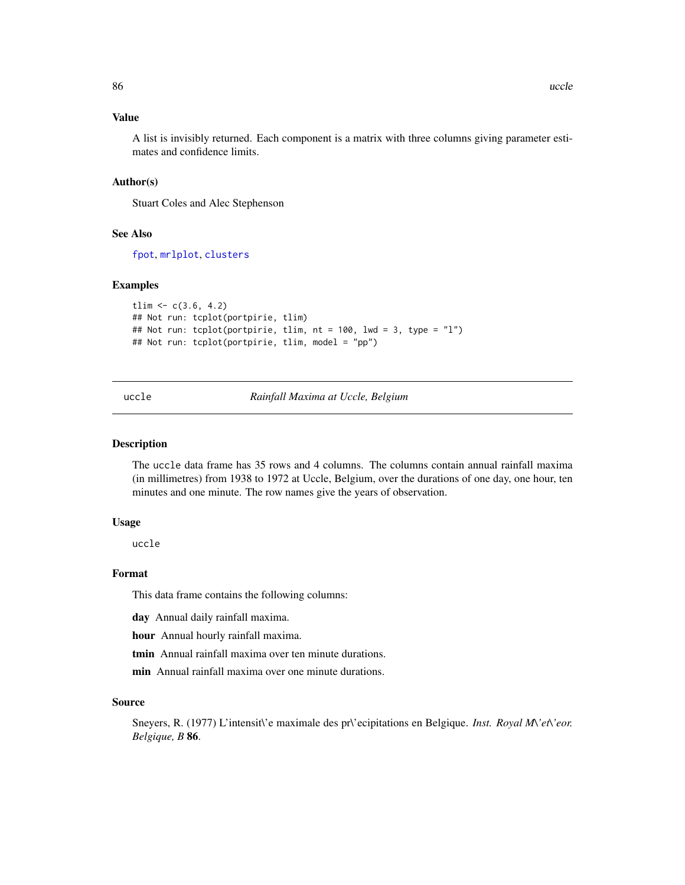# <span id="page-85-0"></span>Value

A list is invisibly returned. Each component is a matrix with three columns giving parameter estimates and confidence limits.

### Author(s)

Stuart Coles and Alec Stephenson

# See Also

[fpot](#page-46-0), [mrlplot](#page-59-0), [clusters](#page-21-0)

### Examples

```
tlim \leq c(3.6, 4.2)## Not run: tcplot(portpirie, tlim)
## Not run: tcplot(portpirie, tlim, nt = 100, lwd = 3, type = "l")
## Not run: tcplot(portpirie, tlim, model = "pp")
```
uccle *Rainfall Maxima at Uccle, Belgium*

### Description

The uccle data frame has 35 rows and 4 columns. The columns contain annual rainfall maxima (in millimetres) from 1938 to 1972 at Uccle, Belgium, over the durations of one day, one hour, ten minutes and one minute. The row names give the years of observation.

# Usage

uccle

# Format

This data frame contains the following columns:

day Annual daily rainfall maxima.

hour Annual hourly rainfall maxima.

tmin Annual rainfall maxima over ten minute durations.

min Annual rainfall maxima over one minute durations.

### Source

Sneyers, R. (1977) L'intensit\'e maximale des pr\'ecipitations en Belgique. *Inst. Royal M\'et\'eor. Belgique, B* 86.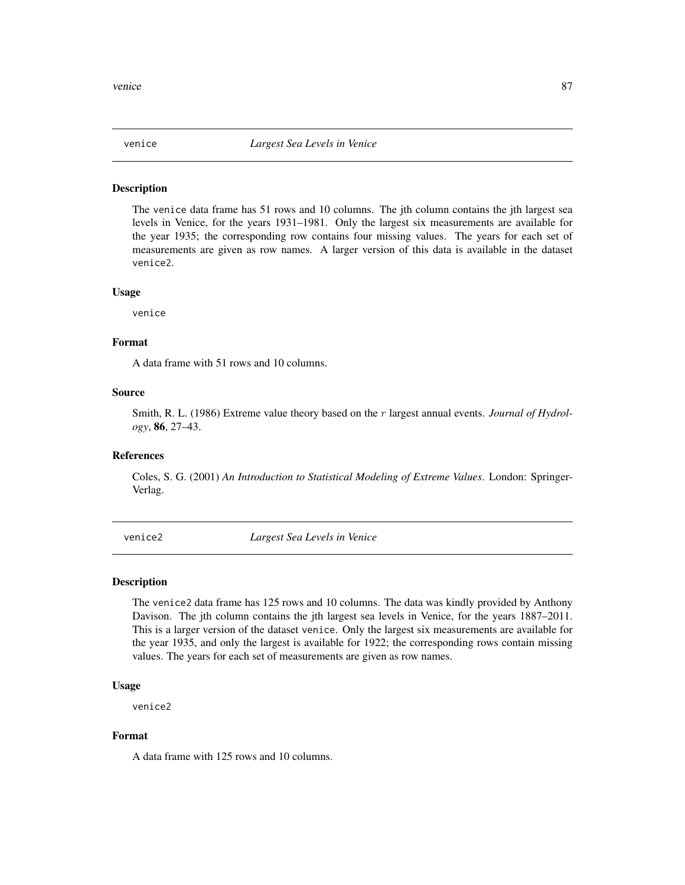<span id="page-86-0"></span>

### Description

The venice data frame has 51 rows and 10 columns. The jth column contains the jth largest sea levels in Venice, for the years 1931–1981. Only the largest six measurements are available for the year 1935; the corresponding row contains four missing values. The years for each set of measurements are given as row names. A larger version of this data is available in the dataset venice2.

# Usage

venice

# Format

A data frame with 51 rows and 10 columns.

# Source

Smith, R. L. (1986) Extreme value theory based on the r largest annual events. *Journal of Hydrology*, 86, 27–43.

# References

Coles, S. G. (2001) *An Introduction to Statistical Modeling of Extreme Values*. London: Springer-Verlag.

venice2 *Largest Sea Levels in Venice*

### Description

The venice2 data frame has 125 rows and 10 columns. The data was kindly provided by Anthony Davison. The jth column contains the jth largest sea levels in Venice, for the years 1887–2011. This is a larger version of the dataset venice. Only the largest six measurements are available for the year 1935, and only the largest is available for 1922; the corresponding rows contain missing values. The years for each set of measurements are given as row names.

# Usage

venice2

### Format

A data frame with 125 rows and 10 columns.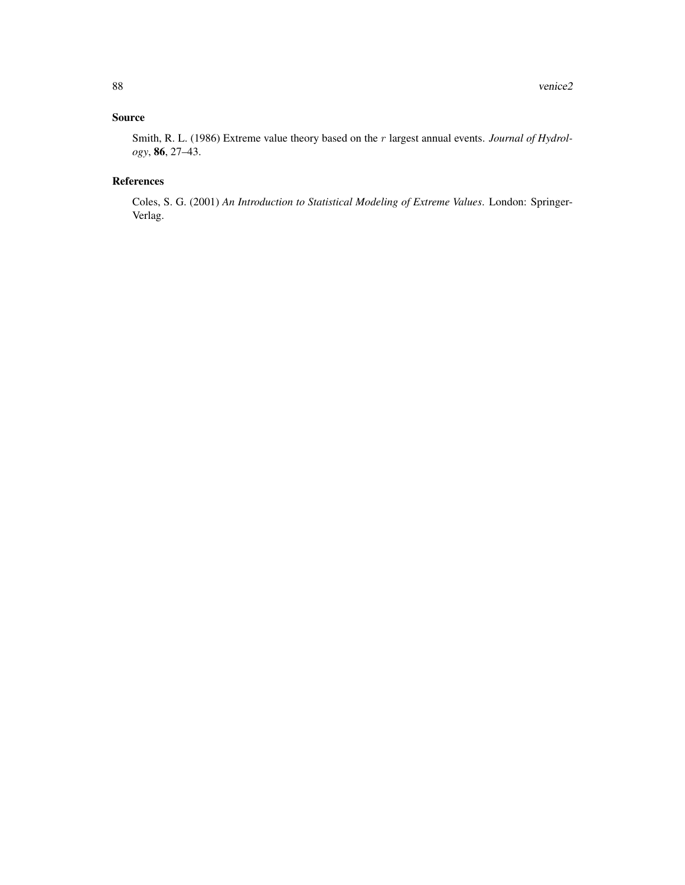# Source

Smith, R. L. (1986) Extreme value theory based on the r largest annual events. *Journal of Hydrology*, 86, 27–43.

# References

Coles, S. G. (2001) *An Introduction to Statistical Modeling of Extreme Values*. London: Springer-Verlag.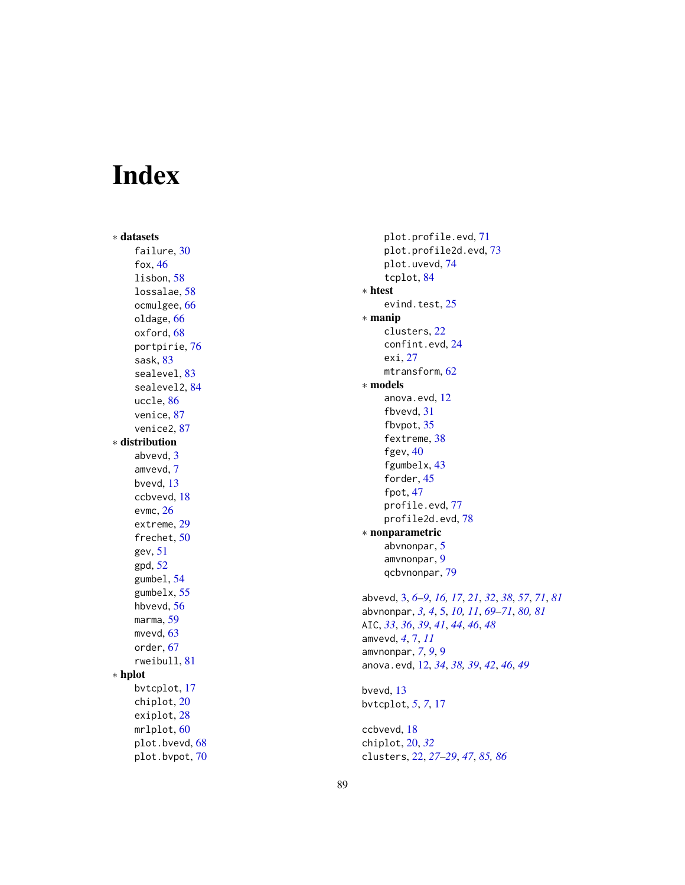# Index

∗ datasets failure, [30](#page-29-0) fox , [46](#page-45-0) lisbon , [58](#page-57-0) lossalae , [58](#page-57-0) ocmulgee , [66](#page-65-0) oldage , [66](#page-65-0) oxford, [68](#page-67-1) portpirie , [76](#page-75-0) sask , [83](#page-82-0) sealevel, [83](#page-82-0) sealevel2 , [84](#page-83-0) uccle , [86](#page-85-0) venice , [87](#page-86-0) venice2 , [87](#page-86-0) ∗ distribution abvevd, [3](#page-2-1) amvevd , [7](#page-6-0) bvevd , [13](#page-12-0) ccbvevd , [18](#page-17-0) evmc , [26](#page-25-0) extreme , [29](#page-28-0) frechet , [50](#page-49-1) gev , [51](#page-50-1) gpd , [52](#page-51-0) gumbel , [54](#page-53-1) gumbelx , [55](#page-54-0) hbvevd , [56](#page-55-0) marma , [59](#page-58-0) mvevd, [63](#page-62-0) order , [67](#page-66-0) rweibull , [81](#page-80-0) ∗ hplot bvtcplot , [17](#page-16-0) chiplot , [20](#page-19-0) exiplot , [28](#page-27-0) mrlplot , [60](#page-59-1) plot.bvevd, [68](#page-67-1) plot.bvpot , [70](#page-69-0)

plot.profile.evd , [71](#page-70-1) plot.profile2d.evd , [73](#page-72-1) plot.uvevd , [74](#page-73-0) tcplot , [84](#page-83-0) ∗ htest evind.test, [25](#page-24-0) ∗ manip clusters , [22](#page-21-1) confint.evd , [24](#page-23-1) exi , [27](#page-26-0) mtransform, [62](#page-61-0) ∗ models anova.evd , [12](#page-11-0) fbvevd, [31](#page-30-0) fbvpot , [35](#page-34-0) fextreme, [38](#page-37-0) fgev, [40](#page-39-0) fgumbelx , [43](#page-42-0) forder, [45](#page-44-0) fpot , [47](#page-46-1) profile.evd , [77](#page-76-1) profile2d.evd , [78](#page-77-1) ∗ nonparametric abvnonpar, [5](#page-4-1) amvnonpar , [9](#page-8-0) qcbvnonpar , [79](#page-78-0) abvevd , [3](#page-2-1) , *[6–](#page-5-0) [9](#page-8-0)* , *[16,](#page-15-0) [17](#page-16-0)* , *[21](#page-20-0)* , *[32](#page-31-0)* , *[38](#page-37-0)* , *[57](#page-56-0)* , *[71](#page-70-1)* , *[81](#page-80-0)* abvnonpar, [3](#page-2-1), [4](#page-3-0), [5](#page-4-1), [10](#page-9-0), [11](#page-10-0), [69](#page-68-0)[–71](#page-70-1), [80](#page-79-0), [81](#page-80-0) AIC , *[33](#page-32-0)* , *[36](#page-35-0)* , *[39](#page-38-0)* , *[41](#page-40-0)* , *[44](#page-43-0)* , *[46](#page-45-0)* , *[48](#page-47-0)* amvevd , *[4](#page-3-0)* , [7](#page-6-0) , *[11](#page-10-0)* amvnonpar , *[7](#page-6-0)* , *[9](#page-8-0)* , [9](#page-8-0) anova.evd , [12](#page-11-0) , *[34](#page-33-0)* , *[38](#page-37-0) , [39](#page-38-0)* , *[42](#page-41-0)* , *[46](#page-45-0)* , *[49](#page-48-0)* bvevd , [13](#page-12-0) bvtcplot , *[5](#page-4-1)* , *[7](#page-6-0)* , [17](#page-16-0) ccbvevd , [18](#page-17-0)

chiplot , [20](#page-19-0) , *[32](#page-31-0)* clusters , [22](#page-21-1) , *[27](#page-26-0)[–29](#page-28-0)* , *[47](#page-46-1)* , *[85](#page-84-0) , [86](#page-85-0)*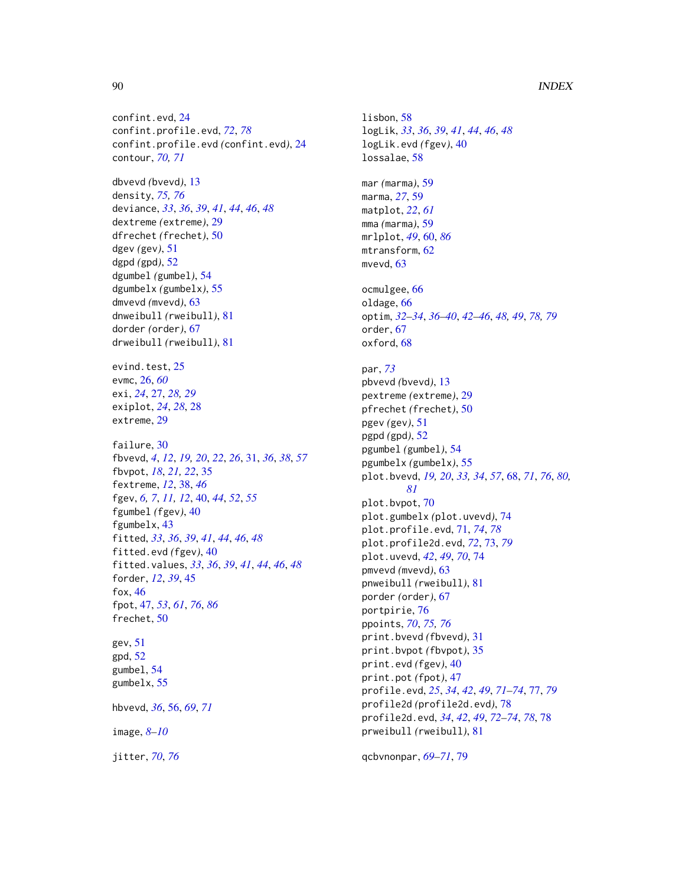# 90 **INDEX**

confint.evd, [24](#page-23-1) confint.profile.evd, *[72](#page-71-0)*, *[78](#page-77-1)* confint.profile.evd *(*confint.evd*)*, [24](#page-23-1) contour, *[70,](#page-69-0) [71](#page-70-1)* dbvevd *(*bvevd*)*, [13](#page-12-0) density, *[75,](#page-74-0) [76](#page-75-0)* deviance, *[33](#page-32-0)*, *[36](#page-35-0)*, *[39](#page-38-0)*, *[41](#page-40-0)*, *[44](#page-43-0)*, *[46](#page-45-0)*, *[48](#page-47-0)* dextreme *(*extreme*)*, [29](#page-28-0) dfrechet *(*frechet*)*, [50](#page-49-1) dgev *(*gev*)*, [51](#page-50-1) dgpd *(*gpd*)*, [52](#page-51-0) dgumbel *(*gumbel*)*, [54](#page-53-1) dgumbelx *(*gumbelx*)*, [55](#page-54-0) dmvevd *(*mvevd*)*, [63](#page-62-0) dnweibull *(*rweibull*)*, [81](#page-80-0) dorder *(*order*)*, [67](#page-66-0) drweibull *(*rweibull*)*, [81](#page-80-0) evind.test, [25](#page-24-0) evmc, [26,](#page-25-0) *[60](#page-59-1)* exi, *[24](#page-23-1)*, [27,](#page-26-0) *[28,](#page-27-0) [29](#page-28-0)* exiplot, *[24](#page-23-1)*, *[28](#page-27-0)*, [28](#page-27-0) extreme, [29](#page-28-0) failure, [30](#page-29-0) fbvevd, *[4](#page-3-0)*, *[12](#page-11-0)*, *[19,](#page-18-0) [20](#page-19-0)*, *[22](#page-21-1)*, *[26](#page-25-0)*, [31,](#page-30-0) *[36](#page-35-0)*, *[38](#page-37-0)*, *[57](#page-56-0)* fbvpot, *[18](#page-17-0)*, *[21,](#page-20-0) [22](#page-21-1)*, [35](#page-34-0) fextreme, *[12](#page-11-0)*, [38,](#page-37-0) *[46](#page-45-0)* fgev, *[6,](#page-5-0) [7](#page-6-0)*, *[11,](#page-10-0) [12](#page-11-0)*, [40,](#page-39-0) *[44](#page-43-0)*, *[52](#page-51-0)*, *[55](#page-54-0)* fgumbel *(*fgev*)*, [40](#page-39-0) fgumbelx, [43](#page-42-0) fitted, *[33](#page-32-0)*, *[36](#page-35-0)*, *[39](#page-38-0)*, *[41](#page-40-0)*, *[44](#page-43-0)*, *[46](#page-45-0)*, *[48](#page-47-0)* fitted.evd *(*fgev*)*, [40](#page-39-0) fitted.values, *[33](#page-32-0)*, *[36](#page-35-0)*, *[39](#page-38-0)*, *[41](#page-40-0)*, *[44](#page-43-0)*, *[46](#page-45-0)*, *[48](#page-47-0)* forder, *[12](#page-11-0)*, *[39](#page-38-0)*, [45](#page-44-0) fox, [46](#page-45-0) fpot, [47,](#page-46-1) *[53](#page-52-0)*, *[61](#page-60-0)*, *[76](#page-75-0)*, *[86](#page-85-0)* frechet, [50](#page-49-1) gev, [51](#page-50-1) gpd, [52](#page-51-0) gumbel, [54](#page-53-1) gumbelx, [55](#page-54-0) hbvevd, *[36](#page-35-0)*, [56,](#page-55-0) *[69](#page-68-0)*, *[71](#page-70-1)* image, *[8](#page-7-0)[–10](#page-9-0)*

jitter, *[70](#page-69-0)*, *[76](#page-75-0)*

lisbon, [58](#page-57-0) logLik, *[33](#page-32-0)*, *[36](#page-35-0)*, *[39](#page-38-0)*, *[41](#page-40-0)*, *[44](#page-43-0)*, *[46](#page-45-0)*, *[48](#page-47-0)* logLik.evd *(*fgev*)*, [40](#page-39-0) lossalae, [58](#page-57-0) mar *(*marma*)*, [59](#page-58-0) marma, *[27](#page-26-0)*, [59](#page-58-0) matplot, *[22](#page-21-1)*, *[61](#page-60-0)* mma *(*marma*)*, [59](#page-58-0) mrlplot, *[49](#page-48-0)*, [60,](#page-59-1) *[86](#page-85-0)* mtransform, [62](#page-61-0) mvevd, [63](#page-62-0) ocmulgee, [66](#page-65-0) oldage, [66](#page-65-0) optim, *[32](#page-31-0)[–34](#page-33-0)*, *[36](#page-35-0)[–40](#page-39-0)*, *[42](#page-41-0)[–46](#page-45-0)*, *[48,](#page-47-0) [49](#page-48-0)*, *[78,](#page-77-1) [79](#page-78-0)* order, [67](#page-66-0) oxford, [68](#page-67-1) par, *[73](#page-72-1)* pbvevd *(*bvevd*)*, [13](#page-12-0) pextreme *(*extreme*)*, [29](#page-28-0) pfrechet *(*frechet*)*, [50](#page-49-1) pgev *(*gev*)*, [51](#page-50-1) pgpd *(*gpd*)*, [52](#page-51-0) pgumbel *(*gumbel*)*, [54](#page-53-1) pgumbelx *(*gumbelx*)*, [55](#page-54-0) plot.bvevd, *[19,](#page-18-0) [20](#page-19-0)*, *[33,](#page-32-0) [34](#page-33-0)*, *[57](#page-56-0)*, [68,](#page-67-1) *[71](#page-70-1)*, *[76](#page-75-0)*, *[80,](#page-79-0) [81](#page-80-0)* plot.bvpot, [70](#page-69-0) plot.gumbelx *(*plot.uvevd*)*, [74](#page-73-0) plot.profile.evd, [71,](#page-70-1) *[74](#page-73-0)*, *[78](#page-77-1)* plot.profile2d.evd, *[72](#page-71-0)*, [73,](#page-72-1) *[79](#page-78-0)* plot.uvevd, *[42](#page-41-0)*, *[49](#page-48-0)*, *[70](#page-69-0)*, [74](#page-73-0) pmvevd *(*mvevd*)*, [63](#page-62-0) pnweibull *(*rweibull*)*, [81](#page-80-0) porder *(*order*)*, [67](#page-66-0) portpirie, [76](#page-75-0) ppoints, *[70](#page-69-0)*, *[75,](#page-74-0) [76](#page-75-0)* print.bvevd *(*fbvevd*)*, [31](#page-30-0) print.bvpot *(*fbvpot*)*, [35](#page-34-0) print.evd *(*fgev*)*, [40](#page-39-0) print.pot *(*fpot*)*, [47](#page-46-1) profile.evd, *[25](#page-24-0)*, *[34](#page-33-0)*, *[42](#page-41-0)*, *[49](#page-48-0)*, *[71](#page-70-1)[–74](#page-73-0)*, [77,](#page-76-1) *[79](#page-78-0)* profile2d *(*profile2d.evd*)*, [78](#page-77-1) profile2d.evd, *[34](#page-33-0)*, *[42](#page-41-0)*, *[49](#page-48-0)*, *[72](#page-71-0)[–74](#page-73-0)*, *[78](#page-77-1)*, [78](#page-77-1) prweibull *(*rweibull*)*, [81](#page-80-0)

qcbvnonpar, *[69](#page-68-0)[–71](#page-70-1)*, [79](#page-78-0)